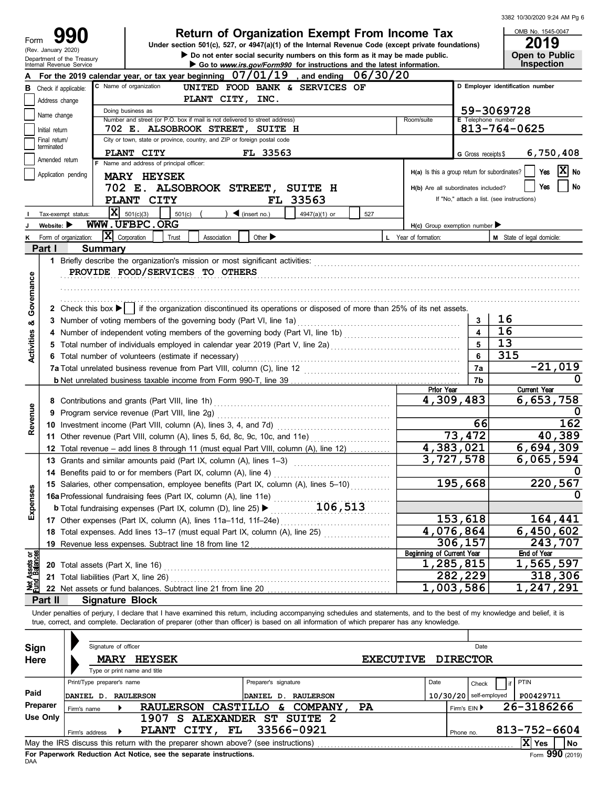| 3382 10/30/2020 9:24 AM Pg 6 |  |  |
|------------------------------|--|--|
|                              |  |  |

| Form<br>(Rev. January 2020)    | 990                                                    |                                                                                                                                                                                                                                                                                                                                                   | Return of Organization Exempt From Income Tax<br>Under section 501(c), 527, or 4947(a)(1) of the Internal Revenue Code (except private foundations)                    |               |     |                                                     |                                                          | 2019                                       |                             |
|--------------------------------|--------------------------------------------------------|---------------------------------------------------------------------------------------------------------------------------------------------------------------------------------------------------------------------------------------------------------------------------------------------------------------------------------------------------|------------------------------------------------------------------------------------------------------------------------------------------------------------------------|---------------|-----|-----------------------------------------------------|----------------------------------------------------------|--------------------------------------------|-----------------------------|
|                                | Department of the Treasury<br>Internal Revenue Service |                                                                                                                                                                                                                                                                                                                                                   | Do not enter social security numbers on this form as it may be made public.<br>$\triangleright$ Go to www.irs.gov/Form990 for instructions and the latest information. |               |     |                                                     |                                                          | Open to Public<br><b>Inspection</b>        |                             |
|                                | <b>B</b> Check if applicable:                          | A For the 2019 calendar year, or tax year beginning $07/01/19$ , and ending $06/30/20$<br>C Name of organization                                                                                                                                                                                                                                  | UNITED FOOD BANK & SERVICES OF                                                                                                                                         |               |     |                                                     |                                                          | D Employer identification number           |                             |
|                                | Address change                                         |                                                                                                                                                                                                                                                                                                                                                   | PLANT CITY, INC.                                                                                                                                                       |               |     |                                                     |                                                          |                                            |                             |
| Name change                    |                                                        | Doing business as<br>Number and street (or P.O. box if mail is not delivered to street address)                                                                                                                                                                                                                                                   |                                                                                                                                                                        |               |     | Room/suite                                          | 59-3069728<br>E Telephone number                         |                                            |                             |
| Initial return<br>Final retum/ |                                                        | 702 E. ALSOBROOK STREET, SUITE H<br>City or town, state or province, country, and ZIP or foreign postal code                                                                                                                                                                                                                                      |                                                                                                                                                                        |               |     |                                                     |                                                          | 813-764-0625                               |                             |
| terminated                     | Amended return                                         | PLANT CITY<br>Name and address of principal officer:                                                                                                                                                                                                                                                                                              | FL 33563                                                                                                                                                               |               |     |                                                     | G Gross receipts \$                                      |                                            | 6,750,408                   |
|                                | Application pending                                    | <b>MARY HEYSEK</b>                                                                                                                                                                                                                                                                                                                                |                                                                                                                                                                        |               |     | H(a) Is this a group return for subordinates?       |                                                          |                                            | $ X $ No<br>Yes             |
|                                |                                                        | 702 E. ALSOBROOK STREET, SUITE H<br>PLANT CITY                                                                                                                                                                                                                                                                                                    |                                                                                                                                                                        | FL 33563      |     | H(b) Are all subordinates included?                 |                                                          | If "No," attach a list. (see instructions) | <b>No</b><br>Yes            |
|                                | Tax-exempt status:                                     | $\mathbf{X}$ 501(c)(3)<br>501(c)                                                                                                                                                                                                                                                                                                                  | $\triangleleft$ (insert no.)                                                                                                                                           | 4947(a)(1) or | 527 |                                                     |                                                          |                                            |                             |
| Website:                       | K Form of organization:                                | WWW.UFBPC.ORG<br>X Corporation<br>Trust                                                                                                                                                                                                                                                                                                           | Other $\blacktriangleright$<br>Association                                                                                                                             |               |     | $H(c)$ Group exemption number<br>Year of formation: |                                                          | M State of legal domicile:                 |                             |
| Part I                         |                                                        | <b>Summary</b>                                                                                                                                                                                                                                                                                                                                    |                                                                                                                                                                        |               |     |                                                     |                                                          |                                            |                             |
|                                |                                                        | 2 Check this box $\blacktriangleright$ if the organization discontinued its operations or disposed of more than 25% of its net assets.                                                                                                                                                                                                            |                                                                                                                                                                        |               |     |                                                     |                                                          |                                            |                             |
| Gove<br>ಂಶ<br>Activities       |                                                        | 4 Number of independent voting members of the governing body (Part VI, line 1b) [11] [12] Number of independent voting members of the governing body (Part VI, line 1b)<br>5 Total number of individuals employed in calendar year 2019 (Part V, line 2a) [[[[[[[[[[[[[[[[[[[[[[[[[[[[[[[<br>6 Total number of volunteers (estimate if necessary) |                                                                                                                                                                        |               |     |                                                     | $3 \mid 16$<br>$\mathbf{A}$<br>6<br>7a<br>7 <sub>b</sub> | 16<br>$\overline{13}$<br>315               | $-21,019$                   |
|                                |                                                        |                                                                                                                                                                                                                                                                                                                                                   |                                                                                                                                                                        |               |     | <b>Prior Year</b><br>4,309,483                      |                                                          | <b>Current Year</b>                        | 6,653,758                   |
|                                |                                                        |                                                                                                                                                                                                                                                                                                                                                   |                                                                                                                                                                        |               |     |                                                     |                                                          |                                            |                             |
| Revenue                        |                                                        |                                                                                                                                                                                                                                                                                                                                                   |                                                                                                                                                                        |               |     |                                                     | <b>66</b><br>73,472                                      |                                            | 162<br>40,389               |
|                                |                                                        | 12 Total revenue - add lines 8 through 11 (must equal Part VIII, column (A), line 12)                                                                                                                                                                                                                                                             |                                                                                                                                                                        |               |     | 4,383,021                                           |                                                          |                                            | 6,694,309                   |
|                                |                                                        | 13 Grants and similar amounts paid (Part IX, column (A), lines 1-3)                                                                                                                                                                                                                                                                               |                                                                                                                                                                        |               |     | 3,727,578                                           |                                                          |                                            | 6,065,594                   |
|                                |                                                        | 15 Salaries, other compensation, employee benefits (Part IX, column (A), lines 5-10)                                                                                                                                                                                                                                                              |                                                                                                                                                                        |               |     | 195,668                                             |                                                          |                                            | 220,567                     |
| Expenses                       |                                                        |                                                                                                                                                                                                                                                                                                                                                   |                                                                                                                                                                        |               |     |                                                     |                                                          |                                            |                             |
|                                |                                                        | 18 Total expenses. Add lines 13-17 (must equal Part IX, column (A), line 25) [                                                                                                                                                                                                                                                                    |                                                                                                                                                                        |               |     | 153,618<br>$\sqrt{4,076,864}$                       |                                                          |                                            | 164,441<br>6,450,602        |
|                                |                                                        | 19 Revenue less expenses. Subtract line 18 from line 12.                                                                                                                                                                                                                                                                                          |                                                                                                                                                                        |               |     | 306,157<br>Beginning of Current Year                |                                                          | End of Year                                | 243,707                     |
| පඹු                            |                                                        | 20 Total assets (Part X, line 16) <b>Constant Construct Constant Constant Construct</b> Constant Constant Constant Constant Constant Constant Constant Constant Constant Constant Constant Constant Constant Constant Constant Cons                                                                                                               |                                                                                                                                                                        |               |     | 1,285,815                                           |                                                          |                                            | 1,565,597                   |
|                                |                                                        |                                                                                                                                                                                                                                                                                                                                                   |                                                                                                                                                                        |               |     | 282,229<br>$\overline{1}$ ,003,586                  |                                                          |                                            | 318,306<br>1,247,291        |
| Part II                        |                                                        | <b>Signature Block</b>                                                                                                                                                                                                                                                                                                                            |                                                                                                                                                                        |               |     |                                                     |                                                          |                                            |                             |
|                                |                                                        | Under penalties of perjury, I declare that I have examined this return, including accompanying schedules and statements, and to the best of my knowledge and belief, it is<br>true, correct, and complete. Declaration of preparer (other than officer) is based on all information of which preparer has any knowledge.                          |                                                                                                                                                                        |               |     |                                                     |                                                          |                                            |                             |
|                                |                                                        |                                                                                                                                                                                                                                                                                                                                                   |                                                                                                                                                                        |               |     |                                                     |                                                          |                                            |                             |
| Sign<br>Here                   |                                                        | Signature of officer<br><b>MARY HEYSEK</b>                                                                                                                                                                                                                                                                                                        |                                                                                                                                                                        |               |     | EXECUTIVE DIRECTOR                                  | Date                                                     |                                            |                             |
|                                |                                                        | Type or print name and title                                                                                                                                                                                                                                                                                                                      |                                                                                                                                                                        |               |     | Date                                                |                                                          |                                            |                             |
| Paid                           |                                                        | Print/Type preparer's name<br>DANIEL D. RAULERSON                                                                                                                                                                                                                                                                                                 | Preparer's signature<br>DANIEL D. RAULERSON                                                                                                                            |               |     | $10/30/20$ self-employed                            | Check                                                    | PTIN<br>P00429711                          |                             |
| Preparer<br>Use Only           |                                                        | Firm's name                                                                                                                                                                                                                                                                                                                                       | RAULERSON CASTILLO & COMPANY, PA                                                                                                                                       |               |     |                                                     | Firm's $EIN$                                             | 26-3186266                                 |                             |
|                                |                                                        | Firm's address ▶<br>May the IRS discuss this return with the preparer shown above? (see instructions)                                                                                                                                                                                                                                             | 1907 S ALEXANDER ST SUITE 2<br>PLANT CITY, FL 33566-0921                                                                                                               |               |     |                                                     | Phone no                                                 | 813-752-6604<br>$\sqrt{X}$ Yes             | $\overline{\phantom{a}}$ No |

| Sign        |             | Signature of officer         |                  |                                                                    |                                                                                   |                  |                          | Date            |                 |
|-------------|-------------|------------------------------|------------------|--------------------------------------------------------------------|-----------------------------------------------------------------------------------|------------------|--------------------------|-----------------|-----------------|
| <b>Here</b> |             | <b>MARY</b>                  | <b>HEYSEK</b>    |                                                                    |                                                                                   | <b>EXECUTIVE</b> |                          | <b>DIRECTOR</b> |                 |
|             |             | Type or print name and title |                  |                                                                    |                                                                                   |                  |                          |                 |                 |
|             |             | Print/Type preparer's name   |                  |                                                                    | Preparer's signature                                                              |                  | Date                     | Check           | PTIN            |
| Paid        |             | DANIEL D.                    | <b>RAULERSON</b> |                                                                    | <b>RAULERSON</b><br>DANIEL D.                                                     |                  | $10/30/20$ self-employed |                 | P00429711       |
| Preparer    | Firm's name |                              | <b>RAULERSON</b> | <b>CASTILLO</b>                                                    | <b>COMPANY</b>                                                                    | <b>PA</b>        |                          | Firm's EIN ▶    | 26-3186266      |
| Use Only    |             |                              | 1907             | <b>ALEXANDER</b><br>ς.                                             | ST.<br>SUITE 2                                                                    |                  |                          |                 |                 |
|             |             | Firm's address               | <b>PLANT</b>     | CITY,<br>FL                                                        | 33566-0921                                                                        |                  |                          | Phone no.       | 813-752-6604    |
|             |             |                              |                  |                                                                    | May the IRS discuss this return with the preparer shown above? (see instructions) |                  |                          |                 | X Yes<br>  No   |
| <b>DAA</b>  |             |                              |                  | For Paperwork Reduction Act Notice, see the separate instructions. |                                                                                   |                  |                          |                 | Form 990 (2019) |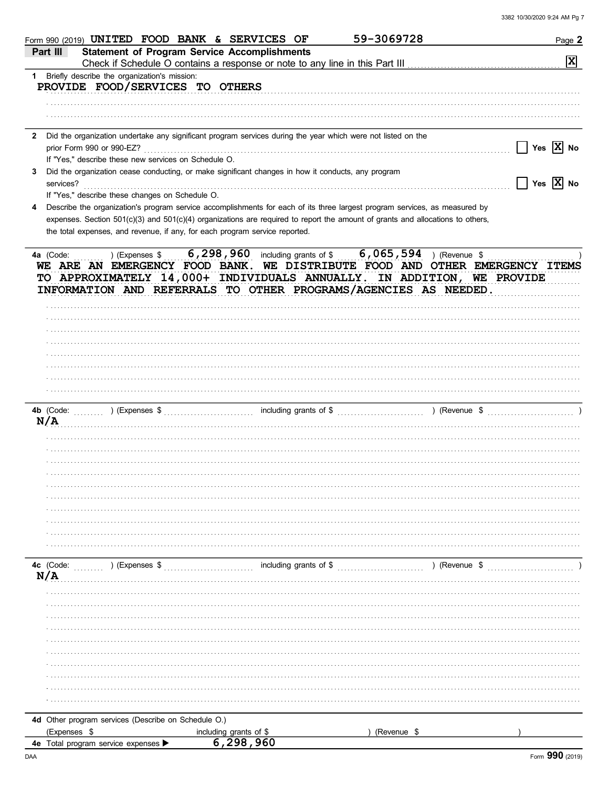| Form 990 (2019) UNITED FOOD BANK & SERVICES OF                                                                                                        |                                                     | 59-3069728                                                                   | Page 2                                 |
|-------------------------------------------------------------------------------------------------------------------------------------------------------|-----------------------------------------------------|------------------------------------------------------------------------------|----------------------------------------|
| Part III                                                                                                                                              | <b>Statement of Program Service Accomplishments</b> |                                                                              |                                        |
|                                                                                                                                                       |                                                     | Check if Schedule O contains a response or note to any line in this Part III | $\mathbf{x}$                           |
| Briefly describe the organization's mission:<br>1.<br>PROVIDE FOOD/SERVICES TO OTHERS                                                                 |                                                     |                                                                              |                                        |
|                                                                                                                                                       |                                                     |                                                                              |                                        |
|                                                                                                                                                       |                                                     |                                                                              |                                        |
|                                                                                                                                                       |                                                     |                                                                              |                                        |
| Did the organization undertake any significant program services during the year which were not listed on the<br>$\mathbf{2}$                          |                                                     |                                                                              |                                        |
| prior Form 990 or 990-EZ?                                                                                                                             |                                                     |                                                                              | Yes $\boxed{\mathbf{X}}$ No<br>$\perp$ |
| If "Yes," describe these new services on Schedule O.                                                                                                  |                                                     |                                                                              |                                        |
| Did the organization cease conducting, or make significant changes in how it conducts, any program<br>3<br>services?                                  |                                                     |                                                                              | $\Box$ Yes $\boxed{\mathbf{X}}$ No     |
| If "Yes," describe these changes on Schedule O.                                                                                                       |                                                     |                                                                              |                                        |
| Describe the organization's program service accomplishments for each of its three largest program services, as measured by<br>4                       |                                                     |                                                                              |                                        |
| expenses. Section 501(c)(3) and 501(c)(4) organizations are required to report the amount of grants and allocations to others,                        |                                                     |                                                                              |                                        |
| the total expenses, and revenue, if any, for each program service reported.                                                                           |                                                     |                                                                              |                                        |
|                                                                                                                                                       |                                                     |                                                                              |                                        |
| 4a (Code:<br>) (Expenses \$                                                                                                                           |                                                     | 6, 298, 960 including grants of \$ 6, 065, 594 ) (Revenue \$                 |                                        |
| WE ARE AN EMERGENCY FOOD BANK. WE DISTRIBUTE FOOD AND OTHER EMERGENCY ITEMS<br>TO APPROXIMATELY 14,000+ INDIVIDUALS ANNUALLY. IN ADDITION, WE PROVIDE |                                                     |                                                                              |                                        |
| INFORMATION AND REFERRALS TO OTHER PROGRAMS/AGENCIES AS NEEDED.                                                                                       |                                                     |                                                                              |                                        |
|                                                                                                                                                       |                                                     |                                                                              |                                        |
|                                                                                                                                                       |                                                     |                                                                              |                                        |
|                                                                                                                                                       |                                                     |                                                                              |                                        |
|                                                                                                                                                       |                                                     |                                                                              |                                        |
|                                                                                                                                                       |                                                     |                                                                              |                                        |
|                                                                                                                                                       |                                                     |                                                                              |                                        |
|                                                                                                                                                       |                                                     |                                                                              |                                        |
|                                                                                                                                                       |                                                     |                                                                              |                                        |
| 4b (Code:                                                                                                                                             |                                                     |                                                                              |                                        |
| N/A                                                                                                                                                   |                                                     |                                                                              |                                        |
|                                                                                                                                                       |                                                     |                                                                              |                                        |
|                                                                                                                                                       |                                                     |                                                                              |                                        |
|                                                                                                                                                       |                                                     |                                                                              |                                        |
|                                                                                                                                                       |                                                     |                                                                              |                                        |
|                                                                                                                                                       |                                                     |                                                                              |                                        |
|                                                                                                                                                       |                                                     |                                                                              |                                        |
|                                                                                                                                                       |                                                     |                                                                              |                                        |
|                                                                                                                                                       |                                                     |                                                                              |                                        |
|                                                                                                                                                       |                                                     |                                                                              |                                        |
| 4c (Code:<br>) (Expenses \$                                                                                                                           | including grants of \$                              | ) (Revenue \$                                                                |                                        |
| N/A                                                                                                                                                   |                                                     |                                                                              |                                        |
|                                                                                                                                                       |                                                     |                                                                              |                                        |
|                                                                                                                                                       |                                                     |                                                                              |                                        |
|                                                                                                                                                       |                                                     |                                                                              |                                        |
|                                                                                                                                                       |                                                     |                                                                              |                                        |
|                                                                                                                                                       |                                                     |                                                                              |                                        |
|                                                                                                                                                       |                                                     |                                                                              |                                        |
|                                                                                                                                                       |                                                     |                                                                              |                                        |
|                                                                                                                                                       |                                                     |                                                                              |                                        |
|                                                                                                                                                       |                                                     |                                                                              |                                        |
|                                                                                                                                                       |                                                     |                                                                              |                                        |
| 4d Other program services (Describe on Schedule O.)                                                                                                   |                                                     |                                                                              |                                        |
| (Expenses \$<br>4e Total program service expenses                                                                                                     | including grants of \$<br>6,298,960                 | (Revenue \$                                                                  |                                        |
|                                                                                                                                                       |                                                     |                                                                              |                                        |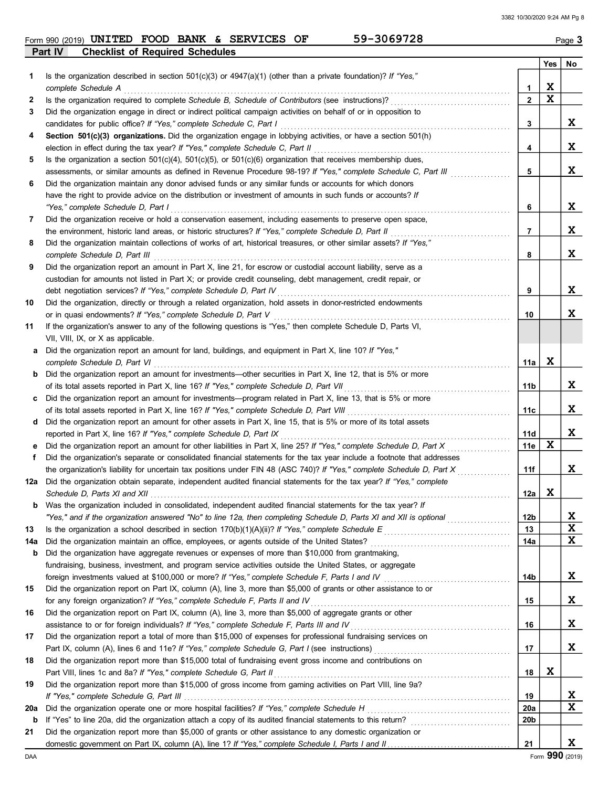| $\mathbf{2}$<br>3<br>4<br>5<br>6<br>7<br>8<br>10<br>11 | Part IV<br><b>Checklist of Required Schedules</b><br>Is the organization described in section $501(c)(3)$ or $4947(a)(1)$ (other than a private foundation)? If "Yes,"<br>complete Schedule A<br>Is the organization required to complete Schedule B, Schedule of Contributors (see instructions)?<br>Did the organization engage in direct or indirect political campaign activities on behalf of or in opposition to<br>candidates for public office? If "Yes," complete Schedule C, Part I<br>Section 501(c)(3) organizations. Did the organization engage in lobbying activities, or have a section 501(h)<br>election in effect during the tax year? If "Yes," complete Schedule C, Part II<br>Is the organization a section $501(c)(4)$ , $501(c)(5)$ , or $501(c)(6)$ organization that receives membership dues,<br>assessments, or similar amounts as defined in Revenue Procedure 98-19? If "Yes," complete Schedule C, Part III<br>Did the organization maintain any donor advised funds or any similar funds or accounts for which donors<br>have the right to provide advice on the distribution or investment of amounts in such funds or accounts? If<br>"Yes," complete Schedule D, Part I<br>Did the organization receive or hold a conservation easement, including easements to preserve open space,<br>the environment, historic land areas, or historic structures? If "Yes," complete Schedule D, Part II<br>Did the organization maintain collections of works of art, historical treasures, or other similar assets? If "Yes,"<br>complete Schedule D, Part III<br>Did the organization report an amount in Part X, line 21, for escrow or custodial account liability, serve as a<br>custodian for amounts not listed in Part X; or provide credit counseling, debt management, credit repair, or<br>debt negotiation services? If "Yes," complete Schedule D, Part IV<br>Did the organization, directly or through a related organization, hold assets in donor-restricted endowments<br>or in quasi endowments? If "Yes," complete Schedule D, Part V<br>If the organization's answer to any of the following questions is "Yes," then complete Schedule D, Parts VI,<br>VII, VIII, IX, or X as applicable. | $\overline{2}$<br>$3\overline{3}$<br>4<br>5<br>6<br>$\overline{7}$<br>8<br>9 | Yes $ $ No<br>X<br>$\mathbf x$ | X.<br>X<br>X                           |
|--------------------------------------------------------|----------------------------------------------------------------------------------------------------------------------------------------------------------------------------------------------------------------------------------------------------------------------------------------------------------------------------------------------------------------------------------------------------------------------------------------------------------------------------------------------------------------------------------------------------------------------------------------------------------------------------------------------------------------------------------------------------------------------------------------------------------------------------------------------------------------------------------------------------------------------------------------------------------------------------------------------------------------------------------------------------------------------------------------------------------------------------------------------------------------------------------------------------------------------------------------------------------------------------------------------------------------------------------------------------------------------------------------------------------------------------------------------------------------------------------------------------------------------------------------------------------------------------------------------------------------------------------------------------------------------------------------------------------------------------------------------------------------------------------------------------------------------------------------------------------------------------------------------------------------------------------------------------------------------------------------------------------------------------------------------------------------------------------------------------------------------------------------------------------------------------------------------------------------------------------------------------------------------------------------|------------------------------------------------------------------------------|--------------------------------|----------------------------------------|
|                                                        |                                                                                                                                                                                                                                                                                                                                                                                                                                                                                                                                                                                                                                                                                                                                                                                                                                                                                                                                                                                                                                                                                                                                                                                                                                                                                                                                                                                                                                                                                                                                                                                                                                                                                                                                                                                                                                                                                                                                                                                                                                                                                                                                                                                                                                        |                                                                              |                                |                                        |
|                                                        |                                                                                                                                                                                                                                                                                                                                                                                                                                                                                                                                                                                                                                                                                                                                                                                                                                                                                                                                                                                                                                                                                                                                                                                                                                                                                                                                                                                                                                                                                                                                                                                                                                                                                                                                                                                                                                                                                                                                                                                                                                                                                                                                                                                                                                        |                                                                              |                                |                                        |
|                                                        |                                                                                                                                                                                                                                                                                                                                                                                                                                                                                                                                                                                                                                                                                                                                                                                                                                                                                                                                                                                                                                                                                                                                                                                                                                                                                                                                                                                                                                                                                                                                                                                                                                                                                                                                                                                                                                                                                                                                                                                                                                                                                                                                                                                                                                        |                                                                              |                                |                                        |
|                                                        |                                                                                                                                                                                                                                                                                                                                                                                                                                                                                                                                                                                                                                                                                                                                                                                                                                                                                                                                                                                                                                                                                                                                                                                                                                                                                                                                                                                                                                                                                                                                                                                                                                                                                                                                                                                                                                                                                                                                                                                                                                                                                                                                                                                                                                        |                                                                              |                                |                                        |
|                                                        |                                                                                                                                                                                                                                                                                                                                                                                                                                                                                                                                                                                                                                                                                                                                                                                                                                                                                                                                                                                                                                                                                                                                                                                                                                                                                                                                                                                                                                                                                                                                                                                                                                                                                                                                                                                                                                                                                                                                                                                                                                                                                                                                                                                                                                        |                                                                              |                                |                                        |
|                                                        |                                                                                                                                                                                                                                                                                                                                                                                                                                                                                                                                                                                                                                                                                                                                                                                                                                                                                                                                                                                                                                                                                                                                                                                                                                                                                                                                                                                                                                                                                                                                                                                                                                                                                                                                                                                                                                                                                                                                                                                                                                                                                                                                                                                                                                        |                                                                              |                                |                                        |
|                                                        |                                                                                                                                                                                                                                                                                                                                                                                                                                                                                                                                                                                                                                                                                                                                                                                                                                                                                                                                                                                                                                                                                                                                                                                                                                                                                                                                                                                                                                                                                                                                                                                                                                                                                                                                                                                                                                                                                                                                                                                                                                                                                                                                                                                                                                        |                                                                              |                                |                                        |
|                                                        |                                                                                                                                                                                                                                                                                                                                                                                                                                                                                                                                                                                                                                                                                                                                                                                                                                                                                                                                                                                                                                                                                                                                                                                                                                                                                                                                                                                                                                                                                                                                                                                                                                                                                                                                                                                                                                                                                                                                                                                                                                                                                                                                                                                                                                        |                                                                              |                                |                                        |
|                                                        |                                                                                                                                                                                                                                                                                                                                                                                                                                                                                                                                                                                                                                                                                                                                                                                                                                                                                                                                                                                                                                                                                                                                                                                                                                                                                                                                                                                                                                                                                                                                                                                                                                                                                                                                                                                                                                                                                                                                                                                                                                                                                                                                                                                                                                        |                                                                              |                                |                                        |
|                                                        |                                                                                                                                                                                                                                                                                                                                                                                                                                                                                                                                                                                                                                                                                                                                                                                                                                                                                                                                                                                                                                                                                                                                                                                                                                                                                                                                                                                                                                                                                                                                                                                                                                                                                                                                                                                                                                                                                                                                                                                                                                                                                                                                                                                                                                        |                                                                              |                                | X                                      |
|                                                        |                                                                                                                                                                                                                                                                                                                                                                                                                                                                                                                                                                                                                                                                                                                                                                                                                                                                                                                                                                                                                                                                                                                                                                                                                                                                                                                                                                                                                                                                                                                                                                                                                                                                                                                                                                                                                                                                                                                                                                                                                                                                                                                                                                                                                                        |                                                                              |                                |                                        |
|                                                        |                                                                                                                                                                                                                                                                                                                                                                                                                                                                                                                                                                                                                                                                                                                                                                                                                                                                                                                                                                                                                                                                                                                                                                                                                                                                                                                                                                                                                                                                                                                                                                                                                                                                                                                                                                                                                                                                                                                                                                                                                                                                                                                                                                                                                                        |                                                                              |                                | X                                      |
|                                                        |                                                                                                                                                                                                                                                                                                                                                                                                                                                                                                                                                                                                                                                                                                                                                                                                                                                                                                                                                                                                                                                                                                                                                                                                                                                                                                                                                                                                                                                                                                                                                                                                                                                                                                                                                                                                                                                                                                                                                                                                                                                                                                                                                                                                                                        |                                                                              |                                | X                                      |
|                                                        |                                                                                                                                                                                                                                                                                                                                                                                                                                                                                                                                                                                                                                                                                                                                                                                                                                                                                                                                                                                                                                                                                                                                                                                                                                                                                                                                                                                                                                                                                                                                                                                                                                                                                                                                                                                                                                                                                                                                                                                                                                                                                                                                                                                                                                        |                                                                              |                                |                                        |
|                                                        |                                                                                                                                                                                                                                                                                                                                                                                                                                                                                                                                                                                                                                                                                                                                                                                                                                                                                                                                                                                                                                                                                                                                                                                                                                                                                                                                                                                                                                                                                                                                                                                                                                                                                                                                                                                                                                                                                                                                                                                                                                                                                                                                                                                                                                        |                                                                              |                                |                                        |
|                                                        |                                                                                                                                                                                                                                                                                                                                                                                                                                                                                                                                                                                                                                                                                                                                                                                                                                                                                                                                                                                                                                                                                                                                                                                                                                                                                                                                                                                                                                                                                                                                                                                                                                                                                                                                                                                                                                                                                                                                                                                                                                                                                                                                                                                                                                        |                                                                              |                                | X                                      |
|                                                        |                                                                                                                                                                                                                                                                                                                                                                                                                                                                                                                                                                                                                                                                                                                                                                                                                                                                                                                                                                                                                                                                                                                                                                                                                                                                                                                                                                                                                                                                                                                                                                                                                                                                                                                                                                                                                                                                                                                                                                                                                                                                                                                                                                                                                                        | 10                                                                           |                                | X.                                     |
|                                                        |                                                                                                                                                                                                                                                                                                                                                                                                                                                                                                                                                                                                                                                                                                                                                                                                                                                                                                                                                                                                                                                                                                                                                                                                                                                                                                                                                                                                                                                                                                                                                                                                                                                                                                                                                                                                                                                                                                                                                                                                                                                                                                                                                                                                                                        |                                                                              |                                |                                        |
|                                                        |                                                                                                                                                                                                                                                                                                                                                                                                                                                                                                                                                                                                                                                                                                                                                                                                                                                                                                                                                                                                                                                                                                                                                                                                                                                                                                                                                                                                                                                                                                                                                                                                                                                                                                                                                                                                                                                                                                                                                                                                                                                                                                                                                                                                                                        |                                                                              |                                |                                        |
|                                                        | a Did the organization report an amount for land, buildings, and equipment in Part X, line 10? If "Yes,"<br>complete Schedule D, Part VI                                                                                                                                                                                                                                                                                                                                                                                                                                                                                                                                                                                                                                                                                                                                                                                                                                                                                                                                                                                                                                                                                                                                                                                                                                                                                                                                                                                                                                                                                                                                                                                                                                                                                                                                                                                                                                                                                                                                                                                                                                                                                               | 11a l                                                                        | X                              |                                        |
|                                                        | <b>b</b> Did the organization report an amount for investments—other securities in Part X, line 12, that is 5% or more                                                                                                                                                                                                                                                                                                                                                                                                                                                                                                                                                                                                                                                                                                                                                                                                                                                                                                                                                                                                                                                                                                                                                                                                                                                                                                                                                                                                                                                                                                                                                                                                                                                                                                                                                                                                                                                                                                                                                                                                                                                                                                                 |                                                                              |                                |                                        |
|                                                        | of its total assets reported in Part X, line 16? If "Yes," complete Schedule D, Part VII                                                                                                                                                                                                                                                                                                                                                                                                                                                                                                                                                                                                                                                                                                                                                                                                                                                                                                                                                                                                                                                                                                                                                                                                                                                                                                                                                                                                                                                                                                                                                                                                                                                                                                                                                                                                                                                                                                                                                                                                                                                                                                                                               | 11 <sub>b</sub>                                                              |                                | X                                      |
|                                                        | c Did the organization report an amount for investments—program related in Part X, line 13, that is 5% or more                                                                                                                                                                                                                                                                                                                                                                                                                                                                                                                                                                                                                                                                                                                                                                                                                                                                                                                                                                                                                                                                                                                                                                                                                                                                                                                                                                                                                                                                                                                                                                                                                                                                                                                                                                                                                                                                                                                                                                                                                                                                                                                         |                                                                              |                                |                                        |
|                                                        | of its total assets reported in Part X, line 16? If "Yes," complete Schedule D, Part VIII<br><b>d</b> Did the organization report an amount for other assets in Part X, line 15, that is 5% or more of its total assets                                                                                                                                                                                                                                                                                                                                                                                                                                                                                                                                                                                                                                                                                                                                                                                                                                                                                                                                                                                                                                                                                                                                                                                                                                                                                                                                                                                                                                                                                                                                                                                                                                                                                                                                                                                                                                                                                                                                                                                                                | 11с                                                                          |                                | X                                      |
|                                                        | reported in Part X, line 16? If "Yes," complete Schedule D, Part IX                                                                                                                                                                                                                                                                                                                                                                                                                                                                                                                                                                                                                                                                                                                                                                                                                                                                                                                                                                                                                                                                                                                                                                                                                                                                                                                                                                                                                                                                                                                                                                                                                                                                                                                                                                                                                                                                                                                                                                                                                                                                                                                                                                    | 11d                                                                          |                                | X                                      |
|                                                        | e Did the organization report an amount for other liabilities in Part X, line 25? If "Yes," complete Schedule D, Part X                                                                                                                                                                                                                                                                                                                                                                                                                                                                                                                                                                                                                                                                                                                                                                                                                                                                                                                                                                                                                                                                                                                                                                                                                                                                                                                                                                                                                                                                                                                                                                                                                                                                                                                                                                                                                                                                                                                                                                                                                                                                                                                | 11e                                                                          | $\mathbf{x}$                   |                                        |
|                                                        | f Did the organization's separate or consolidated financial statements for the tax year include a footnote that addresses                                                                                                                                                                                                                                                                                                                                                                                                                                                                                                                                                                                                                                                                                                                                                                                                                                                                                                                                                                                                                                                                                                                                                                                                                                                                                                                                                                                                                                                                                                                                                                                                                                                                                                                                                                                                                                                                                                                                                                                                                                                                                                              |                                                                              |                                |                                        |
|                                                        | the organization's liability for uncertain tax positions under FIN 48 (ASC 740)? If "Yes," complete Schedule D, Part X<br>12a Did the organization obtain separate, independent audited financial statements for the tax year? If "Yes," complete                                                                                                                                                                                                                                                                                                                                                                                                                                                                                                                                                                                                                                                                                                                                                                                                                                                                                                                                                                                                                                                                                                                                                                                                                                                                                                                                                                                                                                                                                                                                                                                                                                                                                                                                                                                                                                                                                                                                                                                      | 11f                                                                          |                                | X                                      |
|                                                        |                                                                                                                                                                                                                                                                                                                                                                                                                                                                                                                                                                                                                                                                                                                                                                                                                                                                                                                                                                                                                                                                                                                                                                                                                                                                                                                                                                                                                                                                                                                                                                                                                                                                                                                                                                                                                                                                                                                                                                                                                                                                                                                                                                                                                                        | 12a l                                                                        | X                              |                                        |
|                                                        | <b>b</b> Was the organization included in consolidated, independent audited financial statements for the tax year? If                                                                                                                                                                                                                                                                                                                                                                                                                                                                                                                                                                                                                                                                                                                                                                                                                                                                                                                                                                                                                                                                                                                                                                                                                                                                                                                                                                                                                                                                                                                                                                                                                                                                                                                                                                                                                                                                                                                                                                                                                                                                                                                  |                                                                              |                                |                                        |
|                                                        | "Yes," and if the organization answered "No" to line 12a, then completing Schedule D, Parts XI and XII is optional                                                                                                                                                                                                                                                                                                                                                                                                                                                                                                                                                                                                                                                                                                                                                                                                                                                                                                                                                                                                                                                                                                                                                                                                                                                                                                                                                                                                                                                                                                                                                                                                                                                                                                                                                                                                                                                                                                                                                                                                                                                                                                                     | 12b                                                                          |                                | $\mathbf x$<br>$\overline{\mathbf{x}}$ |
| 13<br>14a l                                            | Is the organization a school described in section $170(b)(1)(A)(ii)$ ? If "Yes," complete Schedule E<br>Did the organization maintain an office, employees, or agents outside of the United States?                                                                                                                                                                                                                                                                                                                                                                                                                                                                                                                                                                                                                                                                                                                                                                                                                                                                                                                                                                                                                                                                                                                                                                                                                                                                                                                                                                                                                                                                                                                                                                                                                                                                                                                                                                                                                                                                                                                                                                                                                                    | 13<br>14a                                                                    |                                | $\mathbf{x}$                           |
|                                                        | <b>b</b> Did the organization have aggregate revenues or expenses of more than \$10,000 from grantmaking,                                                                                                                                                                                                                                                                                                                                                                                                                                                                                                                                                                                                                                                                                                                                                                                                                                                                                                                                                                                                                                                                                                                                                                                                                                                                                                                                                                                                                                                                                                                                                                                                                                                                                                                                                                                                                                                                                                                                                                                                                                                                                                                              |                                                                              |                                |                                        |
|                                                        | fundraising, business, investment, and program service activities outside the United States, or aggregate                                                                                                                                                                                                                                                                                                                                                                                                                                                                                                                                                                                                                                                                                                                                                                                                                                                                                                                                                                                                                                                                                                                                                                                                                                                                                                                                                                                                                                                                                                                                                                                                                                                                                                                                                                                                                                                                                                                                                                                                                                                                                                                              |                                                                              |                                |                                        |
|                                                        | foreign investments valued at \$100,000 or more? If "Yes," complete Schedule F, Parts I and IV                                                                                                                                                                                                                                                                                                                                                                                                                                                                                                                                                                                                                                                                                                                                                                                                                                                                                                                                                                                                                                                                                                                                                                                                                                                                                                                                                                                                                                                                                                                                                                                                                                                                                                                                                                                                                                                                                                                                                                                                                                                                                                                                         | 14b                                                                          |                                | X                                      |
| 15                                                     | Did the organization report on Part IX, column (A), line 3, more than \$5,000 of grants or other assistance to or                                                                                                                                                                                                                                                                                                                                                                                                                                                                                                                                                                                                                                                                                                                                                                                                                                                                                                                                                                                                                                                                                                                                                                                                                                                                                                                                                                                                                                                                                                                                                                                                                                                                                                                                                                                                                                                                                                                                                                                                                                                                                                                      |                                                                              |                                | X                                      |
| 16                                                     | for any foreign organization? If "Yes," complete Schedule F, Parts II and IV<br>Did the organization report on Part IX, column (A), line 3, more than \$5,000 of aggregate grants or other                                                                                                                                                                                                                                                                                                                                                                                                                                                                                                                                                                                                                                                                                                                                                                                                                                                                                                                                                                                                                                                                                                                                                                                                                                                                                                                                                                                                                                                                                                                                                                                                                                                                                                                                                                                                                                                                                                                                                                                                                                             | 15                                                                           |                                |                                        |
|                                                        | assistance to or for foreign individuals? If "Yes," complete Schedule F, Parts III and IV                                                                                                                                                                                                                                                                                                                                                                                                                                                                                                                                                                                                                                                                                                                                                                                                                                                                                                                                                                                                                                                                                                                                                                                                                                                                                                                                                                                                                                                                                                                                                                                                                                                                                                                                                                                                                                                                                                                                                                                                                                                                                                                                              | 16                                                                           |                                | X                                      |
| 17                                                     | Did the organization report a total of more than \$15,000 of expenses for professional fundraising services on                                                                                                                                                                                                                                                                                                                                                                                                                                                                                                                                                                                                                                                                                                                                                                                                                                                                                                                                                                                                                                                                                                                                                                                                                                                                                                                                                                                                                                                                                                                                                                                                                                                                                                                                                                                                                                                                                                                                                                                                                                                                                                                         |                                                                              |                                |                                        |
|                                                        | Part IX, column (A), lines 6 and 11e? If "Yes," complete Schedule G, Part I (see instructions)<br>Did the organization report more than \$15,000 total of fundraising event gross income and contributions on                                                                                                                                                                                                                                                                                                                                                                                                                                                                                                                                                                                                                                                                                                                                                                                                                                                                                                                                                                                                                                                                                                                                                                                                                                                                                                                                                                                                                                                                                                                                                                                                                                                                                                                                                                                                                                                                                                                                                                                                                          | 17                                                                           |                                | X                                      |
| 18                                                     | Part VIII, lines 1c and 8a? If "Yes," complete Schedule G, Part II                                                                                                                                                                                                                                                                                                                                                                                                                                                                                                                                                                                                                                                                                                                                                                                                                                                                                                                                                                                                                                                                                                                                                                                                                                                                                                                                                                                                                                                                                                                                                                                                                                                                                                                                                                                                                                                                                                                                                                                                                                                                                                                                                                     | 18                                                                           | X                              |                                        |
| 19                                                     | Did the organization report more than \$15,000 of gross income from gaming activities on Part VIII, line 9a?                                                                                                                                                                                                                                                                                                                                                                                                                                                                                                                                                                                                                                                                                                                                                                                                                                                                                                                                                                                                                                                                                                                                                                                                                                                                                                                                                                                                                                                                                                                                                                                                                                                                                                                                                                                                                                                                                                                                                                                                                                                                                                                           |                                                                              |                                |                                        |
|                                                        |                                                                                                                                                                                                                                                                                                                                                                                                                                                                                                                                                                                                                                                                                                                                                                                                                                                                                                                                                                                                                                                                                                                                                                                                                                                                                                                                                                                                                                                                                                                                                                                                                                                                                                                                                                                                                                                                                                                                                                                                                                                                                                                                                                                                                                        | 19                                                                           |                                | X<br>- -                               |
|                                                        | 20a Did the organization operate one or more hospital facilities? If "Yes," complete Schedule H                                                                                                                                                                                                                                                                                                                                                                                                                                                                                                                                                                                                                                                                                                                                                                                                                                                                                                                                                                                                                                                                                                                                                                                                                                                                                                                                                                                                                                                                                                                                                                                                                                                                                                                                                                                                                                                                                                                                                                                                                                                                                                                                        | 20a                                                                          |                                | $\mathbf{x}$                           |
| 21                                                     | <b>b</b> If "Yes" to line 20a, did the organization attach a copy of its audited financial statements to this return?<br>Did the organization report more than \$5,000 of grants or other assistance to any domestic organization or                                                                                                                                                                                                                                                                                                                                                                                                                                                                                                                                                                                                                                                                                                                                                                                                                                                                                                                                                                                                                                                                                                                                                                                                                                                                                                                                                                                                                                                                                                                                                                                                                                                                                                                                                                                                                                                                                                                                                                                                   | 20b                                                                          |                                |                                        |
|                                                        |                                                                                                                                                                                                                                                                                                                                                                                                                                                                                                                                                                                                                                                                                                                                                                                                                                                                                                                                                                                                                                                                                                                                                                                                                                                                                                                                                                                                                                                                                                                                                                                                                                                                                                                                                                                                                                                                                                                                                                                                                                                                                                                                                                                                                                        | 21                                                                           |                                | X                                      |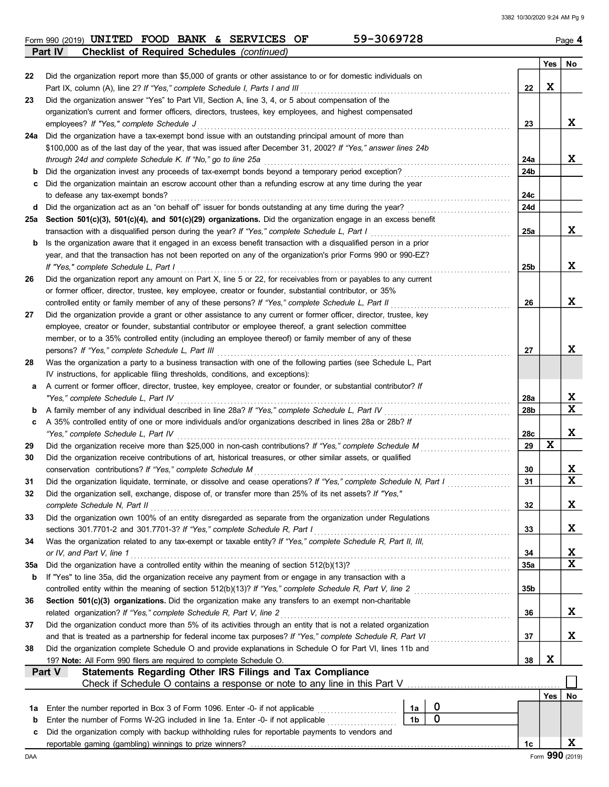|          |                                                                                                                                                                                                                                  | 3382 10/30/2020 9:24 AM Pg 9 |             |                              |
|----------|----------------------------------------------------------------------------------------------------------------------------------------------------------------------------------------------------------------------------------|------------------------------|-------------|------------------------------|
|          | 59-3069728<br>Form 990 (2019) UNITED FOOD BANK & SERVICES OF<br><b>Checklist of Required Schedules (continued)</b><br><b>Part IV</b>                                                                                             |                              |             | Page 4                       |
|          |                                                                                                                                                                                                                                  |                              | Yes   No    |                              |
| 22       | Did the organization report more than \$5,000 of grants or other assistance to or for domestic individuals on<br>Part IX, column (A), line 2? If "Yes," complete Schedule I, Parts I and III                                     | 22                           | X           |                              |
| 23       | Did the organization answer "Yes" to Part VII, Section A, line 3, 4, or 5 about compensation of the                                                                                                                              |                              |             |                              |
|          | organization's current and former officers, directors, trustees, key employees, and highest compensated                                                                                                                          |                              |             | X                            |
|          | employees? If "Yes," complete Schedule J<br>24a Did the organization have a tax-exempt bond issue with an outstanding principal amount of more than                                                                              | 23                           |             |                              |
|          | \$100,000 as of the last day of the year, that was issued after December 31, 2002? If "Yes," answer lines 24b                                                                                                                    |                              |             |                              |
|          | through 24d and complete Schedule K. If "No," go to line 25a<br><b>b</b> Did the organization invest any proceeds of tax-exempt bonds beyond a temporary period exception?                                                       | 24a<br>24b                   |             | X                            |
|          | c Did the organization maintain an escrow account other than a refunding escrow at any time during the year                                                                                                                      |                              |             |                              |
|          | to defease any tax-exempt bonds?                                                                                                                                                                                                 | 24c                          |             |                              |
|          | d Did the organization act as an "on behalf of" issuer for bonds outstanding at any time during the year?<br>25a Section 501(c)(3), 501(c)(4), and 501(c)(29) organizations. Did the organization engage in an excess benefit    | <b>24d</b>                   |             |                              |
|          | transaction with a disqualified person during the year? If "Yes," complete Schedule L, Part I                                                                                                                                    | 25a                          |             | X                            |
|          | <b>b</b> Is the organization aware that it engaged in an excess benefit transaction with a disqualified person in a prior                                                                                                        |                              |             |                              |
|          | year, and that the transaction has not been reported on any of the organization's prior Forms 990 or 990-EZ?<br>If "Yes," complete Schedule L, Part I                                                                            | 25 <sub>b</sub>              |             | X                            |
| 26       | Did the organization report any amount on Part X, line 5 or 22, for receivables from or payables to any current                                                                                                                  |                              |             |                              |
|          | or former officer, director, trustee, key employee, creator or founder, substantial contributor, or 35%                                                                                                                          |                              |             |                              |
| 27       | controlled entity or family member of any of these persons? If "Yes," complete Schedule L, Part II<br>Did the organization provide a grant or other assistance to any current or former officer, director, trustee, key          | 26                           |             | X                            |
|          | employee, creator or founder, substantial contributor or employee thereof, a grant selection committee                                                                                                                           |                              |             |                              |
|          | member, or to a 35% controlled entity (including an employee thereof) or family member of any of these<br>persons? If "Yes," complete Schedule L, Part III                                                                       |                              |             | X                            |
| 28       | Was the organization a party to a business transaction with one of the following parties (see Schedule L, Part                                                                                                                   | 27                           |             |                              |
|          | IV instructions, for applicable filing thresholds, conditions, and exceptions):                                                                                                                                                  |                              |             |                              |
|          | a A current or former officer, director, trustee, key employee, creator or founder, or substantial contributor? If<br>"Yes," complete Schedule L, Part IV                                                                        | 28a                          |             | X                            |
|          | <b>b</b> A family member of any individual described in line 28a? If "Yes," complete Schedule L, Part IV                                                                                                                         | 28 <sub>b</sub>              |             | $\overline{\mathbf{x}}$      |
|          | c A 35% controlled entity of one or more individuals and/or organizations described in lines 28a or 28b? If                                                                                                                      |                              |             |                              |
| 29       | "Yes," complete Schedule L, Part IV<br>Did the organization receive more than \$25,000 in non-cash contributions? If "Yes," complete Schedule M                                                                                  | 28c<br>29                    | $\mathbf x$ | X                            |
| 30       | Did the organization receive contributions of art, historical treasures, or other similar assets, or qualified                                                                                                                   |                              |             |                              |
|          | conservation contributions? If "Yes," complete Schedule M                                                                                                                                                                        | 30                           |             | X<br>$\overline{\mathbf{x}}$ |
| 31<br>32 | Did the organization liquidate, terminate, or dissolve and cease operations? If "Yes," complete Schedule N, Part I<br>Did the organization sell, exchange, dispose of, or transfer more than 25% of its net assets? If "Yes,"    | 31                           |             |                              |
|          | complete Schedule N, Part II                                                                                                                                                                                                     | 32                           |             | X                            |
| 33       | Did the organization own 100% of an entity disregarded as separate from the organization under Regulations                                                                                                                       |                              |             |                              |
| 34       | sections 301.7701-2 and 301.7701-3? If "Yes," complete Schedule R, Part I<br>Was the organization related to any tax-exempt or taxable entity? If "Yes," complete Schedule R, Part II, III,                                      | 33                           |             | X                            |
|          | or IV, and Part V, line 1                                                                                                                                                                                                        | 34                           |             | $\mathbf{X}$                 |
| 35а      |                                                                                                                                                                                                                                  | 35a                          |             | $\overline{\mathbf{x}}$      |
|          | <b>b</b> If "Yes" to line 35a, did the organization receive any payment from or engage in any transaction with a<br>controlled entity within the meaning of section 512(b)(13)? If "Yes," complete Schedule R, Part V, line 2    | 35b                          |             |                              |
| 36       | Section 501(c)(3) organizations. Did the organization make any transfers to an exempt non-charitable                                                                                                                             |                              |             |                              |
|          | related organization? If "Yes," complete Schedule R, Part V, line 2                                                                                                                                                              | 36                           |             | X                            |
| 37       | Did the organization conduct more than 5% of its activities through an entity that is not a related organization<br>and that is treated as a partnership for federal income tax purposes? If "Yes," complete Schedule R, Part VI | 37                           |             | X                            |
| 38       | Did the organization complete Schedule O and provide explanations in Schedule O for Part VI, lines 11b and                                                                                                                       |                              |             |                              |
|          | 19? Note: All Form 990 filers are required to complete Schedule O.                                                                                                                                                               | 38                           | X           |                              |
|          | Part V<br>Statements Regarding Other IRS Filings and Tax Compliance<br>Check if Schedule O contains a response or note to any line in this Part V                                                                                |                              |             |                              |
|          |                                                                                                                                                                                                                                  |                              | Yes   $No$  |                              |
|          | 0<br>1a Enter the number reported in Box 3 of Form 1096. Enter -0- if not applicable<br>1a<br>$\mathbf 0$                                                                                                                        |                              |             |                              |
|          | <b>b</b> Enter the number of Forms W-2G included in line 1a. Enter -0- if not applicable<br>1 <sub>b</sub><br>c Did the organization comply with backup withholding rules for reportable payments to vendors and                 |                              |             |                              |
|          |                                                                                                                                                                                                                                  | 1c                           |             | $\mathbf x$                  |
| DAA      |                                                                                                                                                                                                                                  |                              |             | Form 990 (2019)              |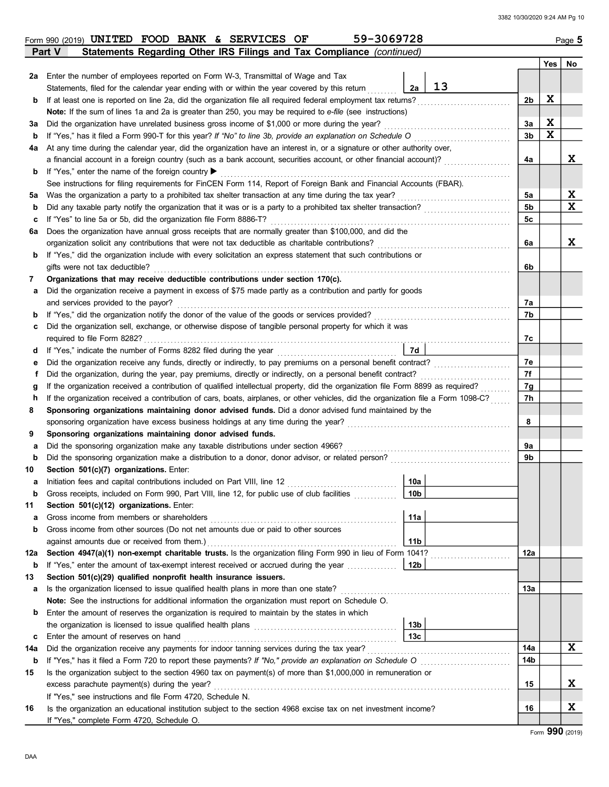|             | 59-3069728<br>Form 990 (2019) UNITED FOOD BANK & SERVICES OF                                                                                                                                                                            | 3382 10/30/2020 9:24 AM Pg 10 |             | Page 5      |
|-------------|-----------------------------------------------------------------------------------------------------------------------------------------------------------------------------------------------------------------------------------------|-------------------------------|-------------|-------------|
|             | Statements Regarding Other IRS Filings and Tax Compliance (continued)<br><b>Part V</b>                                                                                                                                                  |                               |             |             |
|             | 2a Enter the number of employees reported on Form W-3, Transmittal of Wage and Tax                                                                                                                                                      |                               | Yes         | No          |
|             | 13<br>Statements, filed for the calendar year ending with or within the year covered by this return<br>2a                                                                                                                               |                               |             |             |
|             | <b>b</b> If at least one is reported on line 2a, did the organization file all required federal employment tax returns?                                                                                                                 | 2b                            | $\mathbf x$ |             |
| За          | Note: If the sum of lines 1a and 2a is greater than 250, you may be required to e-file (see instructions)<br>Did the organization have unrelated business gross income of \$1,000 or more during the year?                              | За                            | X           |             |
| b           | "Yes," has it filed a Form 990-T for this year? If "No" to line 3b, provide an explanation on Schedule O                                                                                                                                | 3 <sub>b</sub>                | $\mathbf x$ |             |
| 4a          | At any time during the calendar year, did the organization have an interest in, or a signature or other authority over,                                                                                                                 |                               |             |             |
|             | a financial account in a foreign country (such as a bank account, securities account, or other financial account)?                                                                                                                      | 4a                            |             | x           |
| <b>b</b> If | "Yes," enter the name of the foreign country ><br>See instructions for filing requirements for FinCEN Form 114, Report of Foreign Bank and Financial Accounts (FBAR).                                                                   |                               |             |             |
| 5а          | Was the organization a party to a prohibited tax shelter transaction at any time during the tax year?                                                                                                                                   | 5а                            |             | X           |
|             |                                                                                                                                                                                                                                         | <b>5b</b>                     |             | $\mathbf x$ |
| C           | "Yes" to line 5a or 5b, did the organization file Form 8886-T?                                                                                                                                                                          | 5c                            |             |             |
| 6a          | Does the organization have annual gross receipts that are normally greater than \$100,000, and did the<br>organization solicit any contributions that were not tax deductible as charitable contributions?                              | 6a                            |             | X           |
|             | If "Yes," did the organization include with every solicitation an express statement that such contributions or                                                                                                                          |                               |             |             |
|             | gifts were not tax deductible?                                                                                                                                                                                                          | 6b                            |             |             |
|             | Organizations that may receive deductible contributions under section 170(c).<br>Did the organization receive a payment in excess of \$75 made partly as a contribution and partly for goods                                            |                               |             |             |
|             | and services provided to the payor?                                                                                                                                                                                                     | 7а                            |             |             |
|             |                                                                                                                                                                                                                                         | 7b                            |             |             |
| c.          | Did the organization sell, exchange, or otherwise dispose of tangible personal property for which it was                                                                                                                                |                               |             |             |
|             | required to file Form 8282?<br>"Yes," indicate the number of Forms 8282 filed during the year $\frac{1}{100}$                                                                                                                           | 7c                            |             |             |
|             |                                                                                                                                                                                                                                         | 7е                            |             |             |
|             | Did the organization, during the year, pay premiums, directly or indirectly, on a personal benefit contract?                                                                                                                            | 7f                            |             |             |
|             | the organization received a contribution of qualified intellectual property, did the organization file Form 8899 as required?                                                                                                           | 7g                            |             |             |
|             | the organization received a contribution of cars, boats, airplanes, or other vehicles, did the organization file a Form 1098-C?<br>Sponsoring organizations maintaining donor advised funds. Did a donor advised fund maintained by the | 7h                            |             |             |
|             | sponsoring organization have excess business holdings at any time during the year?                                                                                                                                                      | 8                             |             |             |
|             | Sponsoring organizations maintaining donor advised funds.                                                                                                                                                                               |                               |             |             |
|             | Did the sponsoring organization make any taxable distributions under section 4966?                                                                                                                                                      | 9а                            |             |             |
| b<br>10     | Section 501(c)(7) organizations. Enter:                                                                                                                                                                                                 | 9b                            |             |             |
|             | 10a<br>Initiation fees and capital contributions included on Part VIII, line 12                                                                                                                                                         |                               |             |             |
| b           | 10 <sub>b</sub><br>Gross receipts, included on Form 990, Part VIII, line 12, for public use of club facilities                                                                                                                          |                               |             |             |
| 11          | Section 501(c)(12) organizations. Enter:                                                                                                                                                                                                |                               |             |             |
|             | Gross income from members or shareholders<br>11a<br>Gross income from other sources (Do not net amounts due or paid to other sources                                                                                                    |                               |             |             |
| b           | against amounts due or received from them.)<br>  11b                                                                                                                                                                                    |                               |             |             |
| 12a         | Section 4947(a)(1) non-exempt charitable trusts. Is the organization filing Form 990 in lieu of Form 1041?                                                                                                                              | 12a                           |             |             |
| b           | "Yes," enter the amount of tax-exempt interest received or accrued during the year    12b                                                                                                                                               |                               |             |             |
| 13          | Section 501(c)(29) qualified nonprofit health insurance issuers.<br>a Is the organization licensed to issue qualified health plans in more than one state?                                                                              | 13a                           |             |             |
|             | Note: See the instructions for additional information the organization must report on Schedule O.                                                                                                                                       |                               |             |             |
|             | <b>b</b> Enter the amount of reserves the organization is required to maintain by the states in which                                                                                                                                   |                               |             |             |
|             | 13 <sub>b</sub>                                                                                                                                                                                                                         |                               |             |             |
| C           | 13c<br>Enter the amount of reserves on hand                                                                                                                                                                                             | 14a                           |             | X           |
| 14a<br>b    | Did the organization receive any payments for indoor tanning services during the tax year?                                                                                                                                              | 14 <sub>b</sub>               |             |             |
| 15          | Is the organization subject to the section 4960 tax on payment(s) of more than \$1,000,000 in remuneration or                                                                                                                           |                               |             |             |
|             | excess parachute payment(s) during the year?                                                                                                                                                                                            | 15                            |             | X           |
|             | If "Yes," see instructions and file Form 4720, Schedule N.                                                                                                                                                                              | 16                            |             | X           |
| 16          | Is the organization an educational institution subject to the section 4968 excise tax on net investment income?<br>If "Yes," complete Form 4720, Schedule O.                                                                            |                               |             |             |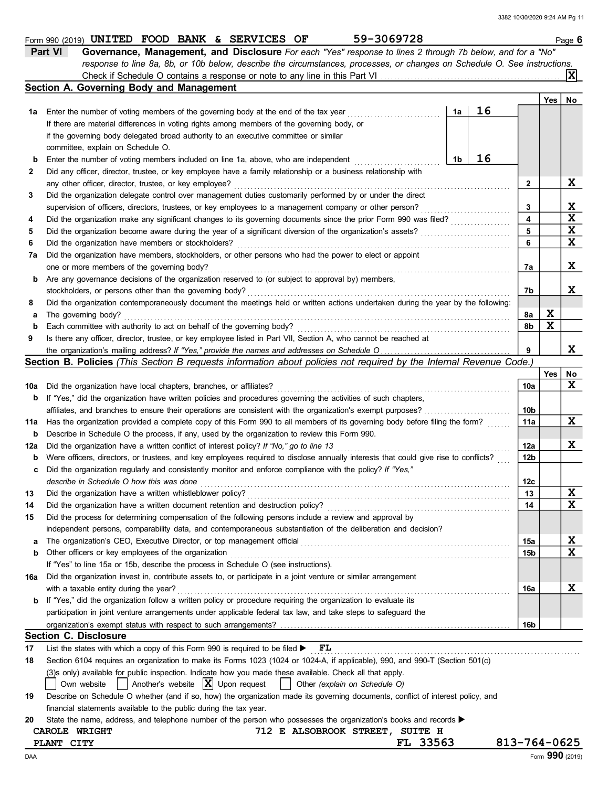|          |                                                                                                                                                                                                                                                                                                                                          | 3382 10/30/2020 9:24 AM Pg 11 |                                |
|----------|------------------------------------------------------------------------------------------------------------------------------------------------------------------------------------------------------------------------------------------------------------------------------------------------------------------------------------------|-------------------------------|--------------------------------|
|          | 59-3069728<br>Form 990 (2019) UNITED FOOD BANK & SERVICES OF<br>Governance, Management, and Disclosure For each "Yes" response to lines 2 through 7b below, and for a "No"<br>Part VI                                                                                                                                                    |                               | Page 6                         |
|          | response to line 8a, 8b, or 10b below, describe the circumstances, processes, or changes on Schedule O. See instructions.                                                                                                                                                                                                                |                               |                                |
|          | Check if Schedule O contains a response or note to any line in this Part VI<br>Section A. Governing Body and Management                                                                                                                                                                                                                  |                               |                                |
|          | 16                                                                                                                                                                                                                                                                                                                                       |                               | Yes $\vert$ No                 |
|          | 1a Enter the number of voting members of the governing body at the end of the tax year<br>1a<br>If there are material differences in voting rights among members of the governing body, or<br>if the governing body delegated broad authority to an executive committee or similar                                                       |                               |                                |
|          | committee, explain on Schedule O.<br>16<br>Enter the number of voting members included on line 1a, above, who are independent<br>1b                                                                                                                                                                                                      |                               |                                |
|          | Did any officer, director, trustee, or key employee have a family relationship or a business relationship with<br>any other officer, director, trustee, or key employee?                                                                                                                                                                 | $\overline{2}$                | X                              |
|          | Did the organization delegate control over management duties customarily performed by or under the direct                                                                                                                                                                                                                                |                               |                                |
|          | supervision of officers, directors, trustees, or key employees to a management company or other person?<br>Did the organization make any significant changes to its governing documents since the prior Form 990 was filed?                                                                                                              | 3                             | X<br>$\mathbf x$               |
|          | Did the organization become aware during the year of a significant diversion of the organization's assets?                                                                                                                                                                                                                               | 5 <sub>1</sub>                | X<br>$\overline{\mathbf{x}}$   |
|          | Did the organization have members or stockholders?<br>7a  Did the organization have members, stockholders, or other persons who had the power to elect or appoint                                                                                                                                                                        |                               |                                |
|          | one or more members of the governing body?<br><b>b</b> Are any governance decisions of the organization reserved to (or subject to approval by) members,                                                                                                                                                                                 | 7а                            | X                              |
|          | stockholders, or persons other than the governing body?                                                                                                                                                                                                                                                                                  | 7b                            | X                              |
|          | Did the organization contemporaneously document the meetings held or written actions undertaken during the year by the following:<br>The governing body?                                                                                                                                                                                 | X<br>8а                       |                                |
|          |                                                                                                                                                                                                                                                                                                                                          | $\mathbf x$<br>8 <b>b</b>     |                                |
|          | Is there any officer, director, trustee, or key employee listed in Part VII, Section A, who cannot be reached at                                                                                                                                                                                                                         | 9                             | X                              |
|          | Section B. Policies (This Section B requests information about policies not required by the Internal Revenue Code.)                                                                                                                                                                                                                      |                               |                                |
|          | 10a Did the organization have local chapters, branches, or affiliates?                                                                                                                                                                                                                                                                   | 10a                           | Yes $\vert$ No<br>$\mathbf{x}$ |
|          | <b>b</b> If "Yes," did the organization have written policies and procedures governing the activities of such chapters,                                                                                                                                                                                                                  |                               |                                |
|          | affiliates, and branches to ensure their operations are consistent with the organization's exempt purposes?<br>11a Has the organization provided a complete copy of this Form 990 to all members of its governing body before filing the form?                                                                                           | 10b<br>11a                    | $\mathbf{x}$                   |
| b<br>12a | Describe in Schedule O the process, if any, used by the organization to review this Form 990.<br>Did the organization have a written conflict of interest policy? If "No," go to line 13                                                                                                                                                 | 12a                           | X                              |
| b        | Were officers, directors, or trustees, and key employees required to disclose annually interests that could give rise to conflicts?                                                                                                                                                                                                      | 12 <sub>b</sub>               |                                |
| C        | Did the organization regularly and consistently monitor and enforce compliance with the policy? If "Yes,"<br>describe in Schedule O how this was done                                                                                                                                                                                    | 12c                           |                                |
| 13       |                                                                                                                                                                                                                                                                                                                                          | 13                            | $\mathbf{x}$                   |
| 14<br>15 | Did the process for determining compensation of the following persons include a review and approval by                                                                                                                                                                                                                                   | 14                            | $\mathbf{x}$                   |
|          | independent persons, comparability data, and contemporaneous substantiation of the deliberation and decision?                                                                                                                                                                                                                            |                               |                                |
|          | <b>b</b> Other officers or key employees of the organization                                                                                                                                                                                                                                                                             | 15a<br>15 <sub>b</sub>        | X<br>$\overline{\mathbf{x}}$   |
|          | If "Yes" to line 15a or 15b, describe the process in Schedule O (see instructions).                                                                                                                                                                                                                                                      |                               |                                |
|          | 16a Did the organization invest in, contribute assets to, or participate in a joint venture or similar arrangement<br>with a taxable entity during the year?                                                                                                                                                                             | 16a                           | x                              |
|          | <b>b</b> If "Yes," did the organization follow a written policy or procedure requiring the organization to evaluate its<br>participation in joint venture arrangements under applicable federal tax law, and take steps to safeguard the                                                                                                 | 16 <sub>b</sub>               |                                |
|          | <b>Section C. Disclosure</b>                                                                                                                                                                                                                                                                                                             |                               |                                |
| 17<br>18 | List the states with which a copy of this Form 990 is required to be filed $\blacktriangleright$ $\blacktriangleright$ $\blacktriangleright$ $\blacktriangleright$ $\blacktriangleright$<br>Section 6104 requires an organization to make its Forms 1023 (1024 or 1024-A, if applicable), 990, and 990-T (Section 501(c)                 |                               |                                |
| 19       | (3)s only) available for public inspection. Indicate how you made these available. Check all that apply.<br>Own website $\Box$ Another's website $\Box$ Upon request<br>Other (explain on Schedule O)<br>Describe on Schedule O whether (and if so, how) the organization made its governing documents, conflict of interest policy, and |                               |                                |
|          | financial statements available to the public during the tax year.                                                                                                                                                                                                                                                                        |                               |                                |
| 20       | State the name, address, and telephone number of the person who possesses the organization's books and records $\blacktriangleright$<br>712 E ALSOBROOK STREET, SUITE H<br>CAROLE WRIGHT                                                                                                                                                 |                               |                                |
|          | FL 33563<br>PLANT CITY                                                                                                                                                                                                                                                                                                                   | 813-764-0625                  |                                |
| DAA      |                                                                                                                                                                                                                                                                                                                                          | Form 990 (2019)               |                                |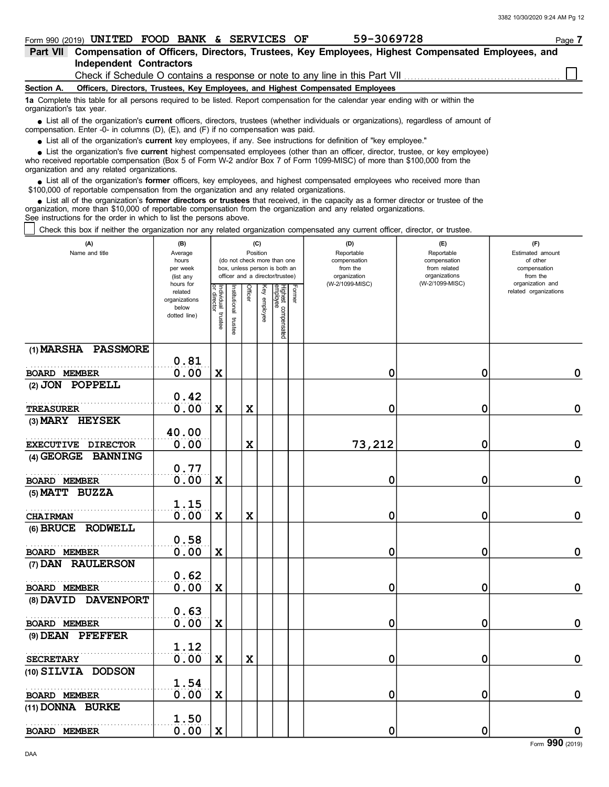# Independent Contractors Part VII Compensation of Officers, Directors, Trustees, Key Employees, Highest Compensated Employees, and 3382 10/30/2020 9:24 AM Pg 12<br> **UNITED FOOD BANK & SERVICES OF** 59-3069728<br> **Page 7**<br> **Page 7**<br> **Page 7**<br> **Page 7**<br> **Page 7**<br> **Page 7**<br> **Page 7**<br> **Page 7**<br> **Page 7**<br> **Page 7**<br> **Page 7**<br> **Page 7**<br> **Page 7**<br> **Page 7**<br> **Page**

### Section A. Officers, Directors, Trustees, Key Employees, and Highest Compensated Employees

|                          | Form 990 (2019) UNITED FOOD BANK & SERVICES OF                                            |                        |                           |                                                                  |          |                                 |        | 59-3069728<br>Part VII Compensation of Officers, Directors, Trustees, Key Employees, Highest Compensated Employees, and                                                                                                                                     |                               |   | Page 7                                    |
|--------------------------|-------------------------------------------------------------------------------------------|------------------------|---------------------------|------------------------------------------------------------------|----------|---------------------------------|--------|-------------------------------------------------------------------------------------------------------------------------------------------------------------------------------------------------------------------------------------------------------------|-------------------------------|---|-------------------------------------------|
|                          | <b>Independent Contractors</b>                                                            |                        |                           |                                                                  |          |                                 |        |                                                                                                                                                                                                                                                             |                               |   |                                           |
|                          |                                                                                           |                        |                           |                                                                  |          |                                 |        |                                                                                                                                                                                                                                                             |                               |   |                                           |
| Section A.               |                                                                                           |                        |                           |                                                                  |          |                                 |        | Officers, Directors, Trustees, Key Employees, and Highest Compensated Employees<br>1a Complete this table for all persons required to be listed. Report compensation for the calendar year ending with or within the                                        |                               |   |                                           |
| organization's tax year. |                                                                                           |                        |                           |                                                                  |          |                                 |        |                                                                                                                                                                                                                                                             |                               |   |                                           |
|                          | compensation. Enter -0- in columns (D), (E), and (F) if no compensation was paid.         |                        |                           |                                                                  |          |                                 |        | List all of the organization's current officers, directors, trustees (whether individuals or organizations), regardless of amount of                                                                                                                        |                               |   |                                           |
|                          |                                                                                           |                        |                           |                                                                  |          |                                 |        | • List all of the organization's current key employees, if any. See instructions for definition of "key employee."                                                                                                                                          |                               |   |                                           |
|                          |                                                                                           |                        |                           |                                                                  |          |                                 |        | • List the organization's five current highest compensated employees (other than an officer, director, trustee, or key employee)<br>who received reportable compensation (Box 5 of Form W-2 and/or Box 7 of Form 1099-MISC) of more than \$100,000 from the |                               |   |                                           |
|                          | organization and any related organizations.                                               |                        |                           |                                                                  |          |                                 |        | List all of the organization's former officers, key employees, and highest compensated employees who received more than                                                                                                                                     |                               |   |                                           |
|                          | \$100,000 of reportable compensation from the organization and any related organizations. |                        |                           |                                                                  |          |                                 |        |                                                                                                                                                                                                                                                             |                               |   |                                           |
|                          |                                                                                           |                        |                           |                                                                  |          |                                 |        | List all of the organization's former directors or trustees that received, in the capacity as a former director or trustee of the<br>organization, more than \$10,000 of reportable compensation from the organization and any related organizations.       |                               |   |                                           |
|                          | See instructions for the order in which to list the persons above.                        |                        |                           |                                                                  |          |                                 |        | Check this box if neither the organization nor any related organization compensated any current officer, director, or trustee.                                                                                                                              |                               |   |                                           |
|                          | (A)                                                                                       | (B)                    |                           |                                                                  | (C)      |                                 |        | (D)                                                                                                                                                                                                                                                         | (E)                           |   | (F)                                       |
|                          | Name and title                                                                            | Average<br>hours       |                           | (do not check more than one                                      | Position |                                 |        | Reportable<br>compensation                                                                                                                                                                                                                                  | Reportable<br>compensation    |   | Estimated amount<br>of other              |
|                          |                                                                                           | per week<br>(list any  |                           | box, unless person is both an<br>officer and a director/trustee) |          |                                 |        | from the<br>organization                                                                                                                                                                                                                                    | from related<br>organizations |   | compensation<br>from the                  |
|                          |                                                                                           | hours for<br>related   |                           | Officer                                                          | Ķey      |                                 |        | (W-2/1099-MISC)                                                                                                                                                                                                                                             | (W-2/1099-MISC)               |   | organization and<br>related organizations |
|                          |                                                                                           | organizations<br>below |                           | nstitutional                                                     | employee | Highest compensatec<br>employee | Former |                                                                                                                                                                                                                                                             |                               |   |                                           |
|                          |                                                                                           | dotted line)           | mustee                    | trustee                                                          |          |                                 |        |                                                                                                                                                                                                                                                             |                               |   |                                           |
|                          |                                                                                           |                        |                           |                                                                  |          |                                 |        |                                                                                                                                                                                                                                                             |                               |   |                                           |
| $(1)$ MARSHA             | <b>PASSMORE</b>                                                                           |                        |                           |                                                                  |          |                                 |        |                                                                                                                                                                                                                                                             |                               |   |                                           |
| <b>BOARD MEMBER</b>      |                                                                                           | 0.81<br>0.00           | $\mathbf x$               |                                                                  |          |                                 |        |                                                                                                                                                                                                                                                             |                               | 0 | 0                                         |
| $(2)$ JON                | POPPELL                                                                                   |                        |                           |                                                                  |          |                                 |        |                                                                                                                                                                                                                                                             |                               |   |                                           |
|                          |                                                                                           | 0.42                   |                           |                                                                  |          |                                 |        |                                                                                                                                                                                                                                                             |                               |   |                                           |
| <b>TREASURER</b>         | (3) MARY HEYSEK                                                                           | 0.00                   | X                         | X                                                                |          |                                 |        |                                                                                                                                                                                                                                                             |                               | 0 | 0                                         |
|                          |                                                                                           | 40.00                  |                           |                                                                  |          |                                 |        |                                                                                                                                                                                                                                                             |                               |   |                                           |
|                          | EXECUTIVE DIRECTOR                                                                        | 0.00                   |                           |                                                                  | X        |                                 |        | 73,212                                                                                                                                                                                                                                                      |                               | Ω | 0                                         |
|                          | (4) GEORGE BANNING                                                                        | 0.77                   |                           |                                                                  |          |                                 |        |                                                                                                                                                                                                                                                             |                               |   |                                           |
| BOARD MEMBER             |                                                                                           | 0.00                   | $\boldsymbol{\mathrm{X}}$ |                                                                  |          |                                 |        |                                                                                                                                                                                                                                                             |                               |   | 0                                         |
|                          | $(5)$ MATT BUZZA                                                                          | 1.15                   |                           |                                                                  |          |                                 |        |                                                                                                                                                                                                                                                             |                               |   |                                           |
| CHAIRMAN                 |                                                                                           | 0.00                   | $\mathbf{x}$              |                                                                  | X        |                                 |        |                                                                                                                                                                                                                                                             |                               |   | 0                                         |
|                          | (6) BRUCE RODWELL                                                                         |                        |                           |                                                                  |          |                                 |        |                                                                                                                                                                                                                                                             |                               |   |                                           |
| BOARD MEMBER             |                                                                                           | 0.58<br>0.00           | $\mathbf{x}$              |                                                                  |          |                                 |        |                                                                                                                                                                                                                                                             |                               |   | 0                                         |
|                          | (7) DAN RAULERSON                                                                         |                        |                           |                                                                  |          |                                 |        |                                                                                                                                                                                                                                                             |                               |   |                                           |
|                          |                                                                                           | 0.62                   |                           |                                                                  |          |                                 |        |                                                                                                                                                                                                                                                             |                               |   |                                           |
| <b>BOARD MEMBER</b>      | (8) DAVID DAVENPORT                                                                       | 0.00                   | $\mathbf{x}$              |                                                                  |          |                                 |        |                                                                                                                                                                                                                                                             |                               |   | 0                                         |
|                          |                                                                                           | 0.63                   |                           |                                                                  |          |                                 |        |                                                                                                                                                                                                                                                             |                               |   |                                           |
| <b>BOARD MEMBER</b>      |                                                                                           | 0.00                   | $\mathbf{x}$              |                                                                  |          |                                 |        |                                                                                                                                                                                                                                                             |                               |   | 0                                         |
|                          | (9) DEAN PFEFFER                                                                          | 1.12                   |                           |                                                                  |          |                                 |        |                                                                                                                                                                                                                                                             |                               |   |                                           |
| <b>SECRETARY</b>         |                                                                                           | 0.00                   | x                         |                                                                  | X        |                                 |        |                                                                                                                                                                                                                                                             |                               |   | 0                                         |
|                          | (10) SILVIA DODSON                                                                        | 1.54                   |                           |                                                                  |          |                                 |        |                                                                                                                                                                                                                                                             |                               |   |                                           |
| <b>BOARD MEMBER</b>      |                                                                                           | 0.00                   | $\mathbf{x}$              |                                                                  |          |                                 |        |                                                                                                                                                                                                                                                             |                               |   | 0                                         |
|                          | (11) DONNA BURKE                                                                          |                        |                           |                                                                  |          |                                 |        |                                                                                                                                                                                                                                                             |                               |   |                                           |
| <b>BOARD MEMBER</b>      |                                                                                           | 1.50<br>0.00           | $\mathbf{x}$              |                                                                  |          |                                 |        | 0                                                                                                                                                                                                                                                           |                               | 0 | 0                                         |
|                          |                                                                                           |                        |                           |                                                                  |          |                                 |        |                                                                                                                                                                                                                                                             |                               |   | Form 990 (2019)                           |
| DAA                      |                                                                                           |                        |                           |                                                                  |          |                                 |        |                                                                                                                                                                                                                                                             |                               |   |                                           |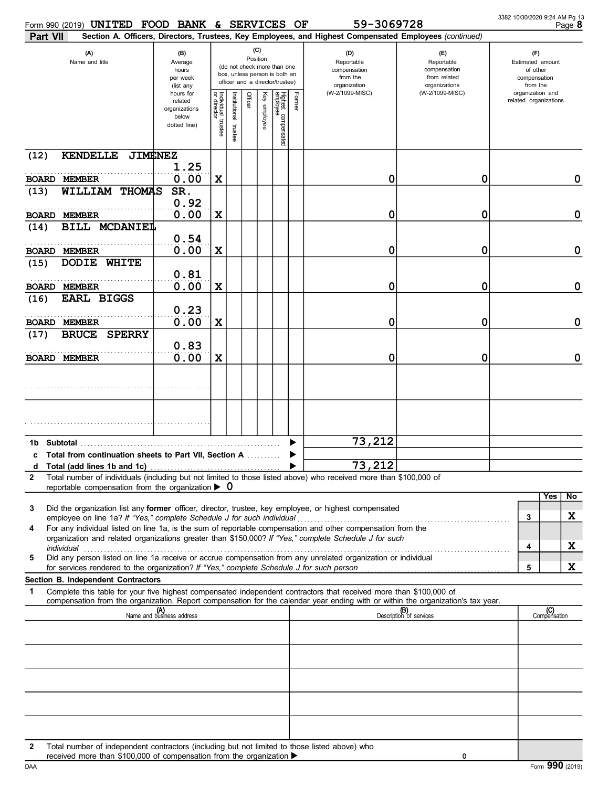|                             | Form 990 (2019) UNITED FOOD BANK & SERVICES OF                                                                                                                                                                                                                                                                                                       |                                  |                             |               |                 |                                                              |        | 59-3069728                                                                                             |                                  |    | 3382 10/30/2020 9:24 AM Pg 13 | Page 8       |
|-----------------------------|------------------------------------------------------------------------------------------------------------------------------------------------------------------------------------------------------------------------------------------------------------------------------------------------------------------------------------------------------|----------------------------------|-----------------------------|---------------|-----------------|--------------------------------------------------------------|--------|--------------------------------------------------------------------------------------------------------|----------------------------------|----|-------------------------------|--------------|
| <b>Part VII</b>             |                                                                                                                                                                                                                                                                                                                                                      |                                  |                             |               |                 |                                                              |        | Section A. Officers, Directors, Trustees, Key Employees, and Highest Compensated Employees (continued) |                                  |    |                               |              |
|                             | (A)<br>Name and title                                                                                                                                                                                                                                                                                                                                | (B)<br>Average                   |                             |               | (C)<br>Position |                                                              |        | (D)<br>Reportable                                                                                      | $(\mathsf{E})$<br>Reportable     |    | (F)<br>Estimated amount       |              |
|                             |                                                                                                                                                                                                                                                                                                                                                      | hours<br>per week                |                             |               |                 | (do not check more than one<br>box, unless person is both an |        | compensation<br>from the                                                                               | compensation<br>from related     |    | of other<br>compensation      |              |
|                             |                                                                                                                                                                                                                                                                                                                                                      | (list any<br>hours for           |                             |               |                 | officer and a director/trustee)                              |        | organization<br>(W-2/1099-MISC)                                                                        | organizations<br>(W-2/1099-MISC) |    | from the<br>organization and  |              |
|                             |                                                                                                                                                                                                                                                                                                                                                      | related<br>organizations         | Individual<br>  or director | Institutional | Officel         |                                                              | Former |                                                                                                        |                                  |    | related organizations         |              |
|                             |                                                                                                                                                                                                                                                                                                                                                      | below<br>dotted line)            |                             |               | Key employee    | Highest compensated<br>employee                              |        |                                                                                                        |                                  |    |                               |              |
|                             |                                                                                                                                                                                                                                                                                                                                                      |                                  | trustee                     | trustee       |                 |                                                              |        |                                                                                                        |                                  |    |                               |              |
| (12)                        | <b>KENDELLE</b><br><b>JIMENEZ</b>                                                                                                                                                                                                                                                                                                                    |                                  |                             |               |                 |                                                              |        |                                                                                                        |                                  |    |                               |              |
|                             |                                                                                                                                                                                                                                                                                                                                                      | 1.25                             |                             |               |                 |                                                              |        |                                                                                                        |                                  |    |                               |              |
| <b>BOARD MEMBER</b>         |                                                                                                                                                                                                                                                                                                                                                      | 0.00                             | $\mathbf x$                 |               |                 |                                                              |        |                                                                                                        | 0                                | 0  |                               | 0            |
| (13)                        | WILLIAM THOMAS                                                                                                                                                                                                                                                                                                                                       | SR.<br>0.92                      |                             |               |                 |                                                              |        |                                                                                                        |                                  |    |                               |              |
| BOARD MEMBER                |                                                                                                                                                                                                                                                                                                                                                      | $0.00$   $x$                     |                             |               |                 |                                                              |        |                                                                                                        | 01                               | 01 |                               | 0            |
| (14)                        | <b>BILL MCDANIEL</b>                                                                                                                                                                                                                                                                                                                                 |                                  |                             |               |                 |                                                              |        |                                                                                                        |                                  |    |                               |              |
|                             |                                                                                                                                                                                                                                                                                                                                                      | 0.54<br>$0.00 \mid X$            |                             |               |                 |                                                              |        |                                                                                                        | 0                                | ი  |                               | 0            |
| <b>BOARD MEMBER</b><br>(15) | DODIE WHITE                                                                                                                                                                                                                                                                                                                                          |                                  |                             |               |                 |                                                              |        |                                                                                                        |                                  |    |                               |              |
|                             |                                                                                                                                                                                                                                                                                                                                                      | 0.81                             |                             |               |                 |                                                              |        |                                                                                                        |                                  |    |                               |              |
| BOARD MEMBER                |                                                                                                                                                                                                                                                                                                                                                      | $0.00$   $x$                     |                             |               |                 |                                                              |        |                                                                                                        | ი                                |    |                               | 0            |
| (16)                        | <b>EARL BIGGS</b>                                                                                                                                                                                                                                                                                                                                    | 0.23                             |                             |               |                 |                                                              |        |                                                                                                        |                                  |    |                               |              |
| <b>BOARD MEMBER</b>         |                                                                                                                                                                                                                                                                                                                                                      | $0.00$ $\mathbf{x}$              |                             |               |                 |                                                              |        |                                                                                                        | ი                                |    |                               | 0            |
| (17)                        | <b>BRUCE SPERRY</b>                                                                                                                                                                                                                                                                                                                                  |                                  |                             |               |                 |                                                              |        |                                                                                                        |                                  |    |                               |              |
| <b>BOARD MEMBER</b>         |                                                                                                                                                                                                                                                                                                                                                      | 0.83<br>$0.00$   $x$             |                             |               |                 |                                                              |        |                                                                                                        | ი                                |    |                               | 0            |
|                             |                                                                                                                                                                                                                                                                                                                                                      |                                  |                             |               |                 |                                                              |        |                                                                                                        |                                  |    |                               |              |
|                             |                                                                                                                                                                                                                                                                                                                                                      | .                                |                             |               |                 |                                                              |        |                                                                                                        |                                  |    |                               |              |
|                             |                                                                                                                                                                                                                                                                                                                                                      |                                  |                             |               |                 |                                                              |        |                                                                                                        |                                  |    |                               |              |
|                             |                                                                                                                                                                                                                                                                                                                                                      |                                  |                             |               |                 |                                                              |        |                                                                                                        |                                  |    |                               |              |
|                             |                                                                                                                                                                                                                                                                                                                                                      |                                  |                             |               |                 |                                                              |        |                                                                                                        |                                  |    |                               |              |
|                             |                                                                                                                                                                                                                                                                                                                                                      |                                  |                             |               |                 |                                                              |        | 73,212                                                                                                 |                                  |    |                               |              |
|                             | c Total from continuation sheets to Part VII, Section A  ▶                                                                                                                                                                                                                                                                                           |                                  |                             |               |                 |                                                              |        | 73,212                                                                                                 |                                  |    |                               |              |
|                             | 2 Total number of individuals (including but not limited to those listed above) who received more than \$100,000 of                                                                                                                                                                                                                                  |                                  |                             |               |                 |                                                              |        |                                                                                                        |                                  |    |                               |              |
|                             | reportable compensation from the organization $\blacktriangleright$ 0                                                                                                                                                                                                                                                                                |                                  |                             |               |                 |                                                              |        |                                                                                                        |                                  |    |                               | Yes   No     |
| 3                           | Did the organization list any former officer, director, trustee, key employee, or highest compensated                                                                                                                                                                                                                                                |                                  |                             |               |                 |                                                              |        |                                                                                                        |                                  |    |                               | $\mathbf x$  |
|                             | 4 For any individual listed on line 1a, is the sum of reportable compensation and other compensation from the                                                                                                                                                                                                                                        |                                  |                             |               |                 |                                                              |        |                                                                                                        |                                  |    | $\mathbf{3}$                  |              |
|                             | organization and related organizations greater than \$150,000? If "Yes," complete Schedule J for such                                                                                                                                                                                                                                                |                                  |                             |               |                 |                                                              |        |                                                                                                        |                                  |    |                               | $\mathbf x$  |
| 5                           | individual <b>construents and the construction of the construction</b> of the construction of the construction of the construction of the construction of the construction of the construction of the construction of the construct<br>Did any person listed on line 1a receive or accrue compensation from any unrelated organization or individual |                                  |                             |               |                 |                                                              |        |                                                                                                        |                                  |    | $\overline{\mathbf{4}}$       |              |
|                             |                                                                                                                                                                                                                                                                                                                                                      |                                  |                             |               |                 |                                                              |        |                                                                                                        |                                  |    | 5 <sub>5</sub>                | $\mathbf{x}$ |
| $\mathbf{1}$                | Section B. Independent Contractors<br>Complete this table for your five highest compensated independent contractors that received more than \$100,000 of                                                                                                                                                                                             |                                  |                             |               |                 |                                                              |        |                                                                                                        |                                  |    |                               |              |
|                             | compensation from the organization. Report compensation for the calendar year ending with or within the organization's tax year.                                                                                                                                                                                                                     |                                  |                             |               |                 |                                                              |        |                                                                                                        |                                  |    |                               |              |
|                             |                                                                                                                                                                                                                                                                                                                                                      | (A)<br>Name and business address |                             |               |                 |                                                              |        |                                                                                                        | (B)<br>Description of services   |    | (C)<br>Compensation           |              |
|                             |                                                                                                                                                                                                                                                                                                                                                      |                                  |                             |               |                 |                                                              |        |                                                                                                        |                                  |    |                               |              |
|                             |                                                                                                                                                                                                                                                                                                                                                      |                                  |                             |               |                 |                                                              |        |                                                                                                        |                                  |    |                               |              |
|                             |                                                                                                                                                                                                                                                                                                                                                      |                                  |                             |               |                 |                                                              |        |                                                                                                        |                                  |    |                               |              |
|                             |                                                                                                                                                                                                                                                                                                                                                      |                                  |                             |               |                 |                                                              |        |                                                                                                        |                                  |    |                               |              |
|                             |                                                                                                                                                                                                                                                                                                                                                      |                                  |                             |               |                 |                                                              |        |                                                                                                        |                                  |    |                               |              |
|                             |                                                                                                                                                                                                                                                                                                                                                      |                                  |                             |               |                 |                                                              |        |                                                                                                        |                                  |    |                               |              |
|                             |                                                                                                                                                                                                                                                                                                                                                      |                                  |                             |               |                 |                                                              |        |                                                                                                        |                                  |    |                               |              |
|                             |                                                                                                                                                                                                                                                                                                                                                      |                                  |                             |               |                 |                                                              |        |                                                                                                        |                                  |    |                               |              |
|                             |                                                                                                                                                                                                                                                                                                                                                      |                                  |                             |               |                 |                                                              |        |                                                                                                        |                                  |    |                               |              |
| $\overline{2}$              | received more than \$100,000 of compensation from the organization ▶                                                                                                                                                                                                                                                                                 |                                  |                             |               |                 |                                                              |        | Total number of independent contractors (including but not limited to those listed above) who          |                                  | 0  |                               |              |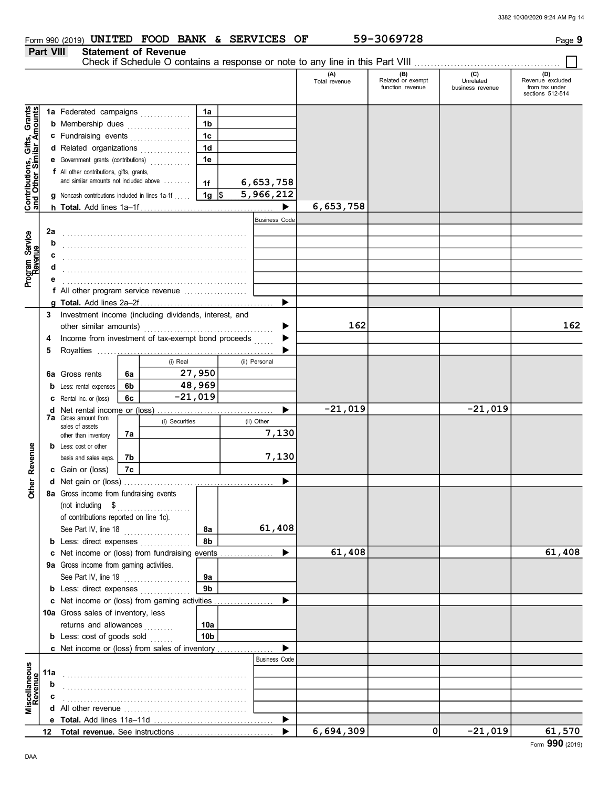|                                                           |                                                                                                                                            |                      |                                              |                                      | 3382 10/30/2020 9:24 AM Pg 14             |
|-----------------------------------------------------------|--------------------------------------------------------------------------------------------------------------------------------------------|----------------------|----------------------------------------------|--------------------------------------|-------------------------------------------|
|                                                           | Form 990 (2019) UNITED FOOD BANK & SERVICES OF                                                                                             |                      | 59-3069728                                   |                                      | Page 9                                    |
|                                                           | <b>Part VIII</b><br><b>Statement of Revenue</b><br>Check if Schedule O contains a response or note to any line in this Part VIII           |                      |                                              |                                      |                                           |
|                                                           |                                                                                                                                            | (A)<br>Total revenue | (B)<br>Related or exempt<br>function revenue | (C)<br>Unrelated<br>business revenue | (D)<br>Revenue excluded<br>from tax under |
|                                                           |                                                                                                                                            |                      |                                              |                                      | sections 512-514                          |
| Contributions, Gifts, Grants<br>and Other Similar Amounts | 1a Federated campaigns<br>1a<br>1 <sub>b</sub><br><b>b</b> Membership dues                                                                 |                      |                                              |                                      |                                           |
|                                                           | 1 <sub>c</sub><br>c Fundraising events<br>.                                                                                                |                      |                                              |                                      |                                           |
|                                                           | d Related organizations<br>1 <sub>d</sub><br>1e<br><b>e</b> Government grants (contributions)                                              |                      |                                              |                                      |                                           |
|                                                           | distribution district<br>f All other contributions, gifts, grants,                                                                         |                      |                                              |                                      |                                           |
|                                                           | and similar amounts not included above<br>6,653,758<br>1f<br>5,966,212<br>1g $\vert$ \$<br>g Noncash contributions included in lines 1a-1f |                      |                                              |                                      |                                           |
|                                                           |                                                                                                                                            | 6,653,758            |                                              |                                      |                                           |
|                                                           | <b>Business Code</b><br>2a                                                                                                                 |                      |                                              |                                      |                                           |
| Program Service<br>Revenue                                | b                                                                                                                                          |                      |                                              |                                      |                                           |
|                                                           | c                                                                                                                                          |                      |                                              |                                      |                                           |
|                                                           | e                                                                                                                                          |                      |                                              |                                      |                                           |
|                                                           | f All other program service revenue<br>▶                                                                                                   |                      |                                              |                                      |                                           |
|                                                           | 3 Investment income (including dividends, interest, and                                                                                    |                      |                                              |                                      |                                           |
|                                                           | 4 Income from investment of tax-exempt bond proceeds                                                                                       | 162                  |                                              |                                      | 162                                       |
|                                                           |                                                                                                                                            |                      |                                              |                                      |                                           |
|                                                           | (i) Real<br>(ii) Personal<br>27,950<br>6a Gross rents<br>6a                                                                                |                      |                                              |                                      |                                           |
|                                                           | 48,969<br><b>b</b> Less: rental expenses<br>6b                                                                                             |                      |                                              |                                      |                                           |
|                                                           | $-21,019$<br><b>6c</b><br><b>c</b> Rental inc. or (loss)<br>▶                                                                              | $-21,019$            |                                              | $-21,019$                            |                                           |
|                                                           | 7a Gross amount from<br>(ii) Other<br>(i) Securities<br>sales of assets                                                                    |                      |                                              |                                      |                                           |
|                                                           | 7,130<br>7a<br>other than inventory                                                                                                        |                      |                                              |                                      |                                           |
| Revenue                                                   | <b>b</b> Less: cost or other<br>7,130<br>7b<br>basis and sales exps.                                                                       |                      |                                              |                                      |                                           |
|                                                           | 7c<br>c Gain or (loss)                                                                                                                     |                      |                                              |                                      |                                           |
| Other                                                     | 8a Gross income from fundraising events                                                                                                    |                      |                                              |                                      |                                           |
|                                                           | (not including \$<br>1.1.1.1.1.1.1                                                                                                         |                      |                                              |                                      |                                           |
|                                                           | of contributions reported on line 1c).<br>61,408<br>See Part IV, line 18<br>8a<br>.                                                        |                      |                                              |                                      |                                           |
|                                                           | <b>8b</b><br><b>b</b> Less: direct expenses                                                                                                |                      |                                              |                                      |                                           |
|                                                           | c Net income or (loss) from fundraising events<br>▶<br>9a Gross income from gaming activities.                                             | 61,408               |                                              |                                      | 61,408                                    |
|                                                           | See Part IV, line 19<br>9a<br>.                                                                                                            |                      |                                              |                                      |                                           |
|                                                           | 9 <sub>b</sub><br><b>b</b> Less: direct expenses<br>c Net income or (loss) from gaming activities<br>▶                                     |                      |                                              |                                      |                                           |
|                                                           | 10a Gross sales of inventory, less                                                                                                         |                      |                                              |                                      |                                           |
|                                                           | returns and allowances<br>10a<br>.<br><b>b</b> Less: cost of goods sold<br>10 <sub>b</sub>                                                 |                      |                                              |                                      |                                           |
|                                                           | c Net income or (loss) from sales of inventory                                                                                             |                      |                                              |                                      |                                           |
|                                                           | <b>Business Code</b><br>11a                                                                                                                |                      |                                              |                                      |                                           |
| Miscellaneous<br>Revenue                                  | b                                                                                                                                          |                      |                                              |                                      |                                           |
|                                                           | C<br><b>d</b> All other revenue $\ldots$ $\ldots$ $\ldots$ $\ldots$ $\ldots$ $\ldots$                                                      |                      |                                              |                                      |                                           |
|                                                           | $\blacktriangleright$                                                                                                                      |                      |                                              |                                      |                                           |
|                                                           | $\blacktriangleright$<br>12 Total revenue. See instructions                                                                                | 6,694,309            | $\Omega$                                     | $-21,019$                            | 61,570                                    |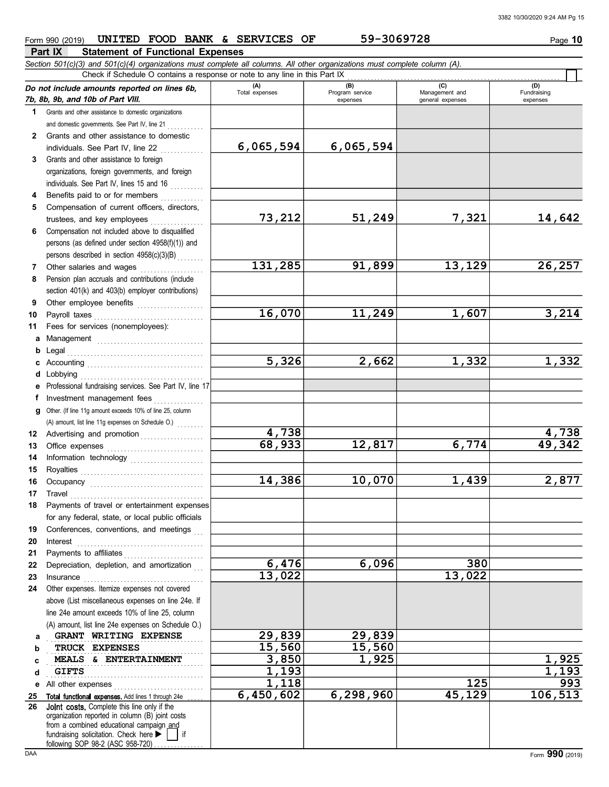# Part IX Statement of Functional Expenses Form 990 (2019) UNITED FOOD BANK & SERVICES OF  $59-3069728$  Page 10 Section 501(c)(3) and 501(c)(4) organizations must complete all columns. All other organizations must complete column (A). 1 Grants and other assistance to domestic organizations and all the state of  $\sim$  1 2 Grants and other assistance to domestic 3 Grants and other assistance to foreign **1** and  $\vert$  **1** and  $\vert$  **1** and  $\vert$  **1** and  $\vert$  **1** and  $\vert$  **1** and  $\vert$  **1** and  $\vert$  **1** and  $\vert$  **1** and  $\vert$  **1** and  $\vert$  **1** and  $\vert$  **1** and  $\vert$  **1** and  $\vert$  **1** and  $\vert$ 4 Benefits paid to or for members . . . . . . . . . . <u>| \_ \_ \_ \_ \_ \_ \_ \_ \_ \_ \_ \_</u> 5 Compensation of current officers, directors, 6 Compensation not included above to disqualified 7 Other salaries and wages  $\begin{array}{|c|c|c|c|c|}\hline & & 131,28\hline \end{array}$ 8 Pension plan accruals and contributions (include and the state of the state of the state of the state of the state of the state of the state of the state of the state of the state of the state of the state of the state o 9 Other employee benefits . . . . . . . . . . . . . . . . . . . . 10 Payroll taxes . . . . . . . . . . . . . . . . . . . . . . . . . . . . . . . . . 11 Fees for services (nonemployees): ab Management . . . . . . . . . . . . . . . . . . . . . . . . . . . . . . . . cd Accounting . . . . . . . . . . . . . . . . . . . . . . . . . . . . . . . . . . . e Professional fundraising services. See Part IV, line 17 f Investment management fees . . . . . . . . . . . . . . . g Other. (If line 11g amount exceeds 10% of line 25, column 12 Advertising and promotion  $\begin{array}{|c|c|c|c|c|c|}\hline \textbf{4} & \textbf{4} & \textbf{7} \end{array}$ 13 Office expenses . . . . . . . . . . . . . . . . . . . . . . . . . . . . . **14** Information technology . . . . . . . . . . . . . . . . <u>| \_ \_ \_ \_ \_ \_ \_ \_ \_ \_ \_ \_ \_</u> 15 Royalties . . . . . . . . . . . . . . . . . . . . . . . . . . . . . . . . . . . . . 16 Occupancy . . . . . . . . . . . . . . . . . . . . . . . . . . . . . . . . . . 17 Travel . . . . . . . . . . . . . . . . . . . . . . . . . . . . . . . . . . . . . . . . 18 Payments of travel or entertainment expenses 19 Conferences, conventions, and meetings **Engineering** Conferences, conventions, and meetings 20 Interest . . . . . . . . . . . . . . . . . . . . . . . . . . . . . . . . . . . . . . 21 Payments to affiliates . . . . . . . . . . . . . . . . . . . . . . . . 22 Depreciation, depletion, and amortization  $\begin{array}{|c|c|c|c|c|}\hline \textbf{22} & \textbf{0,4} \end{array}$ 23 Insurance . . . . . . . . . . . . . . . . . . . . . . . . . . . . . . . . . . . . 24 Other expenses. Itemize expenses not covered a GRANT WRITING EXPENSE  $b$  TRUCK EXPENSES  $15,56$  $\begin{array}{ccc} \texttt{c} & \texttt{MEALS} & \texttt{E} & \texttt{ENTERAINMENT} \ \texttt{d} & \texttt{GIFTS} & & \texttt{1,19} \end{array}$ and domestic governments. See Part IV, line 21 . . . . . . . . . . . individuals. See Part IV, line 22 . . . . . . . . . . . . . . . 6, 065, 594 organizations, foreign governments, and foreign individuals. See Part IV, lines 15 and 16 trustees, and key employees  $\overline{73,212}$ persons (as defined under section 4958(f)(1)) and persons described in section 4958(c)(3)(B) . . . . . . . . section 401(k) and 403(b) employer contributions) Legal . . . . . . . . . . . . . . . . . . . . . . . . . . . . . . . . . . . . . . . . . Lobbying . . . . . . . . . . . . . . . . . . . . . . . . . . . . . . . . . . . . . for any federal, state, or local public officials above (List miscellaneous expenses on line 24e. If line 24e amount exceeds 10% of line 25, column (A) amount, list line 24e expenses on Schedule O.) 3382 10/30/2020 9:24 AM Pg 15<br>
COLumns. All other organizations must complete column (A).<br>
Et o any line in this Part IX<br>
(A)<br>
Program service<br>
Program service<br>
Program service<br>
Program service<br>
Program service<br>
Program se SERVICES OF 59-3069728 Page 10<br>
Sall columns. All other organizations must complete column (A).<br>
Total expenses<br>
Potal expenses<br>
Potal expenses<br>
Potal expenses<br>
Potal expenses<br>
Potal expenses<br>
Potal expenses<br>
Potal expense expenses and general expenses (D)<br>Fundraising expenses . . . . . . . . . . . . . . . . . . . . . . . . . . . . . . . . . . . . . . . . . . . . . . . . . . . . . . . . . . . . . . . . . . . . . . . . . . . . . . . . . . . . . . . . . . . . . . Check if Schedule O contains a response or note to any line in this Part IX (A) amount, list line 11g expenses on Schedule O.)  $\ldots \ldots$   $\begin{array}{|c|c|c|c|c|c|}\n\hline\n\text{Advertising and promotion} & & & \textbf{0.738}\n\end{array}$ UNITED FOOD BANK & SERVICES OF 59-3069728 Page 10<br>
tement of Functional Expenses<br>
State of the method of the state of the state of the state of the state of the state of the state of the state of the state of the state of SERVICES OF 59-3069728 Page 10<br>
S<br>
All columns. All other organizations must complete column (A).<br>
The to any line in this Part IX<br>
Program service<br>
Program service<br>
Program service<br>
Program service<br>
Program service<br>
Prog 3382 10/30/2020 924 AM P<sub>9</sub> 15<br>
3382 10/30/2020 924 AM P<sub>9</sub> 15<br>
23.21 All other organizations must complete column (A).<br>
23.22 51,249<br>
23.22 51,249<br>
23.22 51,899 13,129 26,257<br>
23.22 51,899 13,129 26,257 131,285 91,899 13,697 16,070 11,249 1,607 3,214 1.1.285 1.662 1.332 1.332<br>
16,070 1.249 1.607 3.214<br>
16,070 1.249 1.607 3.214<br>
16,070 1.249 1.607 3.214<br>
16,070 1.249 1.607 3.214<br>
16,070 1.249 1.607 3.214 5,594 6,065,594<br>
3,212 51,249 7,321 14,642<br>
1,285 91,899 13,129 26,257<br>
6,070 11,249 1,607 3,214<br>
5,326 2,662 1,332 1,332<br>
4,738<br>
8,933 12,817 6,774 49,342 3,212 51,249 7,321 14,642<br>
1,285 91,899 13,129 26,257<br>
6,070 11,249 1,607 3,214<br>
5,326 2,662 1,332 1,332<br>
4,738<br>
8,933 12,817 6,774 49,342<br>
4,386 10,070 1,439 2,877  $\begin{array}{|c|c|c|c|c|c|}\hline 7,321 & 14,642 \\ \hline 31,285 & 91,899 & 13,129 & 26,257 \\ \hline \end{array}$   $\begin{array}{|c|c|c|c|c|}\hline 16,070 & 11,249 & 1,607 & 3,214 \\ \hline \end{array}$   $\begin{array}{|c|c|c|c|c|}\hline 5,326 & 2,662 & 1,332 & 1,332 \\ \hline \end{array}$   $\begin{array}{|c|c|c|c|c|}\hline$ 31,285 91,899 13,129 26,257<br>
16,070 11,249 1,607 3,214<br>
5,326 2,662 1,332 1,332<br>
1,332 4,738<br>
68,933 12,817 6,774 49,342<br>
14,386 10,070 1,439 2,877<br>
6,476 6,096 380 5,326 2,662 1,332 1,332<br>
1,332 1,332<br>
1,332<br>
1,332<br>
1,332<br>
1,332<br>
4,738<br>
8,933 12,817 6,774 49,342<br>
4,738<br>
4,738<br>
8,933 12,817 6,774 49,342<br>
4,738<br>
4,738<br>
8,933 12,817 6,774 49,342<br>
2,877<br>
5,476 6,096 380<br>
1,439 2,877<br>
1,3  $\begin{array}{|c|c|c|c|c|}\hline 5,326 & 2,662 & 1,332 & 1,332 \\ \hline \hline \end{array}$ explore the theorem and the content of the set of the set of the set of the set of the set of the set of the set of the set of the set of the set of the set of the set of the set of the set of the set of the set of the se Experiment to the presence of the second of the control of the control of the control of the control of the control of the control of the control of the control of the control of the control of the control of the control Meansion experiments<br>
Meritaing and promotion<br>
the spences<br>
considered by the centre of the centre of the centre of the centre of the centre of the centre of the centre of the centre of the centre of the centre of the cen The momento of two two species<br>
considers increases  $\frac{2,877}{2}$ <br>
considers the content of two content interests of the content of two contents of the content of the content<br>
system of two content of the content of the c 4,386 10,070 1,439 2,877<br>
4,386 10,070 1,439 2,877<br>
5,6476 6,096 380<br>
3,022 13,022<br>
9,839 29,839<br>
5,560 1,925<br>
3,850 1,925<br>
1,193<br>
1,193<br>
1,193<br>
1,193<br>
1,193<br>
1,193<br>
1,193<br>
6,628,960 45,129<br>
106,513<br>
Forms 990 20,899<br>
For 14,386 10,070 1,439 2,877<br>
14,386 10,070 1,439 2,877<br>
14,39 2,877<br>
15,60<br>
13,022 13,022<br>
29,839 29,839<br>
15,560 15,560<br>
1,925 1,925<br>
1,118<br>
6,450,602 6,298,960 45,129 106,513<br>
16,513<br>
1993<br>
1993<br>
1993<br>
1993<br>
1993<br>
1993<br>
19

 $e$  All other expenses  $\begin{array}{|c|c|c|c|c|c|}\hline \end{array} \quad \begin{array}{|c|c|c|c|c|}\hline \begin{array}{|c|c|c|c|c|}\hline \begin{array}{|c|c|c|c|}\hline \begin{array}{|c|c|c|c|}\hline \begin{array}{|c|c|c|}\hline \begin{array}{|c|c|c|}\hline \begin{array}{|c|c|c|}\hline \begin{array}{|c|c|c|}\hline \begin{array}{|c|c|c|}\hline \begin{array}{|c|c|c|}\hline \begin{array}{|c$ 25 Total functional expenses. Add lines 1 through 24e  $\ldots$  | 6,450,60 26 **Joint costs.** Complete this line only if the **Complete in the set of the set of the set of the set of the set of the set of the set of the set of the set of the set of the set of the set of the set of the set of the se** fundraising solicitation. Check here  $\blacktriangleright$   $\blacktriangleright$  if organization reported in column (B) joint costs from a combined educational campaign and following SOP 98-2 (ASC 958-720)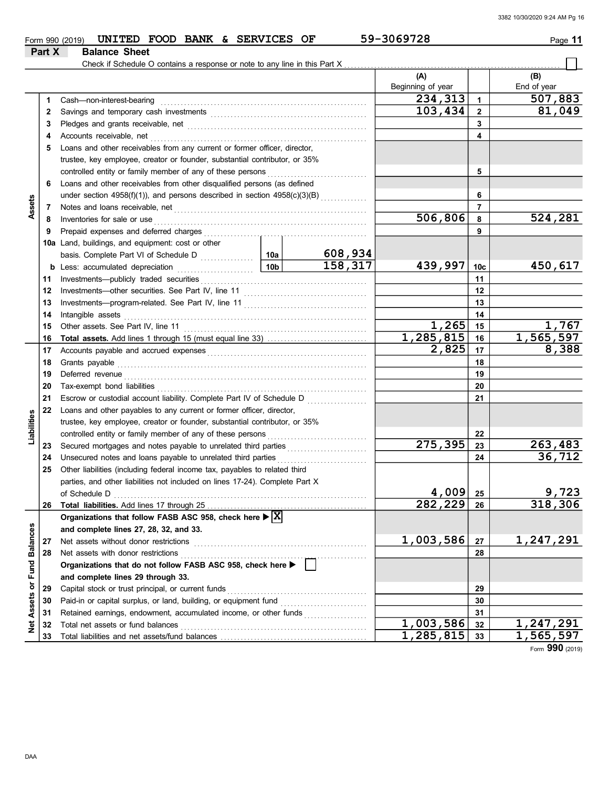|                 |                 |                                                                                                                                                         |                         |                                | 3382 10/30/2020 9:24 AM Pg 16 |
|-----------------|-----------------|---------------------------------------------------------------------------------------------------------------------------------------------------------|-------------------------|--------------------------------|-------------------------------|
|                 | Part X          | UNITED FOOD BANK & SERVICES OF<br>Form 990 (2019)<br><b>Balance Sheet</b>                                                                               | 59-3069728              |                                | Page 11                       |
|                 |                 |                                                                                                                                                         | (A)                     |                                | (B)                           |
|                 |                 |                                                                                                                                                         | Beginning of year       |                                | End of year                   |
|                 | $\mathbf{2}$    | Cash-non-interest-bearing                                                                                                                               | 234,313<br>103,434      | $\mathbf{1}$<br>$\overline{2}$ | 507,883<br>81,049             |
|                 | 3               |                                                                                                                                                         |                         | 3                              |                               |
|                 | 4               | Accounts receivable, net                                                                                                                                |                         | 4                              |                               |
|                 | 5               | Loans and other receivables from any current or former officer, director,<br>trustee, key employee, creator or founder, substantial contributor, or 35% |                         |                                |                               |
|                 |                 | controlled entity or family member of any of these persons                                                                                              |                         | 5                              |                               |
|                 | 6               | Loans and other receivables from other disqualified persons (as defined<br>under section 4958(f)(1)), and persons described in section 4958(c)(3)(B)    |                         | 6                              |                               |
| ssets           |                 | 7 Notes and loans receivable, net                                                                                                                       |                         | $\overline{7}$                 |                               |
|                 | 8               | Inventories for sale or use                                                                                                                             | 506,806                 | 8                              | 524,281                       |
|                 | 9               | Prepaid expenses and deferred charges<br>10a Land, buildings, and equipment: cost or other                                                              |                         | 9                              |                               |
|                 |                 | 608,934                                                                                                                                                 |                         |                                |                               |
|                 | 11              | $\overline{10b}$<br>158,317<br><b>b</b> Less: accumulated depreciation<br>Investments-publicly traded securities                                        | 439,997                 | 10 <sub>c</sub><br>11          | 450,617                       |
|                 | 12              |                                                                                                                                                         |                         | 12                             |                               |
|                 | 13              |                                                                                                                                                         |                         | 13                             |                               |
|                 | 14<br>15        | Intangible assets<br>Other assets. See Part IV, line 11                                                                                                 | 1,265                   | 14<br>15                       | 1,767                         |
|                 | 16              |                                                                                                                                                         | 1,285,815               | 16                             | 1,565,597                     |
|                 | 18              | Grants payable                                                                                                                                          | 2,825                   | 17<br>18                       | 8,388                         |
|                 | 19              | Deferred revenue                                                                                                                                        |                         | 19                             |                               |
|                 | 20              |                                                                                                                                                         |                         | 20                             |                               |
|                 | 21<br>22        | Escrow or custodial account liability. Complete Part IV of Schedule D<br>Loans and other payables to any current or former officer, director,           |                         | 21                             |                               |
| Liabilities     |                 | trustee, key employee, creator or founder, substantial contributor, or 35%                                                                              |                         |                                |                               |
|                 | 23              | controlled entity or family member of any of these persons<br>Secured mortgages and notes payable to unrelated third parties                            | 275,395                 | 22<br>23                       | 263,483                       |
|                 | 24              | Unsecured notes and loans payable to unrelated third parties                                                                                            |                         | 24                             | 36,712                        |
|                 | 25              | Other liabilities (including federal income tax, payables to related third                                                                              |                         |                                |                               |
|                 |                 | parties, and other liabilities not included on lines 17-24). Complete Part X<br>of Schedule D                                                           | $4,009$ 25              |                                | 9,723                         |
|                 |                 |                                                                                                                                                         | $\overline{282,229}$ 26 |                                | 318,306                       |
|                 |                 | Organizations that follow FASB ASC 958, check here $\triangleright$ $ X $<br>and complete lines 27, 28, 32, and 33.                                     |                         |                                |                               |
| <b>Balances</b> | 27              | Net assets without donor restrictions                                                                                                                   | 1,003,586               | 27                             | 1,247,291                     |
|                 | 28              | Net assets with donor restrictions                                                                                                                      |                         | 28                             |                               |
| Fund            |                 | Organizations that do not follow FASB ASC 958, check here ▶ │<br>and complete lines 29 through 33.                                                      |                         |                                |                               |
| $\bf \bar o$    | 29              | Capital stock or trust principal, or current funds                                                                                                      |                         | 29                             |                               |
| Assets          | 30<br>31        | Paid-in or capital surplus, or land, building, or equipment fund<br>Retained earnings, endowment, accumulated income, or other funds                    |                         | 30<br>31                       |                               |
| Net             | 32              | Total net assets or fund balances                                                                                                                       | 1,003,586               | 32                             | 1,247,291                     |
|                 | 33 <sub>o</sub> |                                                                                                                                                         | 1,285,815               | 33                             | 1,565,597                     |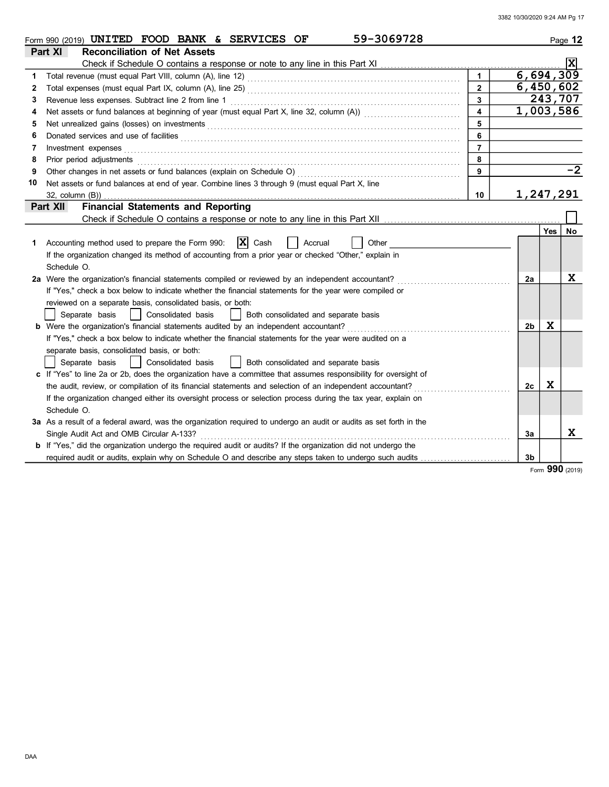|              |                                                                                                                                                                |                                                    | 3382 10/30/2020 9:24 AM Pg 17 |                      |         |
|--------------|----------------------------------------------------------------------------------------------------------------------------------------------------------------|----------------------------------------------------|-------------------------------|----------------------|---------|
|              |                                                                                                                                                                |                                                    |                               |                      |         |
|              | 59-3069728<br>Form 990 (2019) UNITED FOOD BANK & SERVICES OF                                                                                                   |                                                    |                               |                      | Page 12 |
|              | Part XI<br><b>Reconciliation of Net Assets</b>                                                                                                                 |                                                    |                               |                      |         |
|              | Check if Schedule O contains a response or note to any line in this Part XI                                                                                    |                                                    |                               |                      | X       |
|              |                                                                                                                                                                |                                                    |                               | $\sqrt{6,694,309}$   |         |
| $\mathbf{2}$ |                                                                                                                                                                |                                                    |                               | 6,450,602            |         |
| 3            | Revenue less expenses. Subtract line 2 from line 1                                                                                                             | $\overline{\mathbf{3}}$<br>$\overline{\mathbf{4}}$ |                               | 243,707<br>1,003,586 |         |
|              |                                                                                                                                                                | 5                                                  |                               |                      |         |
| 5            |                                                                                                                                                                | 6                                                  |                               |                      |         |
| 6            | Donated services and use of facilities <b>constructs</b> and a service of the service of the services and use of facilities<br>Investment expenses             | $\overline{7}$                                     |                               |                      |         |
| 8            | Prior period adjustments                                                                                                                                       | 8                                                  |                               |                      |         |
|              | Other changes in net assets or fund balances (explain on Schedule O)                                                                                           | $\mathbf{9}$                                       |                               |                      | $-2$    |
| 10           | Net assets or fund balances at end of year. Combine lines 3 through 9 (must equal Part X, line                                                                 |                                                    |                               |                      |         |
|              | $32$ , column $(B)$ )                                                                                                                                          | 10                                                 |                               | 1,247,291            |         |
|              | <b>Financial Statements and Reporting</b><br>Part XII                                                                                                          |                                                    |                               |                      |         |
|              | Check if Schedule O contains a response or note to any line in this Part XII                                                                                   |                                                    |                               |                      |         |
|              |                                                                                                                                                                |                                                    |                               | Yes                  | No      |
|              | X <br>1 Accounting method used to prepare the Form 990:<br>Cash<br>Other<br>Accrual                                                                            |                                                    |                               |                      |         |
|              | If the organization changed its method of accounting from a prior year or checked "Other," explain in                                                          |                                                    |                               |                      |         |
|              | Schedule O.                                                                                                                                                    |                                                    |                               |                      |         |
|              | 2a Were the organization's financial statements compiled or reviewed by an independent accountant?                                                             |                                                    | 2a                            |                      | X       |
|              | If "Yes," check a box below to indicate whether the financial statements for the year were compiled or                                                         |                                                    |                               |                      |         |
|              | reviewed on a separate basis, consolidated basis, or both:                                                                                                     |                                                    |                               |                      |         |
|              | Separate basis<br>Consolidated basis<br>Both consolidated and separate basis                                                                                   |                                                    |                               |                      |         |
|              | <b>b</b> Were the organization's financial statements audited by an independent accountant?                                                                    |                                                    | 2b                            | X                    |         |
|              | If "Yes," check a box below to indicate whether the financial statements for the year were audited on a                                                        |                                                    |                               |                      |         |
|              | separate basis, consolidated basis, or both:                                                                                                                   |                                                    |                               |                      |         |
|              | Both consolidated and separate basis<br>Consolidated basis<br>Separate basis                                                                                   |                                                    |                               |                      |         |
|              | c If "Yes" to line 2a or 2b, does the organization have a committee that assumes responsibility for oversight of                                               |                                                    |                               |                      |         |
|              | the audit, review, or compilation of its financial statements and selection of an independent accountant?                                                      |                                                    | 2c                            | X                    |         |
|              | If the organization changed either its oversight process or selection process during the tax year, explain on                                                  |                                                    |                               |                      |         |
|              | Schedule O.                                                                                                                                                    |                                                    |                               |                      |         |
|              | 3a As a result of a federal award, was the organization required to undergo an audit or audits as set forth in the<br>Single Audit Act and OMB Circular A-133? |                                                    | 3a                            |                      | X       |
|              | <b>b</b> If "Yes," did the organization undergo the required audit or audits? If the organization did not undergo the                                          |                                                    |                               |                      |         |
|              | required audit or audits, explain why on Schedule O and describe any steps taken to undergo such audits                                                        |                                                    | 3 <sub>b</sub>                |                      |         |
|              |                                                                                                                                                                |                                                    |                               |                      |         |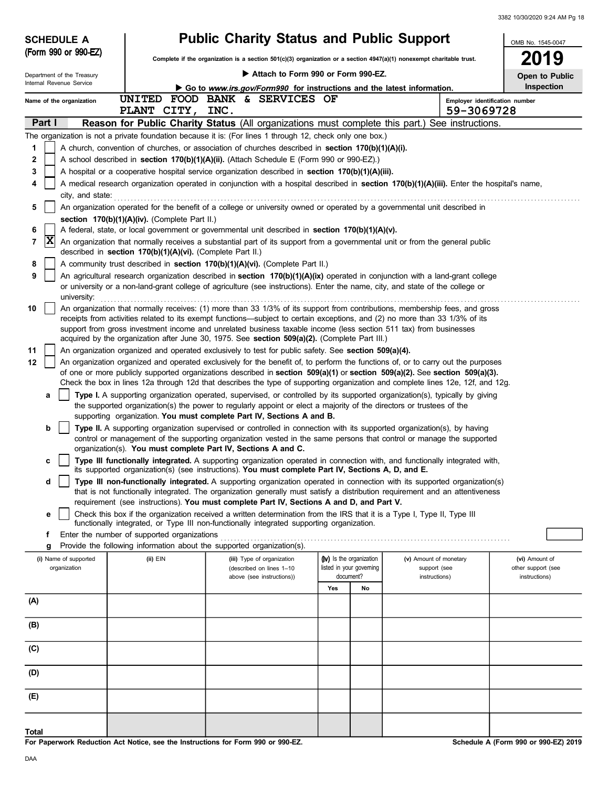| <b>SCHEDULE A</b>                       |                                                            | <b>Public Charity Status and Public Support</b>                                                                                                                                                                     |                                                      |    |                                                                                                                                                                                                                                                                | OMB No. 1545-0047                    |
|-----------------------------------------|------------------------------------------------------------|---------------------------------------------------------------------------------------------------------------------------------------------------------------------------------------------------------------------|------------------------------------------------------|----|----------------------------------------------------------------------------------------------------------------------------------------------------------------------------------------------------------------------------------------------------------------|--------------------------------------|
| (Form 990 or 990-EZ)                    |                                                            | Complete if the organization is a section 501(c)(3) organization or a section 4947(a)(1) nonexempt charitable trust.                                                                                                |                                                      |    |                                                                                                                                                                                                                                                                | 2019                                 |
| Department of the Treasury              |                                                            | Attach to Form 990 or Form 990-EZ.                                                                                                                                                                                  |                                                      |    |                                                                                                                                                                                                                                                                | Open to Public                       |
| Internal Revenue Service                |                                                            | Go to www.irs.gov/Form990 for instructions and the latest information.                                                                                                                                              |                                                      |    |                                                                                                                                                                                                                                                                | Inspection                           |
| Name of the organization                | PLANT CITY, INC.                                           | UNITED FOOD BANK & SERVICES OF                                                                                                                                                                                      |                                                      |    | Employer identification number<br>59-3069728                                                                                                                                                                                                                   |                                      |
| Part I                                  |                                                            |                                                                                                                                                                                                                     |                                                      |    | Reason for Public Charity Status (All organizations must complete this part.) See instructions.                                                                                                                                                                |                                      |
|                                         |                                                            | The organization is not a private foundation because it is: (For lines 1 through 12, check only one box.)                                                                                                           |                                                      |    |                                                                                                                                                                                                                                                                |                                      |
| 1                                       |                                                            | A church, convention of churches, or association of churches described in section 170(b)(1)(A)(i).                                                                                                                  |                                                      |    |                                                                                                                                                                                                                                                                |                                      |
| 2<br>3                                  |                                                            | A school described in section 170(b)(1)(A)(ii). (Attach Schedule E (Form 990 or 990-EZ).)<br>A hospital or a cooperative hospital service organization described in section 170(b)(1)(A)(iii).                      |                                                      |    |                                                                                                                                                                                                                                                                |                                      |
|                                         |                                                            |                                                                                                                                                                                                                     |                                                      |    | A medical research organization operated in conjunction with a hospital described in section 170(b)(1)(A)(iii). Enter the hospital's name,                                                                                                                     |                                      |
| city, and state:                        |                                                            |                                                                                                                                                                                                                     |                                                      |    |                                                                                                                                                                                                                                                                |                                      |
| 5                                       |                                                            | An organization operated for the benefit of a college or university owned or operated by a governmental unit described in                                                                                           |                                                      |    |                                                                                                                                                                                                                                                                |                                      |
| 6.                                      | section 170(b)(1)(A)(iv). (Complete Part II.)              | A federal, state, or local government or governmental unit described in section 170(b)(1)(A)(v).                                                                                                                    |                                                      |    |                                                                                                                                                                                                                                                                |                                      |
| $\vert \mathbf{x} \vert$<br>$7^{\circ}$ |                                                            | An organization that normally receives a substantial part of its support from a governmental unit or from the general public                                                                                        |                                                      |    |                                                                                                                                                                                                                                                                |                                      |
|                                         | described in section 170(b)(1)(A)(vi). (Complete Part II.) |                                                                                                                                                                                                                     |                                                      |    |                                                                                                                                                                                                                                                                |                                      |
| 8                                       |                                                            | A community trust described in section 170(b)(1)(A)(vi). (Complete Part II.)                                                                                                                                        |                                                      |    |                                                                                                                                                                                                                                                                |                                      |
| 9<br>university:                        |                                                            | or university or a non-land-grant college of agriculture (see instructions). Enter the name, city, and state of the college or                                                                                      |                                                      |    | An agricultural research organization described in section 170(b)(1)(A)(ix) operated in conjunction with a land-grant college                                                                                                                                  |                                      |
| 10                                      |                                                            |                                                                                                                                                                                                                     |                                                      |    | An organization that normally receives: (1) more than 33 1/3% of its support from contributions, membership fees, and gross                                                                                                                                    |                                      |
|                                         |                                                            | receipts from activities related to its exempt functions—subject to certain exceptions, and (2) no more than 33 1/3% of its                                                                                         |                                                      |    |                                                                                                                                                                                                                                                                |                                      |
|                                         |                                                            | support from gross investment income and unrelated business taxable income (less section 511 tax) from businesses<br>acquired by the organization after June 30, 1975. See section 509(a)(2). (Complete Part III.)  |                                                      |    |                                                                                                                                                                                                                                                                |                                      |
| 11                                      |                                                            | An organization organized and operated exclusively to test for public safety. See section 509(a)(4).                                                                                                                |                                                      |    |                                                                                                                                                                                                                                                                |                                      |
| 12 <sup>1</sup>                         |                                                            |                                                                                                                                                                                                                     |                                                      |    | An organization organized and operated exclusively for the benefit of, to perform the functions of, or to carry out the purposes                                                                                                                               |                                      |
|                                         |                                                            |                                                                                                                                                                                                                     |                                                      |    | of one or more publicly supported organizations described in section 509(a)(1) or section 509(a)(2). See section 509(a)(3).<br>Check the box in lines 12a through 12d that describes the type of supporting organization and complete lines 12e, 12f, and 12g. |                                      |
| a                                       |                                                            |                                                                                                                                                                                                                     |                                                      |    | Type I. A supporting organization operated, supervised, or controlled by its supported organization(s), typically by giving                                                                                                                                    |                                      |
|                                         |                                                            | the supported organization(s) the power to regularly appoint or elect a majority of the directors or trustees of the                                                                                                |                                                      |    |                                                                                                                                                                                                                                                                |                                      |
| b                                       |                                                            | supporting organization. You must complete Part IV, Sections A and B.<br>Type II. A supporting organization supervised or controlled in connection with its supported organization(s), by having                    |                                                      |    |                                                                                                                                                                                                                                                                |                                      |
|                                         |                                                            |                                                                                                                                                                                                                     |                                                      |    | control or management of the supporting organization vested in the same persons that control or manage the supported                                                                                                                                           |                                      |
|                                         |                                                            | organization(s). You must complete Part IV, Sections A and C.                                                                                                                                                       |                                                      |    |                                                                                                                                                                                                                                                                |                                      |
| c                                       |                                                            | its supported organization(s) (see instructions). You must complete Part IV, Sections A, D, and E.                                                                                                                  |                                                      |    | Type III functionally integrated. A supporting organization operated in connection with, and functionally integrated with,                                                                                                                                     |                                      |
| d                                       |                                                            |                                                                                                                                                                                                                     |                                                      |    | Type III non-functionally integrated. A supporting organization operated in connection with its supported organization(s)                                                                                                                                      |                                      |
|                                         |                                                            |                                                                                                                                                                                                                     |                                                      |    | that is not functionally integrated. The organization generally must satisfy a distribution requirement and an attentiveness                                                                                                                                   |                                      |
|                                         |                                                            | requirement (see instructions). You must complete Part IV, Sections A and D, and Part V.<br>Check this box if the organization received a written determination from the IRS that it is a Type I, Type II, Type III |                                                      |    |                                                                                                                                                                                                                                                                |                                      |
| e                                       |                                                            | functionally integrated, or Type III non-functionally integrated supporting organization.                                                                                                                           |                                                      |    |                                                                                                                                                                                                                                                                |                                      |
| f                                       | Enter the number of supported organizations                |                                                                                                                                                                                                                     |                                                      |    |                                                                                                                                                                                                                                                                |                                      |
| g                                       |                                                            | Provide the following information about the supported organization(s).                                                                                                                                              |                                                      |    |                                                                                                                                                                                                                                                                |                                      |
| (i) Name of supported<br>organization   | (ii) EIN                                                   | (iii) Type of organization<br>(described on lines 1-10                                                                                                                                                              | (iv) Is the organization<br>listed in your governing |    | (v) Amount of monetary<br>support (see                                                                                                                                                                                                                         | (vi) Amount of<br>other support (see |
|                                         |                                                            | above (see instructions))                                                                                                                                                                                           | document?                                            |    | instructions)                                                                                                                                                                                                                                                  | instructions)                        |
|                                         |                                                            |                                                                                                                                                                                                                     | Yes                                                  | No |                                                                                                                                                                                                                                                                |                                      |
| (A)                                     |                                                            |                                                                                                                                                                                                                     |                                                      |    |                                                                                                                                                                                                                                                                |                                      |
| (B)                                     |                                                            |                                                                                                                                                                                                                     |                                                      |    |                                                                                                                                                                                                                                                                |                                      |
| (C)                                     |                                                            |                                                                                                                                                                                                                     |                                                      |    |                                                                                                                                                                                                                                                                |                                      |
| (D)                                     |                                                            |                                                                                                                                                                                                                     |                                                      |    |                                                                                                                                                                                                                                                                |                                      |
|                                         |                                                            |                                                                                                                                                                                                                     |                                                      |    |                                                                                                                                                                                                                                                                |                                      |
| (E)                                     |                                                            |                                                                                                                                                                                                                     |                                                      |    |                                                                                                                                                                                                                                                                |                                      |
| Total                                   |                                                            |                                                                                                                                                                                                                     |                                                      |    |                                                                                                                                                                                                                                                                |                                      |

For Paperwork Reduction Act Notice, see the Instructions for Form 990 or 990-EZ.

Schedule A (Form 990 or 990-EZ) 2019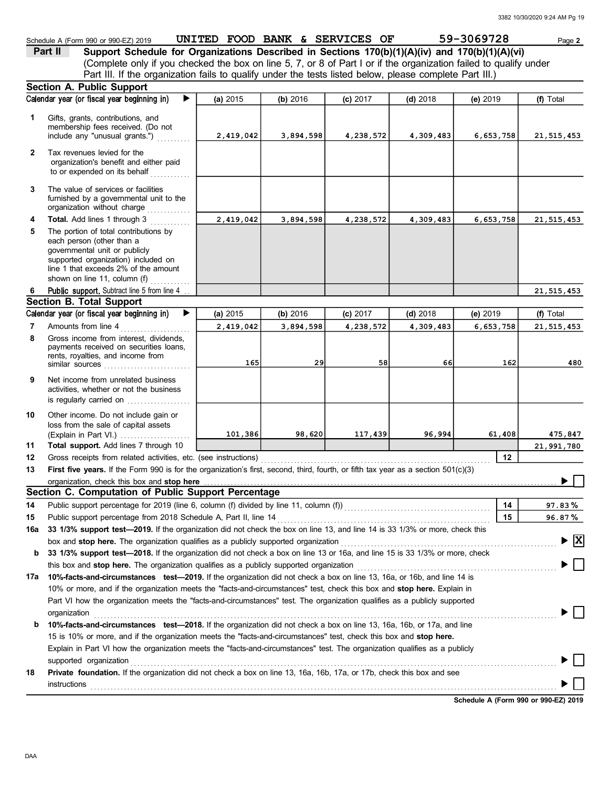|              | Schedule A (Form 990 or 990-EZ) 2019<br>Part II<br>Support Schedule for Organizations Described in Sections 170(b)(1)(A)(iv) and 170(b)(1)(A)(vi)                                                                                                     |            |            | UNITED FOOD BANK & SERVICES OF |            | 59-3069728      | Page 2                            |
|--------------|-------------------------------------------------------------------------------------------------------------------------------------------------------------------------------------------------------------------------------------------------------|------------|------------|--------------------------------|------------|-----------------|-----------------------------------|
|              | (Complete only if you checked the box on line 5, 7, or 8 of Part I or if the organization failed to qualify under<br>Part III. If the organization fails to qualify under the tests listed below, please complete Part III.)                          |            |            |                                |            |                 |                                   |
|              | <b>Section A. Public Support</b>                                                                                                                                                                                                                      |            |            |                                |            |                 |                                   |
|              | Calendar year (or fiscal year beginning in)<br>$\blacktriangleright$                                                                                                                                                                                  | (a) $2015$ | (b) 2016   | (c) 2017                       | $(d)$ 2018 | <b>(e)</b> 2019 | (f) Total                         |
|              | Gifts, grants, contributions, and<br>membership fees received. (Do not                                                                                                                                                                                |            |            |                                |            |                 |                                   |
|              | include any "unusual grants.")                                                                                                                                                                                                                        | 2,419,042  | 3,894,598  | 4,238,572                      | 4,309,483  | 6,653,758       | 21, 515, 453                      |
| $\mathbf{2}$ | Tax revenues levied for the<br>organization's benefit and either paid<br>to or expended on its behalf                                                                                                                                                 |            |            |                                |            |                 |                                   |
| 3            | The value of services or facilities<br>furnished by a governmental unit to the<br>organization without charge                                                                                                                                         |            |            |                                |            |                 |                                   |
|              | Total. Add lines 1 through 3                                                                                                                                                                                                                          | 2,419,042  | 3,894,598  | 4,238,572                      | 4,309,483  | 6,653,758       | 21, 515, 453                      |
|              | The portion of total contributions by<br>each person (other than a<br>governmental unit or publicly<br>supported organization) included on<br>line 1 that exceeds 2% of the amount<br>shown on line 11, column (f)                                    |            |            |                                |            |                 |                                   |
|              | Public support. Subtract line 5 from line 4                                                                                                                                                                                                           |            |            |                                |            |                 | 21, 515, 453                      |
|              | <b>Section B. Total Support</b><br>Calendar year (or fiscal year beginning in)                                                                                                                                                                        | (a) 2015   | $(b)$ 2016 | $(c)$ 2017                     | $(d)$ 2018 | (e) 2019        | (f) Total                         |
|              | Amounts from line 4                                                                                                                                                                                                                                   | 2,419,042  | 3,894,598  | 4,238,572                      | 4,309,483  | 6,653,758       | 21, 515, 453                      |
|              | Gross income from interest, dividends,<br>payments received on securities loans,<br>rents, royalties, and income from                                                                                                                                 | 165        | 29         | 58                             | 66         | 162             | 480                               |
|              | Net income from unrelated business<br>activities, whether or not the business<br>is regularly carried on                                                                                                                                              |            |            |                                |            |                 |                                   |
| 10           | Other income. Do not include gain or<br>loss from the sale of capital assets                                                                                                                                                                          |            |            |                                |            |                 |                                   |
|              | (Explain in Part VI.)                                                                                                                                                                                                                                 | 101,386    | 98,620     | 117,439                        | 96,994     | 61,408          | 475,847                           |
| 11<br>12     | Total support. Add lines 7 through 10                                                                                                                                                                                                                 |            |            |                                |            | 12              | 21,991,780                        |
| 13           | First five years. If the Form 990 is for the organization's first, second, third, fourth, or fifth tax year as a section 501(c)(3)                                                                                                                    |            |            |                                |            |                 |                                   |
|              | organization, check this box and stop here                                                                                                                                                                                                            |            |            |                                |            |                 | $\blacktriangleright$ $\ulcorner$ |
| 14           | Section C. Computation of Public Support Percentage<br>Public support percentage for 2019 (line 6, column (f) divided by line 11, column (f)) [[[[[[[[[[[[[[[[[[[[[[                                                                                  |            |            |                                |            | 14              | 97.83%                            |
| 15           | Public support percentage from 2018 Schedule A, Part II, line 14                                                                                                                                                                                      |            |            |                                |            | $\overline{15}$ | 96.87%                            |
| 16a          | 33 1/3% support test-2019. If the organization did not check the box on line 13, and line 14 is 33 1/3% or more, check this                                                                                                                           |            |            |                                |            |                 |                                   |
|              | box and stop here. The organization qualifies as a publicly supported organization<br>b 33 1/3% support test-2018. If the organization did not check a box on line 13 or 16a, and line 15 is 33 1/3% or more, check                                   |            |            |                                |            |                 | $\triangleright \boxed{\text{X}}$ |
|              | this box and stop here. The organization qualifies as a publicly supported organization                                                                                                                                                               |            |            |                                |            |                 | $\blacktriangleright$ $\Box$      |
|              | 17a 10%-facts-and-circumstances test-2019. If the organization did not check a box on line 13, 16a, or 16b, and line 14 is<br>10% or more, and if the organization meets the "facts-and-circumstances" test, check this box and stop here. Explain in |            |            |                                |            |                 |                                   |
|              | Part VI how the organization meets the "facts-and-circumstances" test. The organization qualifies as a publicly supported<br>organization                                                                                                             |            |            |                                |            |                 |                                   |
| b            | 10%-facts-and-circumstances test-2018. If the organization did not check a box on line 13, 16a, 16b, or 17a, and line                                                                                                                                 |            |            |                                |            |                 |                                   |
|              | 15 is 10% or more, and if the organization meets the "facts-and-circumstances" test, check this box and stop here.                                                                                                                                    |            |            |                                |            |                 |                                   |
|              | Explain in Part VI how the organization meets the "facts-and-circumstances" test. The organization qualifies as a publicly                                                                                                                            |            |            |                                |            |                 |                                   |
|              | supported organization<br><b>Private foundation.</b> If the organization did not check a box on line 13, 16a, 16b, 17a, or 17b, check this box and see                                                                                                |            |            |                                |            |                 |                                   |
| 18           | instructions                                                                                                                                                                                                                                          |            |            |                                |            |                 | $\blacktriangleright$ $\vdash$    |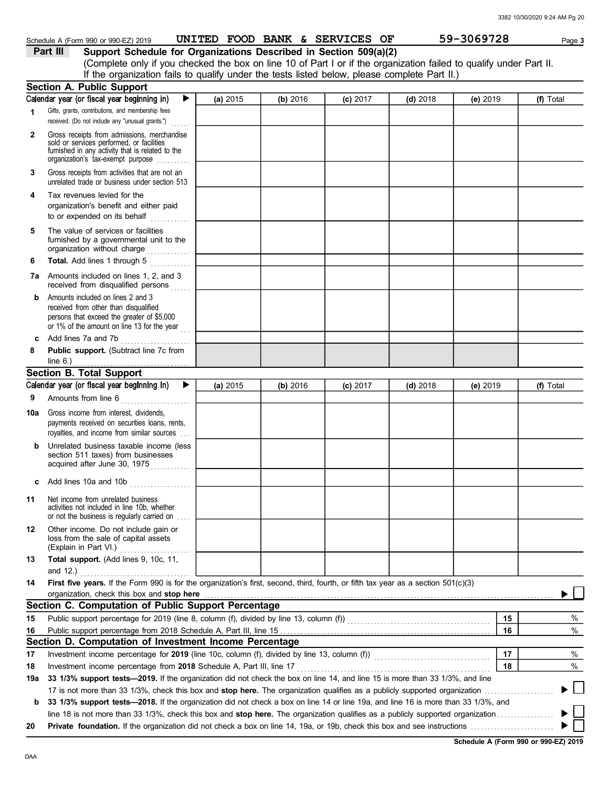| 2<br>3.<br>4<br>5 | Schedule A (Form 990 or 990-EZ) 2019<br>Part III<br>Support Schedule for Organizations Described in Section 509(a)(2)<br>(Complete only if you checked the box on line 10 of Part I or if the organization failed to qualify under Part II.<br>If the organization fails to qualify under the tests listed below, please complete Part II.)<br>Section A. Public Support<br>Calendar year (or fiscal year beginning in)<br>$\blacktriangleright$<br>Gifts, grants, contributions, and membership fees<br>received. (Do not include any "unusual grants.")<br>Gross receipts from admissions, merchandise<br>sold or services performed, or facilities<br>furnished in any activity that is related to the<br>organization's tax-exempt purpose<br>Gross receipts from activities that are not an<br>unrelated trade or business under section 513 | (a) $2015$ | UNITED FOOD BANK & SERVICES OF<br>(b) 2016 | (c) 2017   |            | 59-3069728                           | Page 3                         |
|-------------------|---------------------------------------------------------------------------------------------------------------------------------------------------------------------------------------------------------------------------------------------------------------------------------------------------------------------------------------------------------------------------------------------------------------------------------------------------------------------------------------------------------------------------------------------------------------------------------------------------------------------------------------------------------------------------------------------------------------------------------------------------------------------------------------------------------------------------------------------------|------------|--------------------------------------------|------------|------------|--------------------------------------|--------------------------------|
|                   |                                                                                                                                                                                                                                                                                                                                                                                                                                                                                                                                                                                                                                                                                                                                                                                                                                                   |            |                                            |            |            |                                      |                                |
|                   |                                                                                                                                                                                                                                                                                                                                                                                                                                                                                                                                                                                                                                                                                                                                                                                                                                                   |            |                                            |            |            |                                      |                                |
|                   |                                                                                                                                                                                                                                                                                                                                                                                                                                                                                                                                                                                                                                                                                                                                                                                                                                                   |            |                                            |            |            |                                      |                                |
|                   |                                                                                                                                                                                                                                                                                                                                                                                                                                                                                                                                                                                                                                                                                                                                                                                                                                                   |            |                                            |            | $(d)$ 2018 | (e) 2019                             | (f) Total                      |
|                   |                                                                                                                                                                                                                                                                                                                                                                                                                                                                                                                                                                                                                                                                                                                                                                                                                                                   |            |                                            |            |            |                                      |                                |
|                   |                                                                                                                                                                                                                                                                                                                                                                                                                                                                                                                                                                                                                                                                                                                                                                                                                                                   |            |                                            |            |            |                                      |                                |
|                   |                                                                                                                                                                                                                                                                                                                                                                                                                                                                                                                                                                                                                                                                                                                                                                                                                                                   |            |                                            |            |            |                                      |                                |
|                   | Tax revenues levied for the<br>organization's benefit and either paid<br>to or expended on its behalf                                                                                                                                                                                                                                                                                                                                                                                                                                                                                                                                                                                                                                                                                                                                             |            |                                            |            |            |                                      |                                |
|                   | .<br>The value of services or facilities<br>furnished by a governmental unit to the<br>organization without charge                                                                                                                                                                                                                                                                                                                                                                                                                                                                                                                                                                                                                                                                                                                                |            |                                            |            |            |                                      |                                |
| 6.                | Total. Add lines 1 through 5                                                                                                                                                                                                                                                                                                                                                                                                                                                                                                                                                                                                                                                                                                                                                                                                                      |            |                                            |            |            |                                      |                                |
|                   | 7a Amounts included on lines 1, 2, and 3<br>received from disqualified persons                                                                                                                                                                                                                                                                                                                                                                                                                                                                                                                                                                                                                                                                                                                                                                    |            |                                            |            |            |                                      |                                |
|                   | <b>b</b> Amounts included on lines 2 and 3<br>received from other than disqualified<br>persons that exceed the greater of \$5,000<br>or 1% of the amount on line 13 for the year $\frac{1}{2}$                                                                                                                                                                                                                                                                                                                                                                                                                                                                                                                                                                                                                                                    |            |                                            |            |            |                                      |                                |
| 8.                | c Add lines 7a and 7b<br>.<br>Public support. (Subtract line 7c from<br>line $6.$ )                                                                                                                                                                                                                                                                                                                                                                                                                                                                                                                                                                                                                                                                                                                                                               |            |                                            |            |            |                                      |                                |
|                   | Section B. Total Support                                                                                                                                                                                                                                                                                                                                                                                                                                                                                                                                                                                                                                                                                                                                                                                                                          |            |                                            |            |            |                                      |                                |
| 9                 | Calendar year (or fiscal year beginning in)<br>Amounts from line 6                                                                                                                                                                                                                                                                                                                                                                                                                                                                                                                                                                                                                                                                                                                                                                                | (a) $2015$ | (b) 2016                                   | $(c)$ 2017 | $(d)$ 2018 | (e) 2019                             | (f) Total                      |
|                   | .<br><b>10a</b> Gross income from interest, dividends,<br>payments received on securities loans, rents,<br>royalties, and income from similar sources                                                                                                                                                                                                                                                                                                                                                                                                                                                                                                                                                                                                                                                                                             |            |                                            |            |            |                                      |                                |
|                   | <b>b</b> Unrelated business taxable income (less<br>section 511 taxes) from businesses<br>acquired after June 30, 1975                                                                                                                                                                                                                                                                                                                                                                                                                                                                                                                                                                                                                                                                                                                            |            |                                            |            |            |                                      |                                |
|                   | c Add lines 10a and 10b $\ldots$                                                                                                                                                                                                                                                                                                                                                                                                                                                                                                                                                                                                                                                                                                                                                                                                                  |            |                                            |            |            |                                      |                                |
| 11                | Net income from unrelated business<br>activities not included in line 10b, whether<br>or not the business is regularly carried on                                                                                                                                                                                                                                                                                                                                                                                                                                                                                                                                                                                                                                                                                                                 |            |                                            |            |            |                                      |                                |
| 12                | Other income. Do not include gain or<br>loss from the sale of capital assets                                                                                                                                                                                                                                                                                                                                                                                                                                                                                                                                                                                                                                                                                                                                                                      |            |                                            |            |            |                                      |                                |
| 13                | Total support. (Add lines 9, 10c, 11,<br>and 12.) $\ldots$                                                                                                                                                                                                                                                                                                                                                                                                                                                                                                                                                                                                                                                                                                                                                                                        |            |                                            |            |            |                                      |                                |
|                   | 14 First five years. If the Form 990 is for the organization's first, second, third, fourth, or fifth tax year as a section 501(c)(3)                                                                                                                                                                                                                                                                                                                                                                                                                                                                                                                                                                                                                                                                                                             |            |                                            |            |            |                                      |                                |
|                   | organization, check this box and stop here <b>construction</b> and construction of the construction of the construction of the construction of the construction of the construction of the construction of the construction of the<br>Section C. Computation of Public Support Percentage                                                                                                                                                                                                                                                                                                                                                                                                                                                                                                                                                         |            |                                            |            |            |                                      |                                |
| 15                |                                                                                                                                                                                                                                                                                                                                                                                                                                                                                                                                                                                                                                                                                                                                                                                                                                                   |            |                                            |            |            | 15                                   | $\%$                           |
| 16                | Section D. Computation of Investment Income Percentage                                                                                                                                                                                                                                                                                                                                                                                                                                                                                                                                                                                                                                                                                                                                                                                            |            |                                            |            |            | $\overline{16}$                      |                                |
| 17                | Investment income percentage for 2019 (line 10c, column (f), divided by line 13, column (f))                                                                                                                                                                                                                                                                                                                                                                                                                                                                                                                                                                                                                                                                                                                                                      |            |                                            |            |            | 17                                   | %                              |
| 18                | Investment income percentage from 2018 Schedule A, Part III, line 17                                                                                                                                                                                                                                                                                                                                                                                                                                                                                                                                                                                                                                                                                                                                                                              |            |                                            |            |            | $\overline{18}$                      | $\%$                           |
|                   | 19a 33 1/3% support tests—2019. If the organization did not check the box on line 14, and line 15 is more than 33 1/3%, and line                                                                                                                                                                                                                                                                                                                                                                                                                                                                                                                                                                                                                                                                                                                  |            |                                            |            |            |                                      | $\blacktriangleright$ $\Box$   |
|                   | b 33 1/3% support tests-2018. If the organization did not check a box on line 14 or line 19a, and line 16 is more than 33 1/3%, and                                                                                                                                                                                                                                                                                                                                                                                                                                                                                                                                                                                                                                                                                                               |            |                                            |            |            |                                      | $\blacktriangleright$ $\Box$   |
| 20                |                                                                                                                                                                                                                                                                                                                                                                                                                                                                                                                                                                                                                                                                                                                                                                                                                                                   |            |                                            |            |            |                                      | $\blacktriangleright$ $\vdash$ |
|                   |                                                                                                                                                                                                                                                                                                                                                                                                                                                                                                                                                                                                                                                                                                                                                                                                                                                   |            |                                            |            |            | Schedule A (Form 990 or 990-EZ) 2019 |                                |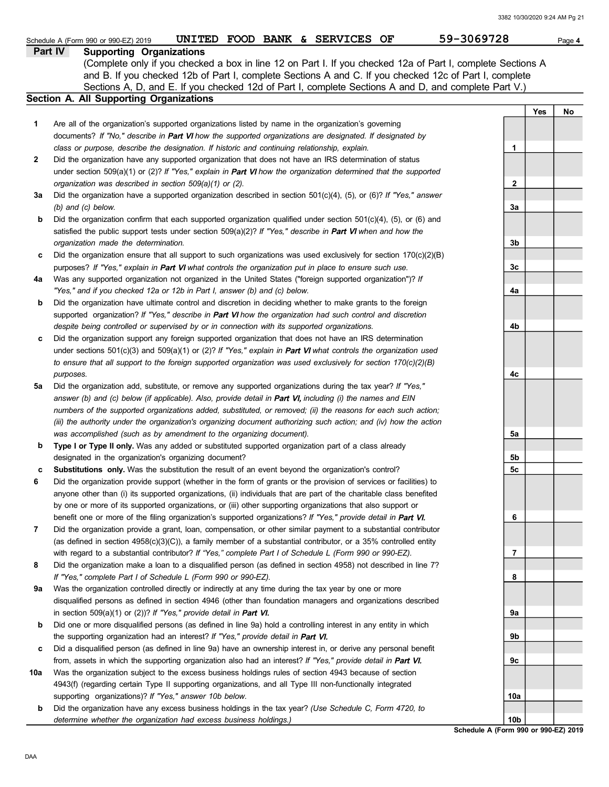|             |                                                                                                                                                                                                                                                                                                                                                                  |                 |     | 3382 10/30/2020 9:24 AM Pg 21 |
|-------------|------------------------------------------------------------------------------------------------------------------------------------------------------------------------------------------------------------------------------------------------------------------------------------------------------------------------------------------------------------------|-----------------|-----|-------------------------------|
|             | UNITED FOOD BANK & SERVICES OF<br>Schedule A (Form 990 or 990-EZ) 2019                                                                                                                                                                                                                                                                                           | 59-3069728      |     | Page 4                        |
| Part IV     | <b>Supporting Organizations</b><br>(Complete only if you checked a box in line 12 on Part I. If you checked 12a of Part I, complete Sections A<br>and B. If you checked 12b of Part I, complete Sections A and C. If you checked 12c of Part I, complete<br>Sections A, D, and E. If you checked 12d of Part I, complete Sections A and D, and complete Part V.) |                 |     |                               |
|             | Section A. All Supporting Organizations                                                                                                                                                                                                                                                                                                                          |                 |     |                               |
|             | Are all of the organization's supported organizations listed by name in the organization's governing                                                                                                                                                                                                                                                             |                 | Yes | No                            |
| 2           | documents? If "No," describe in Part VI how the supported organizations are designated. If designated by<br>class or purpose, describe the designation. If historic and continuing relationship, explain.<br>Did the organization have any supported organization that does not have an IRS determination of status                                              | $\mathbf 1$     |     |                               |
|             | under section $509(a)(1)$ or (2)? If "Yes," explain in Part VI how the organization determined that the supported                                                                                                                                                                                                                                                |                 |     |                               |
| За          | organization was described in section 509(a)(1) or (2).<br>Did the organization have a supported organization described in section $501(c)(4)$ , (5), or (6)? If "Yes," answer                                                                                                                                                                                   | $\mathbf{2}$    |     |                               |
|             | $(b)$ and $(c)$ below.                                                                                                                                                                                                                                                                                                                                           | 3a              |     |                               |
| b           | Did the organization confirm that each supported organization qualified under section $501(c)(4)$ , (5), or (6) and<br>satisfied the public support tests under section 509(a)(2)? If "Yes," describe in Part VI when and how the                                                                                                                                |                 |     |                               |
|             | organization made the determination.<br>Did the organization ensure that all support to such organizations was used exclusively for section $170(c)(2)(B)$                                                                                                                                                                                                       | 3 <sub>b</sub>  |     |                               |
| C           | purposes? If "Yes," explain in Part VI what controls the organization put in place to ensure such use.                                                                                                                                                                                                                                                           | 3c              |     |                               |
| 4a          | Was any supported organization not organized in the United States ("foreign supported organization")? If<br>"Yes," and if you checked 12a or 12b in Part I, answer (b) and (c) below.                                                                                                                                                                            | 4a              |     |                               |
| b           | Did the organization have ultimate control and discretion in deciding whether to make grants to the foreign                                                                                                                                                                                                                                                      |                 |     |                               |
|             | supported organization? If "Yes," describe in Part VI how the organization had such control and discretion<br>despite being controlled or supervised by or in connection with its supported organizations.                                                                                                                                                       | 4b              |     |                               |
| C           | Did the organization support any foreign supported organization that does not have an IRS determination                                                                                                                                                                                                                                                          |                 |     |                               |
|             | under sections $501(c)(3)$ and $509(a)(1)$ or (2)? If "Yes," explain in Part VI what controls the organization used<br>to ensure that all support to the foreign supported organization was used exclusively for section $170(c)(2)(B)$                                                                                                                          |                 |     |                               |
|             | purposes.                                                                                                                                                                                                                                                                                                                                                        | 4с              |     |                               |
| 5a          | Did the organization add, substitute, or remove any supported organizations during the tax year? If "Yes,"<br>answer (b) and (c) below (if applicable). Also, provide detail in Part VI, including (i) the names and EIN                                                                                                                                         |                 |     |                               |
|             | numbers of the supported organizations added, substituted, or removed; (ii) the reasons for each such action;                                                                                                                                                                                                                                                    |                 |     |                               |
|             | (iii) the authority under the organization's organizing document authorizing such action; and (iv) how the action<br>was accomplished (such as by amendment to the organizing document).                                                                                                                                                                         | 5a              |     |                               |
| $\mathbf b$ | Type I or Type II only. Was any added or substituted supported organization part of a class already                                                                                                                                                                                                                                                              |                 |     |                               |
| c           | designated in the organization's organizing document?<br>Substitutions only. Was the substitution the result of an event beyond the organization's control?                                                                                                                                                                                                      | 5b<br>5c        |     |                               |
| 6           | Did the organization provide support (whether in the form of grants or the provision of services or facilities) to<br>anyone other than (i) its supported organizations, (ii) individuals that are part of the charitable class benefited                                                                                                                        |                 |     |                               |
|             | by one or more of its supported organizations, or (iii) other supporting organizations that also support or<br>benefit one or more of the filing organization's supported organizations? If "Yes," provide detail in Part VI.                                                                                                                                    | 6               |     |                               |
| 7           | Did the organization provide a grant, loan, compensation, or other similar payment to a substantial contributor                                                                                                                                                                                                                                                  |                 |     |                               |
|             | (as defined in section 4958(c)(3)(C)), a family member of a substantial contributor, or a 35% controlled entity<br>with regard to a substantial contributor? If "Yes," complete Part I of Schedule L (Form 990 or 990-EZ).                                                                                                                                       | $\overline{7}$  |     |                               |
| 8           | Did the organization make a loan to a disqualified person (as defined in section 4958) not described in line 7?                                                                                                                                                                                                                                                  |                 |     |                               |
| 9а          | If "Yes," complete Part I of Schedule L (Form 990 or 990-EZ).<br>Was the organization controlled directly or indirectly at any time during the tax year by one or more                                                                                                                                                                                           | 8               |     |                               |
|             | disqualified persons as defined in section 4946 (other than foundation managers and organizations described                                                                                                                                                                                                                                                      |                 |     |                               |
| b           | in section 509(a)(1) or (2))? If "Yes," provide detail in Part VI.<br>Did one or more disqualified persons (as defined in line 9a) hold a controlling interest in any entity in which                                                                                                                                                                            | 9а              |     |                               |
|             | the supporting organization had an interest? If "Yes," provide detail in Part VI.                                                                                                                                                                                                                                                                                | 9b              |     |                               |
| C           | Did a disqualified person (as defined in line 9a) have an ownership interest in, or derive any personal benefit<br>from, assets in which the supporting organization also had an interest? If "Yes," provide detail in Part VI.                                                                                                                                  | 9с              |     |                               |
|             | Was the organization subject to the excess business holdings rules of section 4943 because of section                                                                                                                                                                                                                                                            |                 |     |                               |
|             | 4943(f) (regarding certain Type II supporting organizations, and all Type III non-functionally integrated<br>supporting organizations)? If "Yes," answer 10b below.                                                                                                                                                                                              | 10a             |     |                               |
| $\mathbf b$ | Did the organization have any excess business holdings in the tax year? (Use Schedule C, Form 4720, to                                                                                                                                                                                                                                                           |                 |     |                               |
|             | determine whether the organization had excess business holdings.)                                                                                                                                                                                                                                                                                                | 10 <sub>b</sub> |     |                               |

Schedule A (Form 990 or 990-EZ) 2019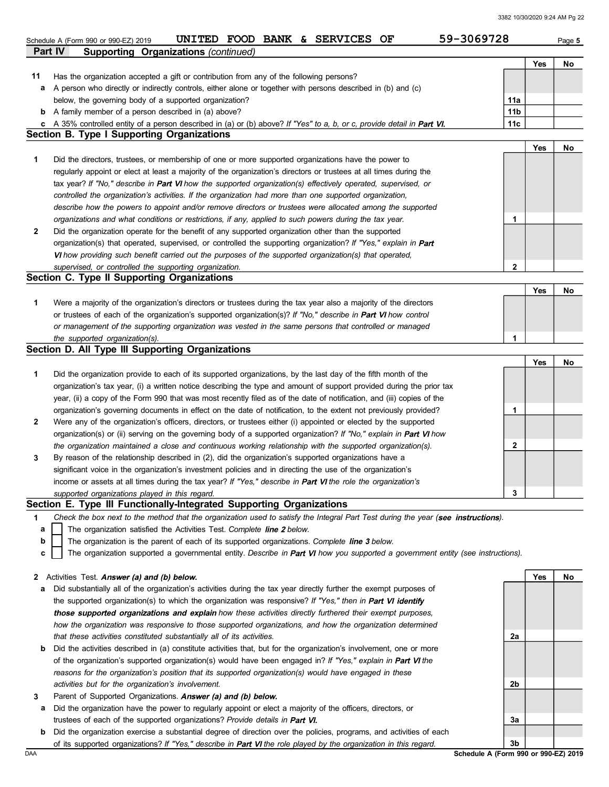|                                                                                                                                                                                                                                                                                                                                             |            | 3382 10/30/2020 9:24 AM Pg 22 |     |           |
|---------------------------------------------------------------------------------------------------------------------------------------------------------------------------------------------------------------------------------------------------------------------------------------------------------------------------------------------|------------|-------------------------------|-----|-----------|
| UNITED FOOD BANK & SERVICES OF<br>Schedule A (Form 990 or 990-EZ) 2019                                                                                                                                                                                                                                                                      | 59-3069728 |                               |     | Page 5    |
| Part IV<br>Supporting Organizations (continued)                                                                                                                                                                                                                                                                                             |            |                               | Yes | No        |
| Has the organization accepted a gift or contribution from any of the following persons?<br>11                                                                                                                                                                                                                                               |            |                               |     |           |
| a A person who directly or indirectly controls, either alone or together with persons described in (b) and (c)<br>below, the governing body of a supported organization?                                                                                                                                                                    |            | 11a                           |     |           |
| <b>b</b> A family member of a person described in (a) above?                                                                                                                                                                                                                                                                                |            | 11 <sub>b</sub>               |     |           |
| c A 35% controlled entity of a person described in (a) or (b) above? If "Yes" to a, b, or c, provide detail in Part VI.<br><b>Section B. Type I Supporting Organizations</b>                                                                                                                                                                |            | 11c                           |     |           |
|                                                                                                                                                                                                                                                                                                                                             |            |                               | Yes | No        |
| Did the directors, trustees, or membership of one or more supported organizations have the power to                                                                                                                                                                                                                                         |            |                               |     |           |
| regularly appoint or elect at least a majority of the organization's directors or trustees at all times during the<br>tax year? If "No," describe in Part VI how the supported organization(s) effectively operated, supervised, or                                                                                                         |            |                               |     |           |
| controlled the organization's activities. If the organization had more than one supported organization,                                                                                                                                                                                                                                     |            |                               |     |           |
| describe how the powers to appoint and/or remove directors or trustees were allocated among the supported                                                                                                                                                                                                                                   |            |                               |     |           |
| organizations and what conditions or restrictions, if any, applied to such powers during the tax year.<br>Did the organization operate for the benefit of any supported organization other than the supported                                                                                                                               |            | 1                             |     |           |
| organization(s) that operated, supervised, or controlled the supporting organization? If "Yes," explain in Part                                                                                                                                                                                                                             |            |                               |     |           |
| VI how providing such benefit carried out the purposes of the supported organization(s) that operated,                                                                                                                                                                                                                                      |            |                               |     |           |
| supervised, or controlled the supporting organization.<br>Section C. Type II Supporting Organizations                                                                                                                                                                                                                                       |            | $\overline{2}$                |     |           |
|                                                                                                                                                                                                                                                                                                                                             |            |                               | Yes | <b>No</b> |
| Were a majority of the organization's directors or trustees during the tax year also a majority of the directors<br>or trustees of each of the organization's supported organization(s)? If "No," describe in Part VI how control<br>or management of the supporting organization was vested in the same persons that controlled or managed |            |                               |     |           |
| the supported organization(s).                                                                                                                                                                                                                                                                                                              |            | $\mathbf 1$                   |     |           |
| Section D. All Type III Supporting Organizations                                                                                                                                                                                                                                                                                            |            |                               |     |           |
|                                                                                                                                                                                                                                                                                                                                             |            |                               | Yes | <b>No</b> |
| Did the organization provide to each of its supported organizations, by the last day of the fifth month of the<br>organization's tax year, (i) a written notice describing the type and amount of support provided during the prior tax                                                                                                     |            |                               |     |           |
| year, (ii) a copy of the Form 990 that was most recently filed as of the date of notification, and (iii) copies of the                                                                                                                                                                                                                      |            |                               |     |           |
| organization's governing documents in effect on the date of notification, to the extent not previously provided?                                                                                                                                                                                                                            |            | 1                             |     |           |
| Were any of the organization's officers, directors, or trustees either (i) appointed or elected by the supported<br>$\mathbf{2}$<br>organization(s) or (ii) serving on the governing body of a supported organization? If "No," explain in Part VI how                                                                                      |            |                               |     |           |
| the organization maintained a close and continuous working relationship with the supported organization(s).                                                                                                                                                                                                                                 |            | $\mathbf{2}$                  |     |           |
| By reason of the relationship described in (2), did the organization's supported organizations have a<br>3                                                                                                                                                                                                                                  |            |                               |     |           |
| significant voice in the organization's investment policies and in directing the use of the organization's                                                                                                                                                                                                                                  |            |                               |     |           |
| income or assets at all times during the tax year? If "Yes," describe in Part VI the role the organization's<br>supported organizations played in this regard.                                                                                                                                                                              |            | 3                             |     |           |
| Section E. Type III Functionally-Integrated Supporting Organizations                                                                                                                                                                                                                                                                        |            |                               |     |           |
| Check the box next to the method that the organization used to satisfy the Integral Part Test during the year (see instructions).<br>$\mathbf 1$<br>The organization satisfied the Activities Test. Complete line 2 below.                                                                                                                  |            |                               |     |           |
| a<br>The organization is the parent of each of its supported organizations. Complete line 3 below.<br>b                                                                                                                                                                                                                                     |            |                               |     |           |
| The organization supported a governmental entity. Describe in Part VI how you supported a government entity (see instructions).<br>c                                                                                                                                                                                                        |            |                               |     |           |
| 2 Activities Test. Answer (a) and (b) below.                                                                                                                                                                                                                                                                                                |            |                               | Yes | No        |
| Did substantially all of the organization's activities during the tax year directly further the exempt purposes of<br>a                                                                                                                                                                                                                     |            |                               |     |           |
| the supported organization(s) to which the organization was responsive? If "Yes," then in Part VI identify                                                                                                                                                                                                                                  |            |                               |     |           |
| those supported organizations and explain how these activities directly furthered their exempt purposes,                                                                                                                                                                                                                                    |            |                               |     |           |
| how the organization was responsive to those supported organizations, and how the organization determined<br>that these activities constituted substantially all of its activities.                                                                                                                                                         |            | 2a                            |     |           |
| Did the activities described in (a) constitute activities that, but for the organization's involvement, one or more<br>b                                                                                                                                                                                                                    |            |                               |     |           |
| of the organization's supported organization(s) would have been engaged in? If "Yes," explain in Part VI the                                                                                                                                                                                                                                |            |                               |     |           |
| reasons for the organization's position that its supported organization(s) would have engaged in these<br>activities but for the organization's involvement.                                                                                                                                                                                |            | 2 <sub>b</sub>                |     |           |
| Parent of Supported Organizations. Answer (a) and (b) below.<br>3                                                                                                                                                                                                                                                                           |            |                               |     |           |
| Did the organization have the power to regularly appoint or elect a majority of the officers, directors, or<br>a                                                                                                                                                                                                                            |            |                               |     |           |
| trustees of each of the supported organizations? Provide details in Part VI.                                                                                                                                                                                                                                                                |            | За                            |     |           |
| Did the organization exercise a substantial degree of direction over the policies, programs, and activities of each<br>b                                                                                                                                                                                                                    |            |                               |     |           |
| of its supported organizations? If "Yes," describe in Part VI the role played by the organization in this regard.                                                                                                                                                                                                                           |            | 3b                            |     |           |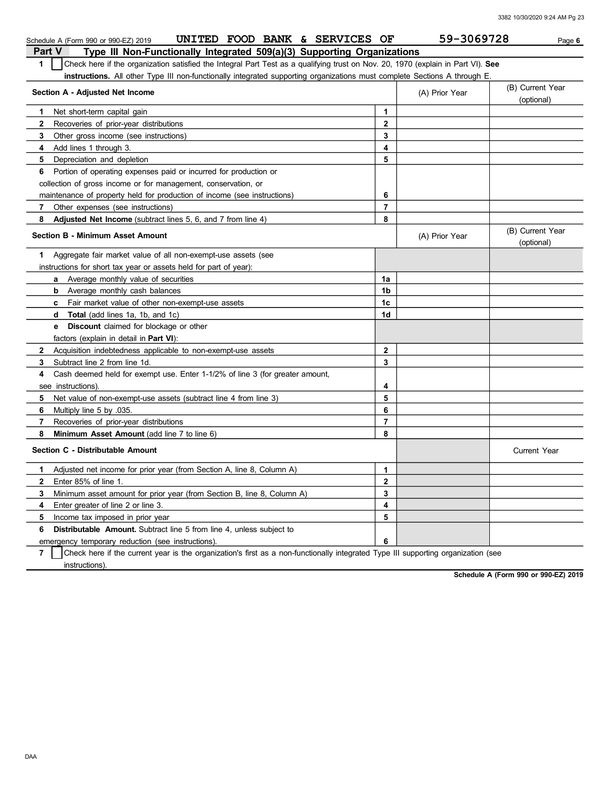|                                                                                                                                                 |                |                | 3382 10/30/2020 9:24 AM Pg 23  |
|-------------------------------------------------------------------------------------------------------------------------------------------------|----------------|----------------|--------------------------------|
|                                                                                                                                                 |                |                |                                |
| UNITED FOOD BANK & SERVICES OF<br>Schedule A (Form 990 or 990-EZ) 2019                                                                          |                | 59-3069728     | Page 6                         |
| Part V<br>Type III Non-Functionally Integrated 509(a)(3) Supporting Organizations                                                               |                |                |                                |
| Check here if the organization satisfied the Integral Part Test as a qualifying trust on Nov. 20, 1970 (explain in Part VI). See<br>$\mathbf 1$ |                |                |                                |
| instructions. All other Type III non-functionally integrated supporting organizations must complete Sections A through E.                       |                |                |                                |
| Section A - Adjusted Net Income                                                                                                                 |                | (A) Prior Year | (B) Current Year<br>(optional) |
| Net short-term capital gain<br>.1                                                                                                               | $\mathbf{1}$   |                |                                |
| Recoveries of prior-year distributions<br>$\mathbf{2}$                                                                                          | $\overline{2}$ |                |                                |
| Other gross income (see instructions)<br>3                                                                                                      | 3              |                |                                |
| 4 Add lines 1 through 3.                                                                                                                        | 4              |                |                                |
| 5 Depreciation and depletion                                                                                                                    | 5              |                |                                |
| 6 Portion of operating expenses paid or incurred for production or                                                                              |                |                |                                |
| collection of gross income or for management, conservation, or                                                                                  |                |                |                                |
| maintenance of property held for production of income (see instructions)                                                                        | 6              |                |                                |
| Other expenses (see instructions)<br>7                                                                                                          | $\overline{7}$ |                |                                |
| Adjusted Net Income (subtract lines 5, 6, and 7 from line 4)<br>8                                                                               | 8              |                |                                |
| <b>Section B - Minimum Asset Amount</b>                                                                                                         |                | (A) Prior Year | (B) Current Year<br>(optional) |
| Aggregate fair market value of all non-exempt-use assets (see<br>1                                                                              |                |                |                                |
| instructions for short tax year or assets held for part of year):                                                                               |                |                |                                |
| a Average monthly value of securities                                                                                                           | 1a             |                |                                |
| <b>b</b> Average monthly cash balances                                                                                                          | 1 <sub>b</sub> |                |                                |
| c Fair market value of other non-exempt-use assets                                                                                              | 1 <sub>c</sub> |                |                                |
| d Total (add lines 1a, 1b, and 1c)                                                                                                              | 1 <sub>d</sub> |                |                                |
| e Discount claimed for blockage or other                                                                                                        |                |                |                                |
| factors (explain in detail in Part VI):                                                                                                         |                |                |                                |
| 2 Acquisition indebtedness applicable to non-exempt-use assets                                                                                  | $\mathbf{2}$   |                |                                |
| 3 Subtract line 2 from line 1d.                                                                                                                 | $\mathbf{3}$   |                |                                |
| 4 Cash deemed held for exempt use. Enter 1-1/2% of line 3 (for greater amount,                                                                  |                |                |                                |
| see instructions).                                                                                                                              | 4              |                |                                |
| 5 Net value of non-exempt-use assets (subtract line 4 from line 3)                                                                              | 5              |                |                                |
| 6 Multiply line 5 by .035.                                                                                                                      | 6              |                |                                |
| Recoveries of prior-year distributions<br>$\mathbf{7}$                                                                                          | $\overline{7}$ |                |                                |
| Minimum Asset Amount (add line 7 to line 6)<br>8                                                                                                | 8              |                |                                |
| Section C - Distributable Amount                                                                                                                |                |                | <b>Current Year</b>            |
| Adjusted net income for prior year (from Section A, line 8, Column A)<br>$\mathbf 1$                                                            | $\mathbf{1}$   |                |                                |
| 2 Enter 85% of line 1.                                                                                                                          | $\overline{2}$ |                |                                |
| Minimum asset amount for prior year (from Section B, line 8, Column A)<br>3                                                                     | 3              |                |                                |
| Enter greater of line 2 or line 3.<br>4                                                                                                         | 4              |                |                                |
| 5 Income tax imposed in prior year                                                                                                              | 5              |                |                                |
| 6 Distributable Amount. Subtract line 5 from line 4, unless subject to                                                                          |                |                |                                |
|                                                                                                                                                 |                |                |                                |
| emergency temporary reduction (see instructions).                                                                                               | 6              |                |                                |

7 Check here if the current year is the organization's first as a non-functionally integrated Type III supporting organization (see instructions).

Schedule A (Form 990 or 990-EZ) 2019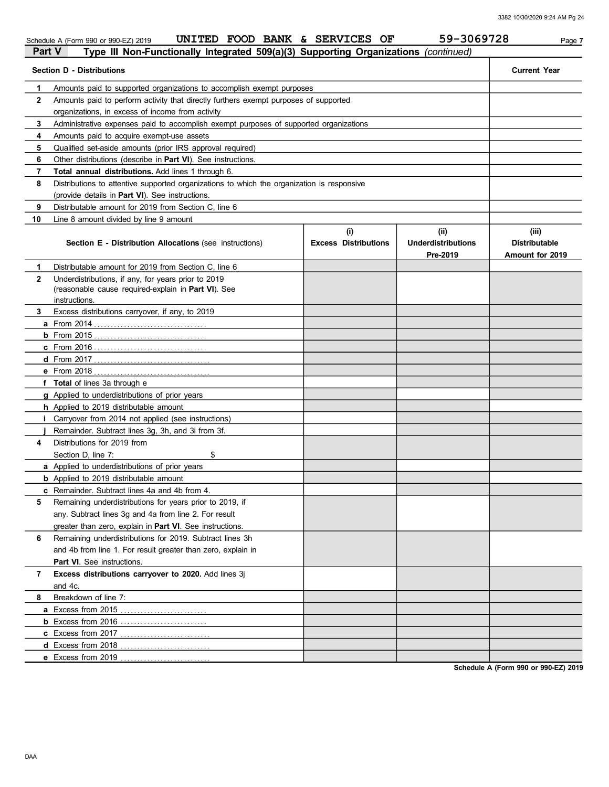| UNITED FOOD BANK & SERVICES OF<br>Schedule A (Form 990 or 990-EZ) 2019<br>Part V<br>Type III Non-Functionally Integrated 509(a)(3) Supporting Organizations (continued) |                                    | 59-3069728                                    | Page 7                                           |
|-------------------------------------------------------------------------------------------------------------------------------------------------------------------------|------------------------------------|-----------------------------------------------|--------------------------------------------------|
|                                                                                                                                                                         |                                    |                                               |                                                  |
| <b>Section D - Distributions</b>                                                                                                                                        |                                    |                                               | <b>Current Year</b>                              |
| Amounts paid to supported organizations to accomplish exempt purposes<br>$\mathbf 1$                                                                                    |                                    |                                               |                                                  |
| Amounts paid to perform activity that directly furthers exempt purposes of supported<br>$\mathbf{2}$                                                                    |                                    |                                               |                                                  |
| organizations, in excess of income from activity                                                                                                                        |                                    |                                               |                                                  |
| Administrative expenses paid to accomplish exempt purposes of supported organizations<br>3<br>Amounts paid to acquire exempt-use assets<br>4                            |                                    |                                               |                                                  |
| Qualified set-aside amounts (prior IRS approval required)<br>5.                                                                                                         |                                    |                                               |                                                  |
| Other distributions (describe in Part VI). See instructions.<br>6                                                                                                       |                                    |                                               |                                                  |
| $\overline{7}$<br>Total annual distributions. Add lines 1 through 6.                                                                                                    |                                    |                                               |                                                  |
| Distributions to attentive supported organizations to which the organization is responsive<br>8<br>(provide details in Part VI). See instructions.                      |                                    |                                               |                                                  |
| Distributable amount for 2019 from Section C, line 6<br>9                                                                                                               |                                    |                                               |                                                  |
| Line 8 amount divided by line 9 amount<br>10                                                                                                                            |                                    |                                               |                                                  |
| Section E - Distribution Allocations (see instructions)                                                                                                                 | (i)<br><b>Excess Distributions</b> | (ii)<br><b>Underdistributions</b><br>Pre-2019 | (iii)<br><b>Distributable</b><br>Amount for 2019 |
| Distributable amount for 2019 from Section C, line 6<br>$\mathbf{1}$                                                                                                    |                                    |                                               |                                                  |
| 2 Underdistributions, if any, for years prior to 2019<br>(reasonable cause required-explain in Part VI). See<br>instructions.                                           |                                    |                                               |                                                  |
| 3 Excess distributions carryover, if any, to 2019                                                                                                                       |                                    |                                               |                                                  |
|                                                                                                                                                                         |                                    |                                               |                                                  |
|                                                                                                                                                                         |                                    |                                               |                                                  |
|                                                                                                                                                                         |                                    |                                               |                                                  |
|                                                                                                                                                                         |                                    |                                               |                                                  |
| f Total of lines 3a through e                                                                                                                                           |                                    |                                               |                                                  |
| g Applied to underdistributions of prior years                                                                                                                          |                                    |                                               |                                                  |
| h Applied to 2019 distributable amount<br><i>i</i> Carryover from 2014 not applied (see instructions)                                                                   |                                    |                                               |                                                  |
| Remainder. Subtract lines 3g, 3h, and 3i from 3f.                                                                                                                       |                                    |                                               |                                                  |
| Distributions for 2019 from<br>4                                                                                                                                        |                                    |                                               |                                                  |
| Section D, line 7:<br>\$                                                                                                                                                |                                    |                                               |                                                  |
| a Applied to underdistributions of prior years<br><b>b</b> Applied to 2019 distributable amount                                                                         |                                    |                                               |                                                  |
| c Remainder. Subtract lines 4a and 4b from 4.                                                                                                                           |                                    |                                               |                                                  |
| Remaining underdistributions for years prior to 2019, if<br>5<br>any. Subtract lines 3g and 4a from line 2. For result                                                  |                                    |                                               |                                                  |
| greater than zero, explain in Part VI. See instructions.                                                                                                                |                                    |                                               |                                                  |
| Remaining underdistributions for 2019. Subtract lines 3h<br>6<br>and 4b from line 1. For result greater than zero, explain in<br>Part VI. See instructions.             |                                    |                                               |                                                  |
|                                                                                                                                                                         |                                    |                                               |                                                  |
| Excess distributions carryover to 2020. Add lines 3j<br>7<br>and 4c.                                                                                                    |                                    |                                               |                                                  |
| Breakdown of line 7:<br>8                                                                                                                                               |                                    |                                               |                                                  |
| a Excess from 2015                                                                                                                                                      |                                    |                                               |                                                  |
|                                                                                                                                                                         |                                    |                                               |                                                  |
| d Excess from 2018                                                                                                                                                      |                                    |                                               |                                                  |

Schedule A (Form 990 or 990-EZ) 2019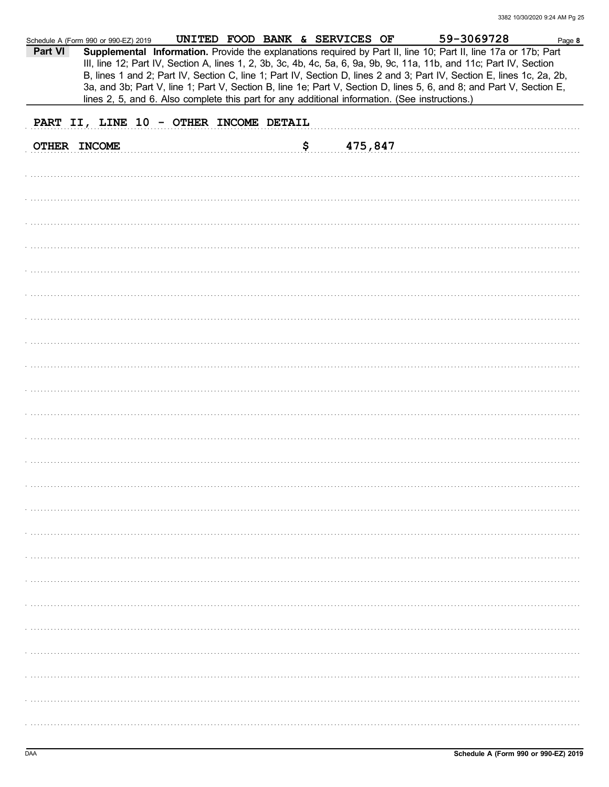| 59-3069728<br>UNITED FOOD BANK & SERVICES OF<br>Schedule A (Form 990 or 990-EZ) 2019<br>Page 8<br>Supplemental Information. Provide the explanations required by Part II, line 10; Part II, line 17a or 17b; Part<br>Part VI<br>III, line 12; Part IV, Section A, lines 1, 2, 3b, 3c, 4b, 4c, 5a, 6, 9a, 9b, 9c, 11a, 11b, and 11c; Part IV, Section<br>B, lines 1 and 2; Part IV, Section C, line 1; Part IV, Section D, lines 2 and 3; Part IV, Section E, lines 1c, 2a, 2b,<br>3a, and 3b; Part V, line 1; Part V, Section B, line 1e; Part V, Section D, lines 5, 6, and 8; and Part V, Section E,<br>lines 2, 5, and 6. Also complete this part for any additional information. (See instructions.) |
|----------------------------------------------------------------------------------------------------------------------------------------------------------------------------------------------------------------------------------------------------------------------------------------------------------------------------------------------------------------------------------------------------------------------------------------------------------------------------------------------------------------------------------------------------------------------------------------------------------------------------------------------------------------------------------------------------------|
| PART II, LINE 10 - OTHER INCOME DETAIL                                                                                                                                                                                                                                                                                                                                                                                                                                                                                                                                                                                                                                                                   |
| \$<br>475,847<br>OTHER INCOME                                                                                                                                                                                                                                                                                                                                                                                                                                                                                                                                                                                                                                                                            |
|                                                                                                                                                                                                                                                                                                                                                                                                                                                                                                                                                                                                                                                                                                          |
|                                                                                                                                                                                                                                                                                                                                                                                                                                                                                                                                                                                                                                                                                                          |
|                                                                                                                                                                                                                                                                                                                                                                                                                                                                                                                                                                                                                                                                                                          |
|                                                                                                                                                                                                                                                                                                                                                                                                                                                                                                                                                                                                                                                                                                          |
|                                                                                                                                                                                                                                                                                                                                                                                                                                                                                                                                                                                                                                                                                                          |
|                                                                                                                                                                                                                                                                                                                                                                                                                                                                                                                                                                                                                                                                                                          |
|                                                                                                                                                                                                                                                                                                                                                                                                                                                                                                                                                                                                                                                                                                          |
|                                                                                                                                                                                                                                                                                                                                                                                                                                                                                                                                                                                                                                                                                                          |
|                                                                                                                                                                                                                                                                                                                                                                                                                                                                                                                                                                                                                                                                                                          |
|                                                                                                                                                                                                                                                                                                                                                                                                                                                                                                                                                                                                                                                                                                          |
|                                                                                                                                                                                                                                                                                                                                                                                                                                                                                                                                                                                                                                                                                                          |
|                                                                                                                                                                                                                                                                                                                                                                                                                                                                                                                                                                                                                                                                                                          |
|                                                                                                                                                                                                                                                                                                                                                                                                                                                                                                                                                                                                                                                                                                          |
|                                                                                                                                                                                                                                                                                                                                                                                                                                                                                                                                                                                                                                                                                                          |
|                                                                                                                                                                                                                                                                                                                                                                                                                                                                                                                                                                                                                                                                                                          |
|                                                                                                                                                                                                                                                                                                                                                                                                                                                                                                                                                                                                                                                                                                          |
|                                                                                                                                                                                                                                                                                                                                                                                                                                                                                                                                                                                                                                                                                                          |
|                                                                                                                                                                                                                                                                                                                                                                                                                                                                                                                                                                                                                                                                                                          |
|                                                                                                                                                                                                                                                                                                                                                                                                                                                                                                                                                                                                                                                                                                          |
|                                                                                                                                                                                                                                                                                                                                                                                                                                                                                                                                                                                                                                                                                                          |
|                                                                                                                                                                                                                                                                                                                                                                                                                                                                                                                                                                                                                                                                                                          |
|                                                                                                                                                                                                                                                                                                                                                                                                                                                                                                                                                                                                                                                                                                          |
|                                                                                                                                                                                                                                                                                                                                                                                                                                                                                                                                                                                                                                                                                                          |
|                                                                                                                                                                                                                                                                                                                                                                                                                                                                                                                                                                                                                                                                                                          |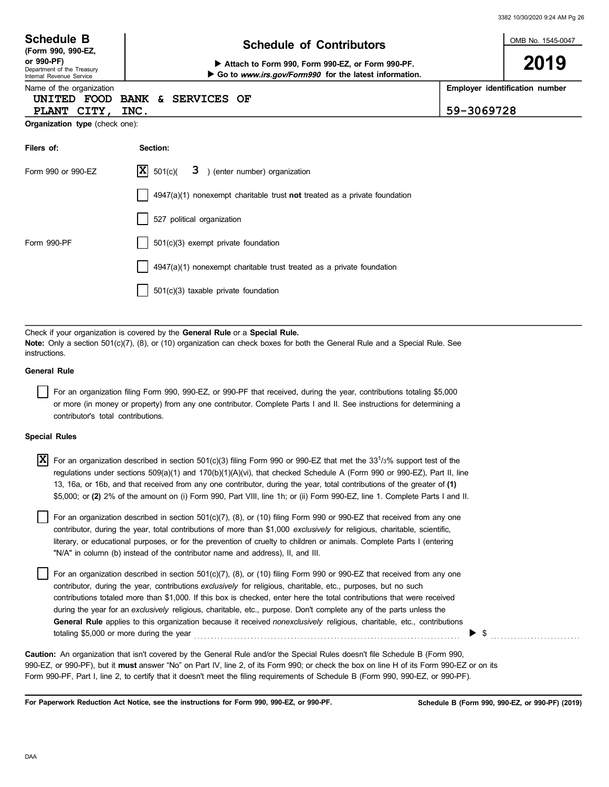|                                                                      |                                                                                                           | 3382 10/30/2020 9:24 AM Pg 26  |
|----------------------------------------------------------------------|-----------------------------------------------------------------------------------------------------------|--------------------------------|
| <b>Schedule B</b><br>(Form 990, 990-EZ,                              | <b>Schedule of Contributors</b>                                                                           | OMB No. 1545-0047              |
| or 990-PF)<br>Department of the Treasury<br>Internal Revenue Service | Attach to Form 990, Form 990-EZ, or Form 990-PF.<br>Go to www.irs.gov/Form990 for the latest information. | 2019                           |
| Name of the organization<br>UNITED FOOD                              | BANK & SERVICES OF                                                                                        | Employer identification number |
| PLANT CITY,                                                          | INC.                                                                                                      | 59-3069728                     |
| Organization type (check one):                                       |                                                                                                           |                                |
| Filers of:                                                           | Section:                                                                                                  |                                |
| Form 990 or 990-EZ                                                   | $\overline{\mathbf{X}}$ 501(c)(<br>3 ) (enter number) organization                                        |                                |
|                                                                      | 4947(a)(1) nonexempt charitable trust not treated as a private foundation                                 |                                |
|                                                                      | 527 political organization                                                                                |                                |
|                                                                      | 501(c)(3) exempt private foundation                                                                       |                                |
| Form 990-PF                                                          | 4947(a)(1) nonexempt charitable trust treated as a private foundation                                     |                                |

Check if your organization is covered by the General Rule or a Special Rule. Note: Only a section 501(c)(7), (8), or (10) organization can check boxes for both the General Rule and a Special Rule. See instructions.

# General Rule

For an organization filing Form 990, 990-EZ, or 990-PF that received, during the year, contributions totaling \$5,000 or more (in money or property) from any one contributor. Complete Parts I and II. See instructions for determining a contributor's total contributions.

## Special Rules

| X For an organization described in section 501(c)(3) filing Form 990 or 990-EZ that met the 33 <sup>1</sup> /3% support test of the |
|-------------------------------------------------------------------------------------------------------------------------------------|
| regulations under sections $509(a)(1)$ and $170(b)(1)(A)(vi)$ , that checked Schedule A (Form 990 or 990-EZ), Part II, line         |
| 13, 16a, or 16b, and that received from any one contributor, during the year, total contributions of the greater of (1)             |
| \$5,000; or (2) 2% of the amount on (i) Form 990, Part VIII, line 1h; or (ii) Form 990-EZ, line 1. Complete Parts I and II.         |

literary, or educational purposes, or for the prevention of cruelty to children or animals. Complete Parts I (entering For an organization described in section  $501(c)(7)$ ,  $(8)$ , or  $(10)$  filing Form 990 or 990-EZ that received from any one contributor, during the year, total contributions of more than \$1,000 exclusively for religious, charitable, scientific, "N/A" in column (b) instead of the contributor name and address), II, and III.

For an organization described in section 501(c)(7), (8), or (10) filing Form 990 or 990-EZ that received from any one contributor, during the year, contributions exclusively for religious, charitable, etc., purposes, but no such contributions totaled more than \$1,000. If this box is checked, enter here the total contributions that were received during the year for an exclusively religious, charitable, etc., purpose. Don't complete any of the parts unless the General Rule applies to this organization because it received nonexclusively religious, charitable, etc., contributions totaling \$5,000 or more during the year  $\ldots$  and  $\ldots$  are constrained as a constraint of  $\ddot{\bullet}$  successive  $\ddot{\bullet}$  successive  $\ddot{\bullet}$ 

990-EZ, or 990-PF), but it must answer "No" on Part IV, line 2, of its Form 990; or check the box on line H of its Form 990-EZ or on its Form 990-PF, Part I, line 2, to certify that it doesn't meet the filing requirements of Schedule B (Form 990, 990-EZ, or 990-PF). Caution: An organization that isn't covered by the General Rule and/or the Special Rules doesn't file Schedule B (Form 990,

For Paperwork Reduction Act Notice, see the instructions for Form 990, 990-EZ, or 990-PF.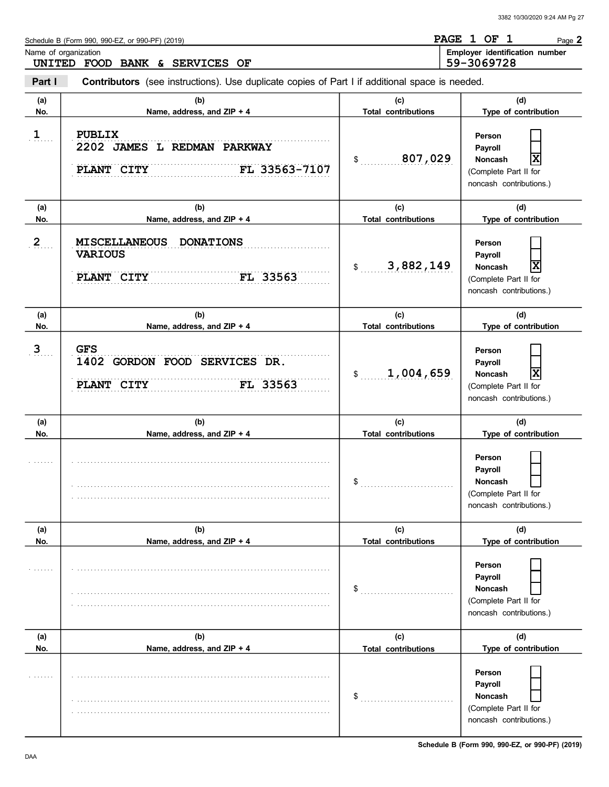|                     | Schedule B (Form 990, 990-EZ, or 990-PF) (2019)<br><b>Jame of organization</b><br>UNITED FOOD BANK & SERVICES OF   |                                               | PAGE 1 OF 1<br>Page 2<br>Employer identification number<br>59-3069728                                         |
|---------------------|--------------------------------------------------------------------------------------------------------------------|-----------------------------------------------|---------------------------------------------------------------------------------------------------------------|
| Part I              | Contributors (see instructions). Use duplicate copies of Part I if additional space is needed.                     |                                               |                                                                                                               |
| (a)<br>No.          | (b)<br>Name, address, and ZIP + 4                                                                                  | (c)<br><b>Total contributions</b>             | (d)<br>Type of contribution                                                                                   |
| $\mathbf{1}$<br>.   | <b>PUBLIX</b><br>2202 JAMES L REDMAN PARKWAY<br>PLANT CITY<br>FL 33563-7107                                        | 807,029<br>\$                                 | Person<br>Payroll<br>図<br>Noncash<br>(Complete Part II for<br>noncash contributions.)                         |
| (a)                 | (b)                                                                                                                | (c)                                           | (d)                                                                                                           |
| No.<br>$\mathbf{2}$ | Name, address, and ZIP + 4<br><b>MISCELLANEOUS</b><br><b>DONATIONS</b><br><b>VARIOUS</b><br>FL 33563<br>PLANT CITY | <b>Total contributions</b><br>3,882,149<br>\$ | Type of contribution<br>Person<br>Payroll<br>図<br>Noncash<br>(Complete Part II for<br>noncash contributions.) |
| (a)<br>No.          | (b)<br>Name, address, and ZIP + 4                                                                                  | (c)<br><b>Total contributions</b>             | (d)<br>Type of contribution                                                                                   |
| 3                   | <b>GFS</b><br>1402 GORDON FOOD SERVICES DR.<br>FL 33563<br>PLANT CITY                                              | 1,004,659<br>$\frac{1}{2}$                    | Person<br>Payroll<br>図<br>Noncash<br>(Complete Part II for<br>noncash contributions.)                         |
| (a)<br>No.          | (b)<br>Name, address, and ZIP + 4                                                                                  | (c)<br><b>Total contributions</b>             | (d)<br>Type of contribution                                                                                   |
| 1.1.1.1.1           |                                                                                                                    | \$                                            | Person<br>Payroll<br>Noncash<br>(Complete Part II for<br>noncash contributions.)                              |
| (a)<br>No.          | (b)<br>Name, address, and ZIP + 4                                                                                  | (c)<br><b>Total contributions</b>             | (d)<br>Type of contribution                                                                                   |
|                     |                                                                                                                    | \$                                            | Person<br>Payroll<br>Noncash<br>(Complete Part II for<br>noncash contributions.)                              |
| (a)<br>No.          | (b)<br>Name, address, and ZIP + 4                                                                                  | (c)<br><b>Total contributions</b>             | (d)<br>Type of contribution                                                                                   |
| 1.1.1.1.1           |                                                                                                                    | \$                                            | Person<br>Payroll<br>Noncash<br>(Complete Part II for<br>noncash contributions.)                              |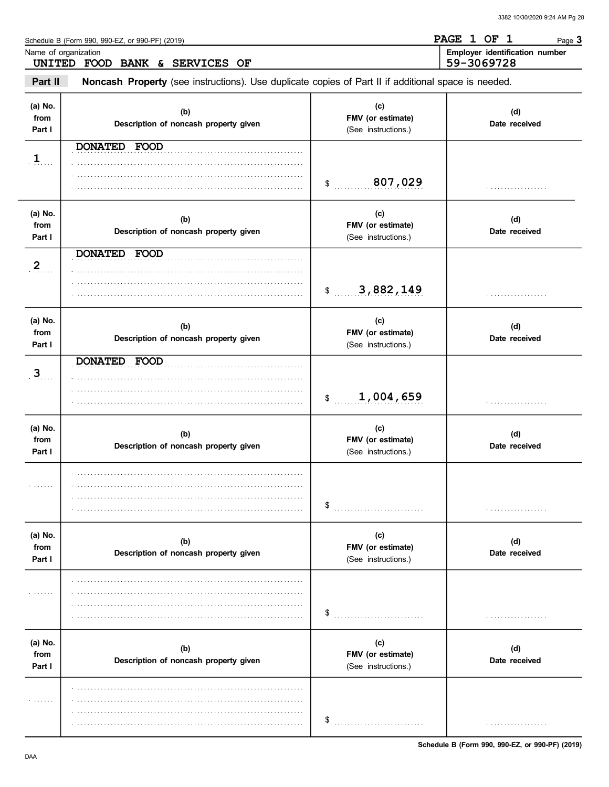| Name of organization      | Schedule B (Form 990, 990-EZ, or 990-PF) (2019)<br>UNITED FOOD BANK & SERVICES OF                   |                                                 | PAGE 1 OF 1<br>Page 3<br>Employer identification number<br>59-3069728 |
|---------------------------|-----------------------------------------------------------------------------------------------------|-------------------------------------------------|-----------------------------------------------------------------------|
| Part II                   | Noncash Property (see instructions). Use duplicate copies of Part II if additional space is needed. |                                                 |                                                                       |
| (a) No.<br>from<br>Part I | (b)<br>Description of noncash property given                                                        | (c)<br>FMV (or estimate)<br>(See instructions.) | (d)<br>Date received                                                  |
| $\mathbf{1}$              | DONATED FOOD                                                                                        | 807,029<br>\$                                   |                                                                       |
| (a) No.<br>from<br>Part I | (b)<br>Description of noncash property given                                                        | (c)<br>FMV (or estimate)<br>(See instructions.) | (d)<br>Date received                                                  |
| $2_{\ldots}$              | <b>DONATED</b><br><b>FOOD</b>                                                                       | 3,882,149<br>\$                                 |                                                                       |
| (a) No.<br>from<br>Part I | (b)<br>Description of noncash property given                                                        | (c)<br>FMV (or estimate)<br>(See instructions.) | (d)<br>Date received                                                  |
| $3_{\ldots}$              | <b>DONATED</b><br>FOOD                                                                              | 1,004,659<br>\$                                 |                                                                       |
| (a) No.<br>from<br>Part I | (b)<br>Description of noncash property given                                                        | (c)<br>FMV (or estimate)<br>(See instructions.) | (d)<br>Date received                                                  |
| .                         |                                                                                                     | \$                                              | .                                                                     |
| (a) No.<br>from<br>Part I | (b)<br>Description of noncash property given                                                        | (c)<br>FMV (or estimate)<br>(See instructions.) | (d)<br>Date received                                                  |
| .                         |                                                                                                     | \$                                              | .                                                                     |
| (a) No.<br>from<br>Part I | (b)<br>Description of noncash property given                                                        | (c)<br>FMV (or estimate)<br>(See instructions.) | (d)<br>Date received                                                  |
| .                         |                                                                                                     | \$                                              |                                                                       |

Schedule B (Form 990, 990-EZ, or 990-PF) (2019)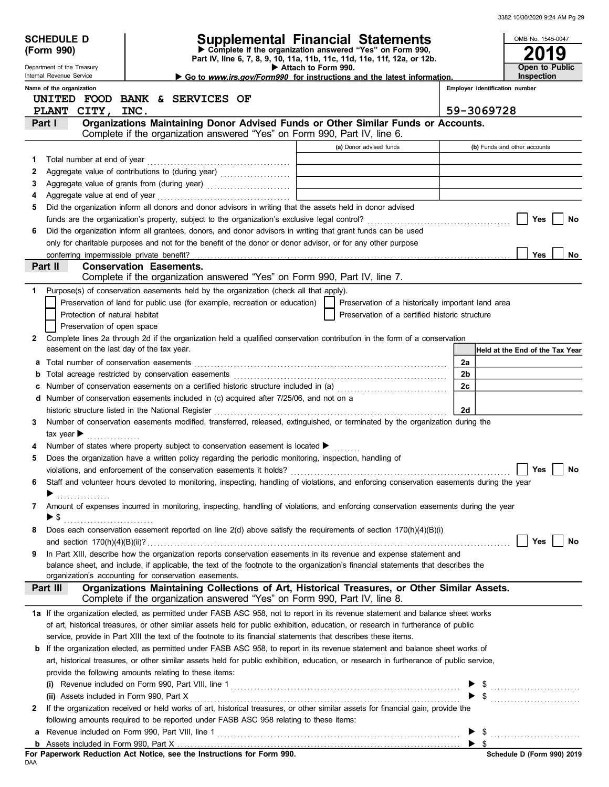| 3382 10/30/2020 9:24 AM Pg 29 |  |  |
|-------------------------------|--|--|

| <b>SCHEDULE D</b>                         |                                                                                                                                                                                                                                                                      | <b>Supplemental Financial Statements</b><br>Complete if the organization answered "Yes" on Form 990, |                                | OMB No. 1545-0047                  |
|-------------------------------------------|----------------------------------------------------------------------------------------------------------------------------------------------------------------------------------------------------------------------------------------------------------------------|------------------------------------------------------------------------------------------------------|--------------------------------|------------------------------------|
| (Form 990)<br>Department of the Treasury  |                                                                                                                                                                                                                                                                      | Part IV, line 6, 7, 8, 9, 10, 11a, 11b, 11c, 11d, 11e, 11f, 12a, or 12b.<br>Attach to Form 990.      |                                | 9<br>Open to Public                |
| Internal Revenue Service                  |                                                                                                                                                                                                                                                                      | Go to www.irs.gov/Form990 for instructions and the latest information.                               |                                | Inspection                         |
| Name of the organization                  | UNITED FOOD BANK & SERVICES OF                                                                                                                                                                                                                                       |                                                                                                      | Employer identification number |                                    |
| PLANT CITY, INC.                          |                                                                                                                                                                                                                                                                      |                                                                                                      | 59-3069728                     |                                    |
| Part I                                    | Organizations Maintaining Donor Advised Funds or Other Similar Funds or Accounts.                                                                                                                                                                                    |                                                                                                      |                                |                                    |
|                                           | Complete if the organization answered "Yes" on Form 990, Part IV, line 6.                                                                                                                                                                                            | (a) Donor advised funds                                                                              |                                | (b) Funds and other accounts       |
| Total number at end of year               |                                                                                                                                                                                                                                                                      |                                                                                                      |                                |                                    |
| 2                                         |                                                                                                                                                                                                                                                                      |                                                                                                      |                                |                                    |
| 3.<br>Aggregate value at end of year      |                                                                                                                                                                                                                                                                      |                                                                                                      |                                |                                    |
|                                           | 5 Did the organization inform all donors and donor advisors in writing that the assets held in donor advised                                                                                                                                                         |                                                                                                      |                                |                                    |
|                                           | funds are the organization's property, subject to the organization's exclusive legal control?                                                                                                                                                                        |                                                                                                      |                                | Yes   No                           |
|                                           | 6 Did the organization inform all grantees, donors, and donor advisors in writing that grant funds can be used<br>only for charitable purposes and not for the benefit of the donor or donor advisor, or for any other purpose                                       |                                                                                                      |                                |                                    |
| conferring impermissible private benefit? |                                                                                                                                                                                                                                                                      |                                                                                                      |                                | Yes<br>$\overline{\phantom{a}}$ No |
| Part II                                   | <b>Conservation Easements.</b>                                                                                                                                                                                                                                       |                                                                                                      |                                |                                    |
|                                           | Complete if the organization answered "Yes" on Form 990, Part IV, line 7.                                                                                                                                                                                            |                                                                                                      |                                |                                    |
|                                           | 1 Purpose(s) of conservation easements held by the organization (check all that apply).<br>Preservation of land for public use (for example, recreation or education)                                                                                                | Preservation of a historically important land area                                                   |                                |                                    |
| Protection of natural habitat             |                                                                                                                                                                                                                                                                      | Preservation of a certified historic structure                                                       |                                |                                    |
| Preservation of open space                |                                                                                                                                                                                                                                                                      |                                                                                                      |                                |                                    |
| easement on the last day of the tax year. | 2 Complete lines 2a through 2d if the organization held a qualified conservation contribution in the form of a conservation                                                                                                                                          |                                                                                                      |                                | Held at the End of the Tax Year    |
| a Total number of conservation easements  |                                                                                                                                                                                                                                                                      |                                                                                                      | 2a                             |                                    |
| b                                         |                                                                                                                                                                                                                                                                      |                                                                                                      | 2 <sub>b</sub>                 |                                    |
|                                           | c Number of conservation easements on a certified historic structure included in (a) [11] Number of conservation easements on a certified historic structure included in (a)                                                                                         |                                                                                                      | 2c                             |                                    |
|                                           | d Number of conservation easements included in (c) acquired after 7/25/06, and not on a<br>historic structure listed in the National Register                                                                                                                        |                                                                                                      | 2d                             |                                    |
|                                           | 3 Number of conservation easements modified, transferred, released, extinguished, or terminated by the organization during the                                                                                                                                       |                                                                                                      |                                |                                    |
| $\mathsf{tax}$ year $\blacktriangleright$ |                                                                                                                                                                                                                                                                      |                                                                                                      |                                |                                    |
|                                           | Number of states where property subject to conservation easement is located $\blacktriangleright$                                                                                                                                                                    |                                                                                                      |                                |                                    |
|                                           | 5 Does the organization have a written policy regarding the periodic monitoring, inspection, handling of                                                                                                                                                             |                                                                                                      |                                | $\vert$   Yes $\vert \vert$ No     |
|                                           | 6 Staff and volunteer hours devoted to monitoring, inspecting, handling of violations, and enforcing conservation easements during the year                                                                                                                          |                                                                                                      |                                |                                    |
|                                           |                                                                                                                                                                                                                                                                      |                                                                                                      |                                |                                    |
| $\blacktriangleright$ \$                  | 7 Amount of expenses incurred in monitoring, inspecting, handling of violations, and enforcing conservation easements during the year                                                                                                                                |                                                                                                      |                                |                                    |
|                                           | 8 Does each conservation easement reported on line 2(d) above satisfy the requirements of section 170(h)(4)(B)(i)                                                                                                                                                    |                                                                                                      |                                |                                    |
|                                           |                                                                                                                                                                                                                                                                      |                                                                                                      |                                | $Yes$ No                           |
|                                           | 9 In Part XIII, describe how the organization reports conservation easements in its revenue and expense statement and                                                                                                                                                |                                                                                                      |                                |                                    |
|                                           | balance sheet, and include, if applicable, the text of the footnote to the organization's financial statements that describes the<br>organization's accounting for conservation easements.                                                                           |                                                                                                      |                                |                                    |
| Part III                                  | Organizations Maintaining Collections of Art, Historical Treasures, or Other Similar Assets.                                                                                                                                                                         |                                                                                                      |                                |                                    |
|                                           | Complete if the organization answered "Yes" on Form 990, Part IV, line 8.                                                                                                                                                                                            |                                                                                                      |                                |                                    |
|                                           | 1a If the organization elected, as permitted under FASB ASC 958, not to report in its revenue statement and balance sheet works<br>of art, historical treasures, or other similar assets held for public exhibition, education, or research in furtherance of public |                                                                                                      |                                |                                    |
|                                           | service, provide in Part XIII the text of the footnote to its financial statements that describes these items.                                                                                                                                                       |                                                                                                      |                                |                                    |
|                                           | <b>b</b> If the organization elected, as permitted under FASB ASC 958, to report in its revenue statement and balance sheet works of                                                                                                                                 |                                                                                                      |                                |                                    |
|                                           | art, historical treasures, or other similar assets held for public exhibition, education, or research in furtherance of public service,                                                                                                                              |                                                                                                      |                                |                                    |
|                                           | provide the following amounts relating to these items:<br>(i) Revenue included on Form 990, Part VIII, line 1                                                                                                                                                        |                                                                                                      |                                |                                    |
|                                           |                                                                                                                                                                                                                                                                      |                                                                                                      |                                |                                    |
|                                           | 2 If the organization received or held works of art, historical treasures, or other similar assets for financial gain, provide the                                                                                                                                   |                                                                                                      |                                |                                    |
|                                           | following amounts required to be reported under FASB ASC 958 relating to these items:                                                                                                                                                                                |                                                                                                      |                                |                                    |
|                                           | a Revenue included on Form 990, Part VIII, line 1                                                                                                                                                                                                                    |                                                                                                      |                                |                                    |
|                                           |                                                                                                                                                                                                                                                                      |                                                                                                      |                                |                                    |

For Paperwork Reduction Act Notice, see the Instructions for Form 990.<br><sub>DAA</sub>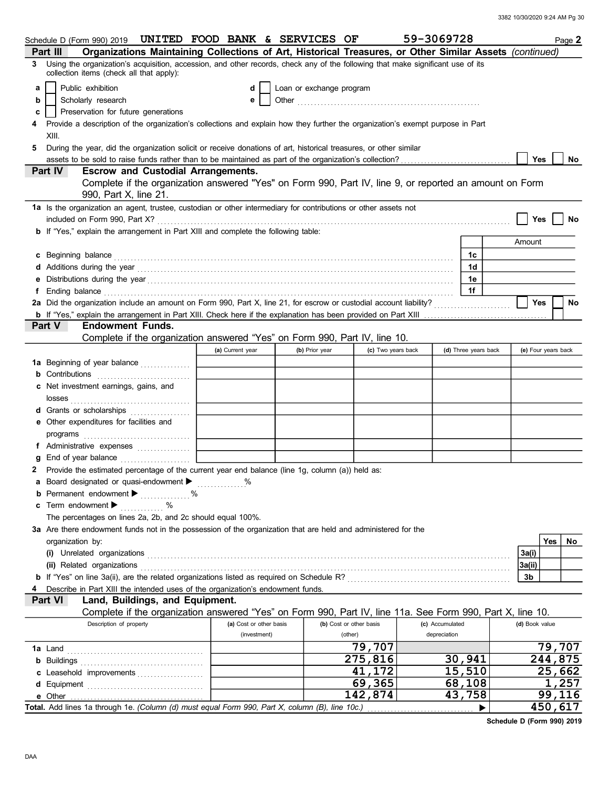|                                                                                                                                                                                                                                                          |                                         |                                      |                                 | 3382 10/30/2020 9:24 AM Pg 30      |
|----------------------------------------------------------------------------------------------------------------------------------------------------------------------------------------------------------------------------------------------------------|-----------------------------------------|--------------------------------------|---------------------------------|------------------------------------|
| Schedule D (Form 990) 2019                                                                                                                                                                                                                               | UNITED FOOD BANK & SERVICES OF          |                                      | 59-3069728                      | Page 2                             |
| Organizations Maintaining Collections of Art, Historical Treasures, or Other Similar Assets (continued)<br>Part III<br>3 Using the organization's acquisition, accession, and other records, check any of the following that make significant use of its |                                         |                                      |                                 |                                    |
| collection items (check all that apply):                                                                                                                                                                                                                 |                                         |                                      |                                 |                                    |
| Public exhibition<br>Scholarly research                                                                                                                                                                                                                  | Other                                   | Loan or exchange program             |                                 |                                    |
| Preservation for future generations                                                                                                                                                                                                                      |                                         |                                      |                                 |                                    |
| 4 Provide a description of the organization's collections and explain how they further the organization's exempt purpose in Part<br>XIII.                                                                                                                |                                         |                                      |                                 |                                    |
| 5 During the year, did the organization solicit or receive donations of art, historical treasures, or other similar                                                                                                                                      |                                         |                                      |                                 |                                    |
| <b>Escrow and Custodial Arrangements.</b><br>Part IV                                                                                                                                                                                                     |                                         |                                      |                                 | Yes<br>$\overline{\phantom{a}}$ No |
| Complete if the organization answered "Yes" on Form 990, Part IV, line 9, or reported an amount on Form<br>990, Part X, line 21.                                                                                                                         |                                         |                                      |                                 |                                    |
| 1a Is the organization an agent, trustee, custodian or other intermediary for contributions or other assets not                                                                                                                                          |                                         |                                      |                                 |                                    |
| included on Form 990, Part X?<br><b>b</b> If "Yes," explain the arrangement in Part XIII and complete the following table:                                                                                                                               |                                         |                                      |                                 | No<br>l Yes                        |
|                                                                                                                                                                                                                                                          |                                         |                                      |                                 | Amount                             |
| c Beginning balance                                                                                                                                                                                                                                      |                                         |                                      | 1c<br>1 <sub>d</sub>            |                                    |
|                                                                                                                                                                                                                                                          |                                         |                                      | 1e                              |                                    |
| 2a Did the organization include an amount on Form 990, Part X, line 21, for escrow or custodial account liability?<br>[10] [10] Did amount include an amount on Form 990, Part X, line 21, for escrow or custodial account liabil                        |                                         |                                      | 1f                              |                                    |
|                                                                                                                                                                                                                                                          |                                         |                                      |                                 | Yes                                |
| <b>Endowment Funds.</b><br>Part V<br>Complete if the organization answered "Yes" on Form 990, Part IV, line 10.                                                                                                                                          |                                         |                                      |                                 |                                    |
|                                                                                                                                                                                                                                                          | (a) Current year                        | (b) Prior year<br>(c) Two years back | (d) Three years back            | (e) Four years back                |
| 1a Beginning of year balance<br><b>b</b> Contributions <b>contributions</b>                                                                                                                                                                              |                                         |                                      |                                 |                                    |
| c Net investment earnings, gains, and                                                                                                                                                                                                                    |                                         |                                      |                                 |                                    |
| losses<br>d Grants or scholarships                                                                                                                                                                                                                       |                                         |                                      |                                 |                                    |
| e Other expenditures for facilities and                                                                                                                                                                                                                  |                                         |                                      |                                 |                                    |
|                                                                                                                                                                                                                                                          |                                         |                                      |                                 |                                    |
| f Administrative expenses                                                                                                                                                                                                                                |                                         |                                      |                                 |                                    |
| 2 Provide the estimated percentage of the current year end balance (line 1g, column (a)) held as:<br>a Board designated or quasi-endowment > %                                                                                                           |                                         |                                      |                                 |                                    |
| <b>b</b> Permanent endowment <b>D</b> %                                                                                                                                                                                                                  |                                         |                                      |                                 |                                    |
| c Term endowment >  %<br>The percentages on lines 2a, 2b, and 2c should equal 100%.                                                                                                                                                                      |                                         |                                      |                                 |                                    |
| 3a Are there endowment funds not in the possession of the organization that are held and administered for the                                                                                                                                            |                                         |                                      |                                 |                                    |
| organization by:                                                                                                                                                                                                                                         |                                         |                                      |                                 | Yes<br>No<br>3a(i)                 |
| (i) Unrelated organizations <b>contracts</b><br>(ii) Related organizations <b>3a</b> (ii) 3a(ii)                                                                                                                                                         |                                         |                                      |                                 |                                    |
|                                                                                                                                                                                                                                                          |                                         |                                      |                                 | 3 <sub>b</sub>                     |
| 4 Describe in Part XIII the intended uses of the organization's endowment funds.<br>Land, Buildings, and Equipment.<br>Part VI                                                                                                                           |                                         |                                      |                                 |                                    |
| Complete if the organization answered "Yes" on Form 990, Part IV, line 11a. See Form 990, Part X, line 10.                                                                                                                                               |                                         |                                      |                                 |                                    |
| Description of property                                                                                                                                                                                                                                  | (a) Cost or other basis<br>(investment) | (b) Cost or other basis<br>(other)   | (c) Accumulated<br>depreciation | (d) Book value                     |
|                                                                                                                                                                                                                                                          |                                         | 79,707                               |                                 | 79,707                             |
| c Leasehold improvements                                                                                                                                                                                                                                 |                                         | 275,816<br>41,172                    | 30,941<br>15,510                | 244,875<br>25,662                  |
|                                                                                                                                                                                                                                                          |                                         | 69,365                               | 68,108                          | 1,257                              |
| e Other<br>Total. Add lines 1a through 1e. (Column (d) must equal Form 990, Part X, column (B), line 10c.)                                                                                                                                               |                                         | 142,874                              | 43,758                          | <u>99,116</u><br>450,617           |
|                                                                                                                                                                                                                                                          |                                         |                                      |                                 | Schedule D (Form 990) 2019         |
|                                                                                                                                                                                                                                                          |                                         |                                      |                                 |                                    |
| DAA                                                                                                                                                                                                                                                      |                                         |                                      |                                 |                                    |
|                                                                                                                                                                                                                                                          |                                         |                                      |                                 |                                    |
|                                                                                                                                                                                                                                                          |                                         |                                      |                                 |                                    |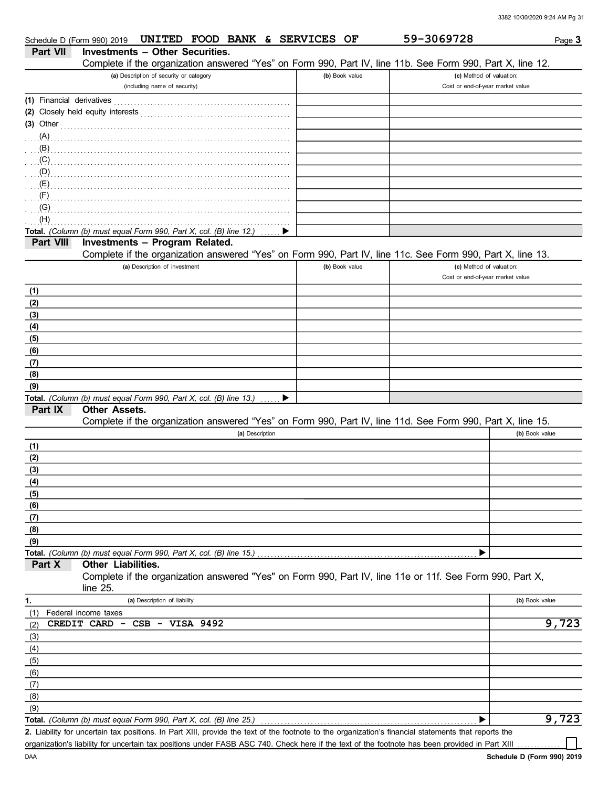|                           |                                                                                                                                                      |                |                                  | 3382 10/30/2020 9:24 AM Pg 31 |
|---------------------------|------------------------------------------------------------------------------------------------------------------------------------------------------|----------------|----------------------------------|-------------------------------|
|                           | UNITED FOOD BANK & SERVICES OF<br>Schedule D (Form 990) 2019                                                                                         |                | 59-3069728                       | Page 3                        |
| Part VII                  | <b>Investments - Other Securities.</b><br>Complete if the organization answered "Yes" on Form 990, Part IV, line 11b. See Form 990, Part X, line 12. |                |                                  |                               |
|                           | (a) Description of security or category                                                                                                              | (b) Book value | (c) Method of valuation:         |                               |
| (1) Financial derivatives | (including name of security)                                                                                                                         |                | Cost or end-of-year market value |                               |
|                           | (2) Closely held equity interests                                                                                                                    |                |                                  |                               |
| $(3)$ Other               |                                                                                                                                                      |                |                                  |                               |
| (A)<br>$\cdot$ (B)        |                                                                                                                                                      |                |                                  |                               |
| (C)                       |                                                                                                                                                      |                |                                  |                               |
| (D)                       |                                                                                                                                                      |                |                                  |                               |
| (E)                       |                                                                                                                                                      |                |                                  |                               |
| (F)<br>$\overline{G}$ (G) |                                                                                                                                                      |                |                                  |                               |
| (H)                       |                                                                                                                                                      |                |                                  |                               |
|                           | Total. (Column (b) must equal Form 990, Part X, col. (B) line 12.)<br>▶                                                                              |                |                                  |                               |
| Part VIII                 | Investments - Program Related.<br>Complete if the organization answered "Yes" on Form 990, Part IV, line 11c. See Form 990, Part X, line 13.         |                |                                  |                               |
|                           | (a) Description of investment                                                                                                                        | (b) Book value | (c) Method of valuation:         |                               |
|                           |                                                                                                                                                      |                | Cost or end-of-year market value |                               |
| (1)                       |                                                                                                                                                      |                |                                  |                               |
| (2)                       |                                                                                                                                                      |                |                                  |                               |
|                           |                                                                                                                                                      |                |                                  |                               |
| (3)                       |                                                                                                                                                      |                |                                  |                               |
| (4)                       |                                                                                                                                                      |                |                                  |                               |
| (5)<br>(6)                |                                                                                                                                                      |                |                                  |                               |
| (7)                       |                                                                                                                                                      |                |                                  |                               |
| (8)                       |                                                                                                                                                      |                |                                  |                               |
| (9)                       | ▶                                                                                                                                                    |                |                                  |                               |
| Part IX                   | Total. (Column (b) must equal Form 990, Part X, col. (B) line 13.)<br>Other Assets.                                                                  |                |                                  |                               |
|                           | Complete if the organization answered "Yes" on Form 990, Part IV, line 11d. See Form 990, Part X, line 15.                                           |                |                                  |                               |
|                           | (a) Description                                                                                                                                      |                |                                  | (b) Book value                |
| (1)                       |                                                                                                                                                      |                |                                  |                               |
| (2)<br>(3)                |                                                                                                                                                      |                |                                  |                               |
| (4)                       |                                                                                                                                                      |                |                                  |                               |
| (5)                       |                                                                                                                                                      |                |                                  |                               |
| (6)                       |                                                                                                                                                      |                |                                  |                               |
| (7)                       |                                                                                                                                                      |                |                                  |                               |
| (8)<br>(9)                |                                                                                                                                                      |                |                                  |                               |
|                           |                                                                                                                                                      |                | ▶                                |                               |
| Part X                    | Other Liabilities.<br>Complete if the organization answered "Yes" on Form 990, Part IV, line 11e or 11f. See Form 990, Part X,                       |                |                                  |                               |
| 1.                        | line 25.<br>(a) Description of liability                                                                                                             |                |                                  | (b) Book value                |
| (1)                       | Federal income taxes                                                                                                                                 |                |                                  |                               |
| (2)                       | CREDIT CARD - CSB - VISA 9492                                                                                                                        |                |                                  |                               |
| (3)                       |                                                                                                                                                      |                |                                  |                               |
| (4)<br>(5)                |                                                                                                                                                      |                |                                  |                               |
| (6)                       |                                                                                                                                                      |                |                                  | 9,723                         |
| (7)<br>(8)                |                                                                                                                                                      |                |                                  |                               |

organization's liability for uncertain tax positions under FASB ASC 740. Check here if the text of the footnote has been provided in Part XIII

DAA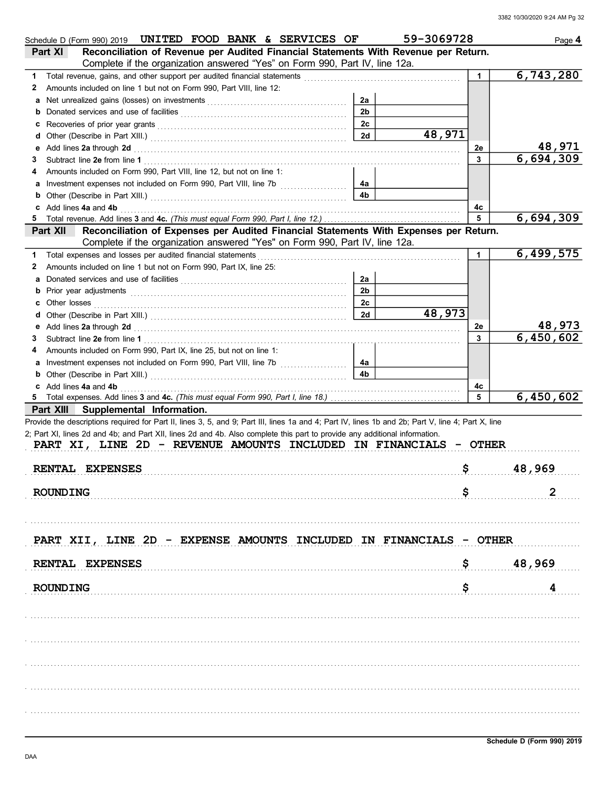| UNITED FOOD BANK & SERVICES OF<br>Schedule D (Form 990) 2019                                                                                                                                    | 59-3069728         | Page 4              |
|-------------------------------------------------------------------------------------------------------------------------------------------------------------------------------------------------|--------------------|---------------------|
| Reconciliation of Revenue per Audited Financial Statements With Revenue per Return.<br>Part XI                                                                                                  |                    |                     |
| Complete if the organization answered "Yes" on Form 990, Part IV, line 12a.<br>Total revenue, gains, and other support per audited financial statements                                         | $\mathbf 1$        | 6,743,280           |
| Amounts included on line 1 but not on Form 990, Part VIII, line 12:<br>2                                                                                                                        |                    |                     |
| 2a                                                                                                                                                                                              |                    |                     |
| 2 <sub>b</sub>                                                                                                                                                                                  |                    |                     |
| 2c                                                                                                                                                                                              |                    |                     |
| $\overline{2d}$                                                                                                                                                                                 | 48,971             |                     |
|                                                                                                                                                                                                 | 2e<br>$\mathbf{3}$ | 48,971<br>6,694,309 |
| Subtract line 2e from line 1<br>Amounts included on Form 990, Part VIII, line 12, but not on line 1:                                                                                            |                    |                     |
| 4a                                                                                                                                                                                              |                    |                     |
| <b>b</b> Other (Describe in Part XIII.) $\overline{4b}$                                                                                                                                         |                    |                     |
| c Add lines 4a and 4b                                                                                                                                                                           | 4с                 |                     |
|                                                                                                                                                                                                 | 5 <sup>5</sup>     | 6,694,309           |
| Reconciliation of Expenses per Audited Financial Statements With Expenses per Return.<br>Part XII                                                                                               |                    |                     |
| Complete if the organization answered "Yes" on Form 990, Part IV, line 12a.                                                                                                                     |                    |                     |
| Total expenses and losses per audited financial statements<br>1.<br>Amounts included on line 1 but not on Form 990, Part IX, line 25:                                                           |                    | 6,499,575           |
| 2a                                                                                                                                                                                              |                    |                     |
| 2 <sub>b</sub>                                                                                                                                                                                  |                    |                     |
| 2c                                                                                                                                                                                              |                    |                     |
| 2d                                                                                                                                                                                              | 48,973             |                     |
|                                                                                                                                                                                                 | 2e                 | 48,973              |
|                                                                                                                                                                                                 | 3 <sup>1</sup>     | 6,450,602           |
| 4 Amounts included on Form 990, Part IX, line 25, but not on line 1:                                                                                                                            |                    |                     |
| 4a<br>a Investment expenses not included on Form 990, Part VIII, line 7b [100]<br>4 <sub>b</sub>                                                                                                |                    |                     |
| c Add lines 4a and 4b                                                                                                                                                                           | 4c                 |                     |
|                                                                                                                                                                                                 | 5 <sup>5</sup>     | 6,450,602           |
| Part XIII Supplemental Information.                                                                                                                                                             |                    |                     |
| Provide the descriptions required for Part II, lines 3, 5, and 9; Part III, lines 1a and 4; Part IV, lines 1b and 2b; Part V, line 4; Part X, line                                              |                    |                     |
| 2; Part XI, lines 2d and 4b; and Part XII, lines 2d and 4b. Also complete this part to provide any additional information.<br>PART XI, LINE 2D - REVENUE AMOUNTS INCLUDED IN FINANCIALS - OTHER |                    |                     |
|                                                                                                                                                                                                 |                    |                     |
| RENTAL EXPENSES                                                                                                                                                                                 | \$.                | 48,969              |
| <b>ROUNDING</b>                                                                                                                                                                                 | \$                 | $\mathbf{2}$        |
|                                                                                                                                                                                                 |                    |                     |
|                                                                                                                                                                                                 |                    |                     |
|                                                                                                                                                                                                 |                    |                     |
|                                                                                                                                                                                                 |                    |                     |
| PART XII, LINE 2D - EXPENSE AMOUNTS INCLUDED IN FINANCIALS - OTHER                                                                                                                              |                    |                     |
| RENTAL EXPENSES                                                                                                                                                                                 |                    | 48,969              |
|                                                                                                                                                                                                 |                    |                     |
| <b>ROUNDING</b>                                                                                                                                                                                 | \$                 |                     |
|                                                                                                                                                                                                 |                    |                     |
|                                                                                                                                                                                                 |                    |                     |
|                                                                                                                                                                                                 |                    |                     |
|                                                                                                                                                                                                 |                    |                     |
|                                                                                                                                                                                                 |                    |                     |
|                                                                                                                                                                                                 |                    |                     |
|                                                                                                                                                                                                 |                    |                     |
|                                                                                                                                                                                                 |                    |                     |
|                                                                                                                                                                                                 |                    |                     |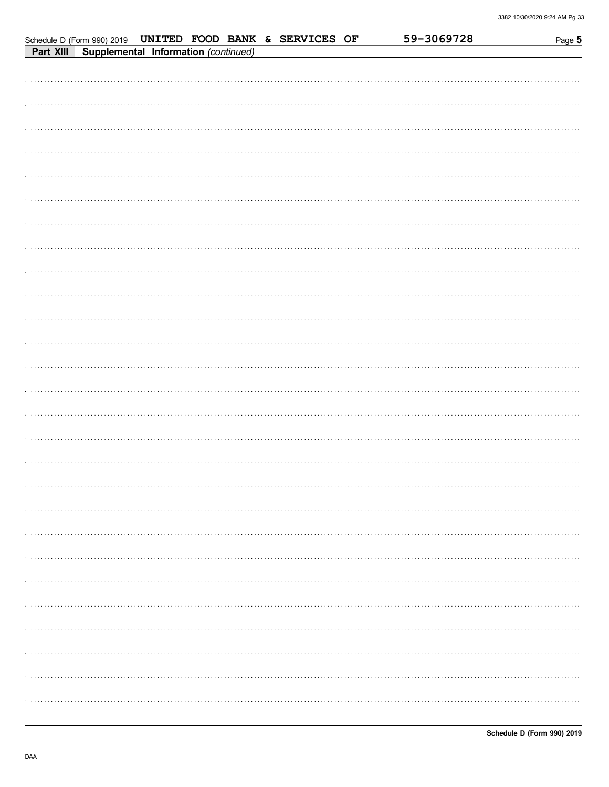|           |                                      |  | Schedule D (Form 990) 2019 UNITED FOOD BANK & SERVICES OF | 59-3069728 | Page 5 |
|-----------|--------------------------------------|--|-----------------------------------------------------------|------------|--------|
| Part XIII | Supplemental Information (continued) |  |                                                           |            |        |
|           |                                      |  |                                                           |            |        |
|           |                                      |  |                                                           |            |        |
|           |                                      |  |                                                           |            |        |
|           |                                      |  |                                                           |            |        |
|           |                                      |  |                                                           |            |        |
|           |                                      |  |                                                           |            |        |
|           |                                      |  |                                                           |            |        |
|           |                                      |  |                                                           |            |        |
|           |                                      |  |                                                           |            |        |
|           |                                      |  |                                                           |            |        |
|           |                                      |  |                                                           |            |        |
|           |                                      |  |                                                           |            |        |
|           |                                      |  |                                                           |            |        |
|           |                                      |  |                                                           |            |        |
|           |                                      |  |                                                           |            |        |
|           |                                      |  |                                                           |            |        |
|           |                                      |  |                                                           |            |        |
|           |                                      |  |                                                           |            |        |
|           |                                      |  |                                                           |            |        |
|           |                                      |  |                                                           |            |        |
|           |                                      |  |                                                           |            |        |
|           |                                      |  |                                                           |            |        |
|           |                                      |  |                                                           |            |        |
|           |                                      |  |                                                           |            |        |
|           |                                      |  |                                                           |            |        |
|           |                                      |  |                                                           |            |        |
|           |                                      |  |                                                           |            |        |
|           |                                      |  |                                                           |            |        |
|           |                                      |  |                                                           |            |        |
|           |                                      |  |                                                           |            |        |
|           |                                      |  |                                                           |            |        |
|           |                                      |  |                                                           |            |        |
|           |                                      |  |                                                           |            |        |
|           |                                      |  |                                                           |            |        |
|           |                                      |  |                                                           |            |        |
|           |                                      |  |                                                           |            |        |
|           |                                      |  |                                                           |            |        |
|           |                                      |  |                                                           |            |        |
|           |                                      |  |                                                           |            |        |
|           |                                      |  |                                                           |            |        |
|           |                                      |  |                                                           |            |        |
|           |                                      |  |                                                           |            |        |
|           |                                      |  |                                                           |            |        |
|           |                                      |  |                                                           |            |        |
|           |                                      |  |                                                           |            |        |
|           |                                      |  |                                                           |            |        |
|           |                                      |  |                                                           |            |        |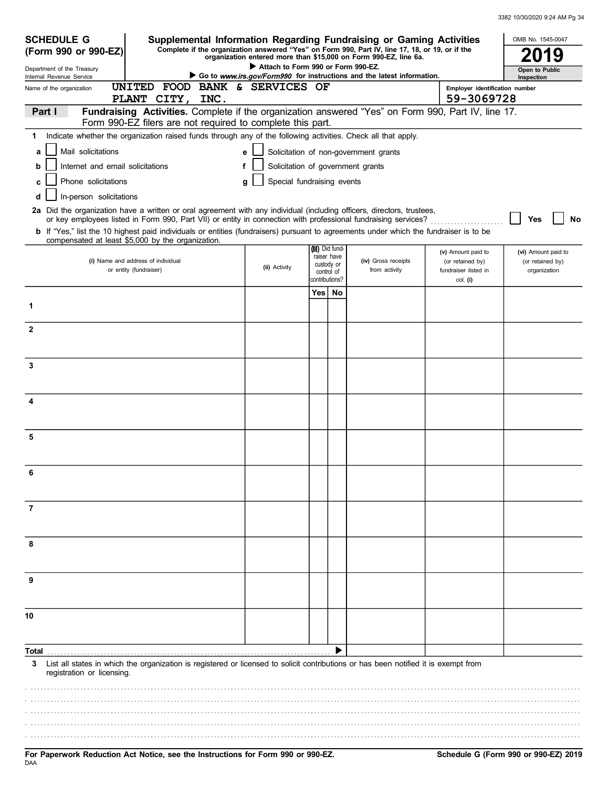| 3382 10/30/2020 9:24 AM Pg 34 |  |  |
|-------------------------------|--|--|
|                               |  |  |

| <b>SCHEDULE G</b><br>(Form 990 or 990-EZ)              | Supplemental Information Regarding Fundraising or Gaming Activities<br>Complete if the organization answered "Yes" on Form 990, Part IV, line 17, 18, or 19, or if the                                                                   |                                         |                                              | organization entered more than \$15,000 on Form 990-EZ, line 6a.                                                                      |                                        | OMB No. 1545-0047<br>2019               |
|--------------------------------------------------------|------------------------------------------------------------------------------------------------------------------------------------------------------------------------------------------------------------------------------------------|-----------------------------------------|----------------------------------------------|---------------------------------------------------------------------------------------------------------------------------------------|----------------------------------------|-----------------------------------------|
| Department of the Treasury<br>Internal Revenue Service |                                                                                                                                                                                                                                          | Attach to Form 990 or Form 990-EZ.      |                                              | Go to www.irs.gov/Form990 for instructions and the latest information.                                                                |                                        | Open to Public<br>Inspection            |
| Name of the organization                               | UNITED FOOD BANK & SERVICES OF                                                                                                                                                                                                           |                                         |                                              |                                                                                                                                       | Employer identification number         |                                         |
| Part I                                                 | PLANT CITY, INC.<br>Fundraising Activities. Complete if the organization answered "Yes" on Form 990, Part IV, line 17.                                                                                                                   |                                         |                                              |                                                                                                                                       | 59-3069728                             |                                         |
|                                                        | Form 990-EZ filers are not required to complete this part.                                                                                                                                                                               |                                         |                                              |                                                                                                                                       |                                        |                                         |
| Mail solicitations<br>a l                              | 1 Indicate whether the organization raised funds through any of the following activities. Check all that apply.                                                                                                                          | e L                                     |                                              | Solicitation of non-government grants                                                                                                 |                                        |                                         |
| Internet and email solicitations<br>b                  |                                                                                                                                                                                                                                          | f I                                     |                                              | Solicitation of government grants                                                                                                     |                                        |                                         |
| Phone solicitations                                    |                                                                                                                                                                                                                                          | Special fundraising events<br>$g \perp$ |                                              |                                                                                                                                       |                                        |                                         |
| In-person solicitations<br>d                           |                                                                                                                                                                                                                                          |                                         |                                              |                                                                                                                                       |                                        |                                         |
|                                                        | 2a Did the organization have a written or oral agreement with any individual (including officers, directors, trustees,<br>or key employees listed in Form 990, Part VII) or entity in connection with professional fundraising services? |                                         |                                              |                                                                                                                                       |                                        | <b>No</b><br>Yes                        |
|                                                        | b If "Yes," list the 10 highest paid individuals or entities (fundraisers) pursuant to agreements under which the fundraiser is to be<br>compensated at least \$5,000 by the organization.                                               |                                         |                                              |                                                                                                                                       |                                        |                                         |
|                                                        | (i) Name and address of individual                                                                                                                                                                                                       |                                         | (iii) Did fund-<br>raiser have<br>custody or | (iv) Gross receipts                                                                                                                   | (v) Amount paid to<br>(or retained by) | (vi) Amount paid to<br>(or retained by) |
|                                                        | or entity (fundraiser)                                                                                                                                                                                                                   | (ii) Activity                           | control of<br>contributions?                 | from activity                                                                                                                         | fundraiser listed in<br>col. (i)       | organization                            |
|                                                        |                                                                                                                                                                                                                                          |                                         | Yes No                                       |                                                                                                                                       |                                        |                                         |
|                                                        |                                                                                                                                                                                                                                          |                                         |                                              |                                                                                                                                       |                                        |                                         |
| $\mathbf{2}$                                           |                                                                                                                                                                                                                                          |                                         |                                              |                                                                                                                                       |                                        |                                         |
|                                                        |                                                                                                                                                                                                                                          |                                         |                                              |                                                                                                                                       |                                        |                                         |
| -3                                                     |                                                                                                                                                                                                                                          |                                         |                                              |                                                                                                                                       |                                        |                                         |
|                                                        |                                                                                                                                                                                                                                          |                                         |                                              |                                                                                                                                       |                                        |                                         |
| 4                                                      |                                                                                                                                                                                                                                          |                                         |                                              |                                                                                                                                       |                                        |                                         |
|                                                        |                                                                                                                                                                                                                                          |                                         |                                              |                                                                                                                                       |                                        |                                         |
| 5                                                      |                                                                                                                                                                                                                                          |                                         |                                              |                                                                                                                                       |                                        |                                         |
|                                                        |                                                                                                                                                                                                                                          |                                         |                                              |                                                                                                                                       |                                        |                                         |
| -6                                                     |                                                                                                                                                                                                                                          |                                         |                                              |                                                                                                                                       |                                        |                                         |
|                                                        |                                                                                                                                                                                                                                          |                                         |                                              |                                                                                                                                       |                                        |                                         |
| -7                                                     |                                                                                                                                                                                                                                          |                                         |                                              |                                                                                                                                       |                                        |                                         |
|                                                        |                                                                                                                                                                                                                                          |                                         |                                              |                                                                                                                                       |                                        |                                         |
| 8                                                      |                                                                                                                                                                                                                                          |                                         |                                              |                                                                                                                                       |                                        |                                         |
|                                                        |                                                                                                                                                                                                                                          |                                         |                                              |                                                                                                                                       |                                        |                                         |
| 9                                                      |                                                                                                                                                                                                                                          |                                         |                                              |                                                                                                                                       |                                        |                                         |
|                                                        |                                                                                                                                                                                                                                          |                                         |                                              |                                                                                                                                       |                                        |                                         |
| 10                                                     |                                                                                                                                                                                                                                          |                                         |                                              |                                                                                                                                       |                                        |                                         |
|                                                        |                                                                                                                                                                                                                                          |                                         |                                              |                                                                                                                                       |                                        |                                         |
|                                                        |                                                                                                                                                                                                                                          |                                         | ▸                                            | 3 List all states in which the organization is registered or licensed to solicit contributions or has been notified it is exempt from |                                        |                                         |
|                                                        |                                                                                                                                                                                                                                          |                                         |                                              |                                                                                                                                       |                                        |                                         |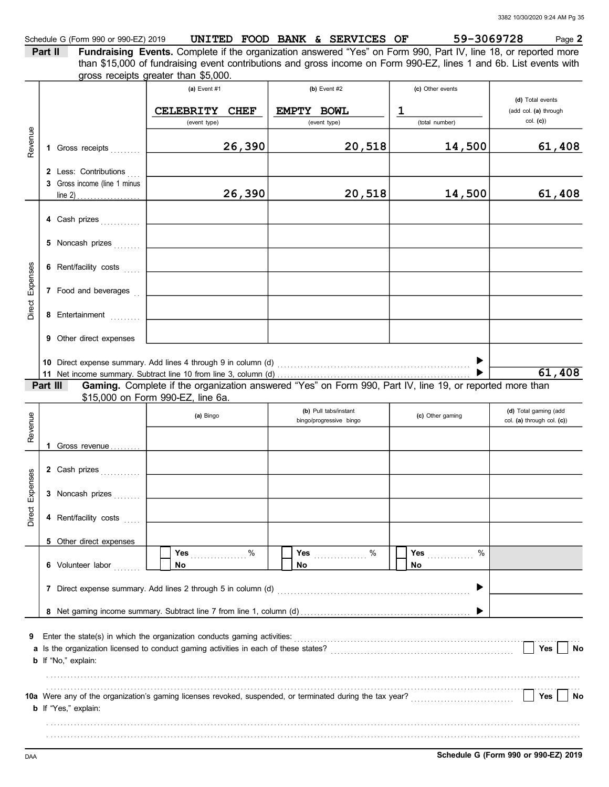| Schedule G (Form 990 or 990-F7) 2019 |  |  | INITED FOOD BANK & SERVICES OF |  |
|--------------------------------------|--|--|--------------------------------|--|

Schedule G (Form 990 or 990-EZ) 2019 **UNITED FOOD BANK & SERVICES OF** 59-3069728 Page 2<br> **Part II** Fundraising Events. Complete if the organization answered "Yes" on Form 990, Part IV, line 18, or reported more<br>
than \$15,0 **Part II Fundraising Events.** Complete if the organization answered "Yes" on Form 990, Part IV, line 18, or reported more gross receipts greater than \$5,000. than \$15,000 of fundraising event contributions and gross income on Form 990-EZ, lines 1 and 6b. List events with

|                 | Schedule G (Form 990 or 990-EZ) 2019<br>Part II                  |                                                        | UNITED FOOD BANK & SERVICES OF<br>Fundraising Events. Complete if the organization answered "Yes" on Form 990, Part IV, line 18, or reported more<br>than \$15,000 of fundraising event contributions and gross income on Form 990-EZ, lines 1 and 6b. List events with | 59-3069728          | 3382 10/30/2020 9:24 AM Pg 35<br>Page 2             |
|-----------------|------------------------------------------------------------------|--------------------------------------------------------|-------------------------------------------------------------------------------------------------------------------------------------------------------------------------------------------------------------------------------------------------------------------------|---------------------|-----------------------------------------------------|
|                 |                                                                  | gross receipts greater than \$5,000.<br>(a) Event $#1$ | (b) Event $#2$                                                                                                                                                                                                                                                          | (c) Other events    |                                                     |
|                 |                                                                  |                                                        |                                                                                                                                                                                                                                                                         |                     | (d) Total events                                    |
|                 |                                                                  | <b>CHEF</b><br><b>CELEBRITY</b><br>(event type)        | EMPTY BOWL<br>(event type)                                                                                                                                                                                                                                              | 1<br>(total number) | (add col. (a) through<br>$col.$ (c))                |
| Revenue         | 1 Gross receipts                                                 | 26,390                                                 | 20,518                                                                                                                                                                                                                                                                  | 14,500              | 61,408                                              |
|                 | 2 Less: Contributions<br>3 Gross income (line 1 minus<br>line 2) | 26,390                                                 | 20,518                                                                                                                                                                                                                                                                  | 14,500              | 61,408                                              |
|                 | 4 Cash prizes                                                    |                                                        |                                                                                                                                                                                                                                                                         |                     |                                                     |
|                 | 5 Noncash prizes                                                 |                                                        |                                                                                                                                                                                                                                                                         |                     |                                                     |
|                 | 6 Rent/facility costs                                            |                                                        |                                                                                                                                                                                                                                                                         |                     |                                                     |
|                 | 7 Food and beverages                                             |                                                        |                                                                                                                                                                                                                                                                         |                     |                                                     |
| Direct Expenses |                                                                  |                                                        |                                                                                                                                                                                                                                                                         |                     |                                                     |
|                 | 8 Entertainment<br>.<br>9 Other direct expenses                  |                                                        |                                                                                                                                                                                                                                                                         |                     |                                                     |
|                 |                                                                  |                                                        |                                                                                                                                                                                                                                                                         |                     |                                                     |
|                 |                                                                  |                                                        | 10 Direct expense summary. Add lines 4 through 9 in column (d)<br>11 Net income summary Subtract line 10 from line 3. column (d)                                                                                                                                        |                     | 61,408                                              |
|                 | Part III                                                         | \$15,000 on Form 990-EZ, line 6a.                      | Gaming. Complete if the organization answered "Yes" on Form 990, Part IV, line 19, or reported more than                                                                                                                                                                |                     |                                                     |
| Revenue         |                                                                  | (a) Bingo                                              | (b) Pull tabs/instant<br>bingo/progressive bingo                                                                                                                                                                                                                        | (c) Other gaming    | (d) Total gaming (add<br>col. (a) through col. (c)) |
|                 | 1 Gross revenue.<br>2 Cash prizes                                |                                                        |                                                                                                                                                                                                                                                                         |                     |                                                     |
| Direct Expenses | 3 Noncash prizes<br>.                                            |                                                        |                                                                                                                                                                                                                                                                         |                     |                                                     |
|                 | 4 Rent/facility costs                                            |                                                        |                                                                                                                                                                                                                                                                         |                     |                                                     |
|                 | 5 Other direct expenses                                          |                                                        |                                                                                                                                                                                                                                                                         |                     |                                                     |
|                 | 6 Volunteer labor                                                | %<br>Yes<br>.<br><b>No</b>                             | Yes<br>$\%$<br>.<br><b>No</b>                                                                                                                                                                                                                                           | %<br>Yes<br>.<br>No |                                                     |
|                 |                                                                  |                                                        |                                                                                                                                                                                                                                                                         |                     |                                                     |
|                 |                                                                  |                                                        |                                                                                                                                                                                                                                                                         |                     |                                                     |
|                 | <b>b</b> If "No," explain:                                       |                                                        | 9 Enter the state(s) in which the organization conducts gaming activities:<br>$\blacksquare$ Yes $\blacksquare$ Yes $\blacksquare$ No                                                                                                                                   |                     |                                                     |
|                 | <b>b</b> If "Yes," explain:                                      |                                                        | $\blacksquare$ Yes $\blacksquare$ No                                                                                                                                                                                                                                    |                     |                                                     |
|                 |                                                                  |                                                        |                                                                                                                                                                                                                                                                         |                     |                                                     |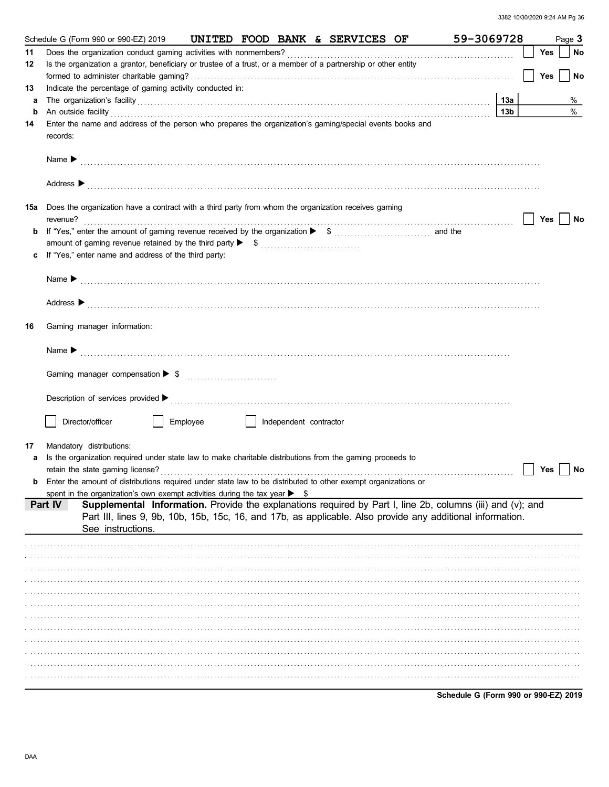|    | 59-3069728<br>UNITED FOOD BANK & SERVICES OF<br>Schedule G (Form 990 or 990-EZ) 2019                                                                                                                                                 |                 |     | Page 3 |    |
|----|--------------------------------------------------------------------------------------------------------------------------------------------------------------------------------------------------------------------------------------|-----------------|-----|--------|----|
| 11 | Does the organization conduct gaming activities with nonmembers?                                                                                                                                                                     |                 | Yes |        | No |
| 12 | Is the organization a grantor, beneficiary or trustee of a trust, or a member of a partnership or other entity                                                                                                                       |                 |     |        |    |
|    |                                                                                                                                                                                                                                      |                 | Yes |        | No |
|    |                                                                                                                                                                                                                                      |                 |     |        |    |
| 13 | Indicate the percentage of gaming activity conducted in:                                                                                                                                                                             |                 |     |        |    |
| а  | The organization's facility encourance and contact the contact of the contact of the contact of the contact of                                                                                                                       | 13а             |     |        | %  |
| b  | An outside facility <b>contract and the contract of the contract of the contract of the contract of the contract of the contract of the contract of the contract of the contract of the contract of the contract of the contract</b> | 13 <sub>b</sub> |     |        | %  |
| 14 | Enter the name and address of the person who prepares the organization's gaming/special events books and                                                                                                                             |                 |     |        |    |
|    | records:                                                                                                                                                                                                                             |                 |     |        |    |
|    |                                                                                                                                                                                                                                      |                 |     |        |    |
|    |                                                                                                                                                                                                                                      |                 |     |        |    |
|    |                                                                                                                                                                                                                                      |                 |     |        |    |
|    |                                                                                                                                                                                                                                      |                 |     |        |    |
|    | Address >                                                                                                                                                                                                                            |                 |     |        |    |
|    |                                                                                                                                                                                                                                      |                 |     |        |    |
|    | 15a Does the organization have a contract with a third party from whom the organization receives gaming                                                                                                                              |                 |     |        |    |
|    | revenue?                                                                                                                                                                                                                             |                 | Yes |        | No |
|    |                                                                                                                                                                                                                                      |                 |     |        |    |
|    |                                                                                                                                                                                                                                      |                 |     |        |    |
|    | If "Yes," enter name and address of the third party:                                                                                                                                                                                 |                 |     |        |    |
|    |                                                                                                                                                                                                                                      |                 |     |        |    |
|    |                                                                                                                                                                                                                                      |                 |     |        |    |
|    |                                                                                                                                                                                                                                      |                 |     |        |    |
|    | Address > continuous contract of the contract of the contract of the contract of the contract of the contract of the contract of the contract of the contract of the contract of the contract of the contract of the contract        |                 |     |        |    |
|    |                                                                                                                                                                                                                                      |                 |     |        |    |
| 16 | Gaming manager information:                                                                                                                                                                                                          |                 |     |        |    |
|    |                                                                                                                                                                                                                                      |                 |     |        |    |
|    |                                                                                                                                                                                                                                      |                 |     |        |    |
|    |                                                                                                                                                                                                                                      |                 |     |        |    |
|    |                                                                                                                                                                                                                                      |                 |     |        |    |
|    |                                                                                                                                                                                                                                      |                 |     |        |    |
|    |                                                                                                                                                                                                                                      |                 |     |        |    |
|    |                                                                                                                                                                                                                                      |                 |     |        |    |
|    |                                                                                                                                                                                                                                      |                 |     |        |    |
|    | Director/officer<br>Employee<br>Independent contractor                                                                                                                                                                               |                 |     |        |    |
|    |                                                                                                                                                                                                                                      |                 |     |        |    |
| 17 | Mandatory distributions:                                                                                                                                                                                                             |                 |     |        |    |
|    | Is the organization required under state law to make charitable distributions from the gaming proceeds to                                                                                                                            |                 |     |        |    |
|    | retain the state gaming license?                                                                                                                                                                                                     |                 | Yes |        | No |
|    | Enter the amount of distributions required under state law to be distributed to other exempt organizations or                                                                                                                        |                 |     |        |    |
|    | spent in the organization's own exempt activities during the tax year $\blacktriangleright$ \$                                                                                                                                       |                 |     |        |    |
|    | Supplemental Information. Provide the explanations required by Part I, line 2b, columns (iii) and (v); and<br>Part IV                                                                                                                |                 |     |        |    |
|    | Part III, lines 9, 9b, 10b, 15b, 15c, 16, and 17b, as applicable. Also provide any additional information.                                                                                                                           |                 |     |        |    |
|    | See instructions.                                                                                                                                                                                                                    |                 |     |        |    |
|    |                                                                                                                                                                                                                                      |                 |     |        |    |
|    |                                                                                                                                                                                                                                      |                 |     |        |    |
|    |                                                                                                                                                                                                                                      |                 |     |        |    |
|    |                                                                                                                                                                                                                                      |                 |     |        |    |
|    |                                                                                                                                                                                                                                      |                 |     |        |    |
|    |                                                                                                                                                                                                                                      |                 |     |        |    |
|    |                                                                                                                                                                                                                                      |                 |     |        |    |
|    |                                                                                                                                                                                                                                      |                 |     |        |    |
|    |                                                                                                                                                                                                                                      |                 |     |        |    |
|    |                                                                                                                                                                                                                                      |                 |     |        |    |
|    |                                                                                                                                                                                                                                      |                 |     |        |    |
|    |                                                                                                                                                                                                                                      |                 |     |        |    |
|    |                                                                                                                                                                                                                                      |                 |     |        |    |
|    |                                                                                                                                                                                                                                      |                 |     |        |    |
|    |                                                                                                                                                                                                                                      |                 |     |        |    |

Schedule G (Form 990 or 990-EZ) 2019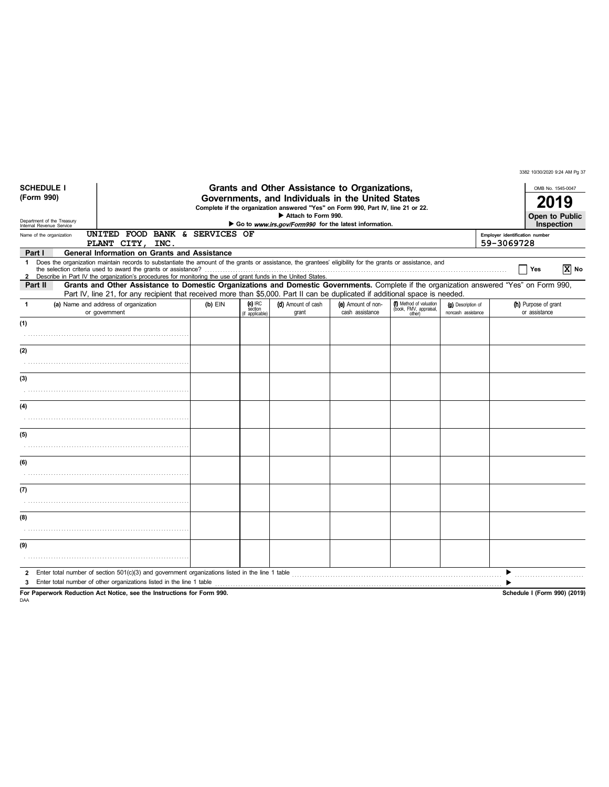|                                                        |                                                                                                                                                                                                                                                                                                                               |           |                    |                                                                                                                                       |                    |                                                             |                    | 3382 10/30/2020 9:24 AM Pg 37                |
|--------------------------------------------------------|-------------------------------------------------------------------------------------------------------------------------------------------------------------------------------------------------------------------------------------------------------------------------------------------------------------------------------|-----------|--------------------|---------------------------------------------------------------------------------------------------------------------------------------|--------------------|-------------------------------------------------------------|--------------------|----------------------------------------------|
| <b>SCHEDULE I</b>                                      |                                                                                                                                                                                                                                                                                                                               |           |                    | Grants and Other Assistance to Organizations,                                                                                         |                    |                                                             |                    | OMB No. 1545-0047                            |
| (Form 990)                                             |                                                                                                                                                                                                                                                                                                                               |           |                    | Governments, and Individuals in the United States<br>Complete if the organization answered "Yes" on Form 990, Part IV, line 21 or 22. |                    |                                                             |                    | 2019                                         |
| Department of the Treasury<br>Internal Revenue Service |                                                                                                                                                                                                                                                                                                                               |           |                    | Attach to Form 990.<br>Go to www.irs.gov/Form990 for the latest information.                                                          |                    |                                                             |                    | Open to Public<br>Inspection                 |
| Name of the organization                               | UNITED FOOD BANK & SERVICES OF<br>PLANT CITY, INC.                                                                                                                                                                                                                                                                            |           |                    |                                                                                                                                       |                    |                                                             |                    | Employer identification number<br>59-3069728 |
| Part I                                                 | General Information on Grants and Assistance<br>1 Does the organization maintain records to substantiate the amount of the grants or assistance, the grantees' eligibility for the grants or assistance, and                                                                                                                  |           |                    |                                                                                                                                       |                    |                                                             |                    | X No<br>  Yes                                |
| Part II                                                | the selection criteria used to award the grants or assistance?<br>2 Describe in Part IV the organization's procedures for monitoring the use of grant funds in the United States.<br>Grants and Other Assistance to Domestic Organizations and Domestic Governments. Complete if the organization answered "Yes" on Form 990, |           |                    |                                                                                                                                       |                    |                                                             |                    |                                              |
| $\overline{1}$                                         | Part IV, line 21, for any recipient that received more than \$5,000. Part II can be duplicated if additional space is needed.<br>(a) Name and address of organization                                                                                                                                                         | $(b)$ EIN | (c) IRC<br>section | (d) Amount of cash                                                                                                                    | (e) Amount of non- | (f) Method of valuation<br>(book, FMV, appraisal,<br>other) | (g) Description of | (h) Purpose of grant                         |
| (1)                                                    | or government                                                                                                                                                                                                                                                                                                                 |           | (if applicable)    | grant                                                                                                                                 | cash assistance    |                                                             | noncash assistance | or assistance                                |
|                                                        |                                                                                                                                                                                                                                                                                                                               |           |                    |                                                                                                                                       |                    |                                                             |                    |                                              |
| (2)                                                    |                                                                                                                                                                                                                                                                                                                               |           |                    |                                                                                                                                       |                    |                                                             |                    |                                              |
| (3)                                                    |                                                                                                                                                                                                                                                                                                                               |           |                    |                                                                                                                                       |                    |                                                             |                    |                                              |
|                                                        |                                                                                                                                                                                                                                                                                                                               |           |                    |                                                                                                                                       |                    |                                                             |                    |                                              |
| (4)                                                    |                                                                                                                                                                                                                                                                                                                               |           |                    |                                                                                                                                       |                    |                                                             |                    |                                              |
| (5)                                                    |                                                                                                                                                                                                                                                                                                                               |           |                    |                                                                                                                                       |                    |                                                             |                    |                                              |
|                                                        |                                                                                                                                                                                                                                                                                                                               |           |                    |                                                                                                                                       |                    |                                                             |                    |                                              |
| (6)                                                    |                                                                                                                                                                                                                                                                                                                               |           |                    |                                                                                                                                       |                    |                                                             |                    |                                              |
| (7)                                                    |                                                                                                                                                                                                                                                                                                                               |           |                    |                                                                                                                                       |                    |                                                             |                    |                                              |
|                                                        |                                                                                                                                                                                                                                                                                                                               |           |                    |                                                                                                                                       |                    |                                                             |                    |                                              |
| (8)                                                    |                                                                                                                                                                                                                                                                                                                               |           |                    |                                                                                                                                       |                    |                                                             |                    |                                              |
| (9)                                                    |                                                                                                                                                                                                                                                                                                                               |           |                    |                                                                                                                                       |                    |                                                             |                    |                                              |
|                                                        |                                                                                                                                                                                                                                                                                                                               |           |                    |                                                                                                                                       |                    |                                                             |                    |                                              |
|                                                        | 2 Enter total number of section 501(c)(3) and government organizations listed in the line 1 table<br>3 Enter total number of other organizations listed in the line 1 table                                                                                                                                                   |           |                    |                                                                                                                                       |                    |                                                             |                    | ▸                                            |
| DAA                                                    | For Paperwork Reduction Act Notice, see the Instructions for Form 990.                                                                                                                                                                                                                                                        |           |                    |                                                                                                                                       |                    |                                                             |                    | Schedule I (Form 990) (2019)                 |
|                                                        |                                                                                                                                                                                                                                                                                                                               |           |                    |                                                                                                                                       |                    |                                                             |                    |                                              |
|                                                        |                                                                                                                                                                                                                                                                                                                               |           |                    |                                                                                                                                       |                    |                                                             |                    |                                              |
|                                                        |                                                                                                                                                                                                                                                                                                                               |           |                    |                                                                                                                                       |                    |                                                             |                    |                                              |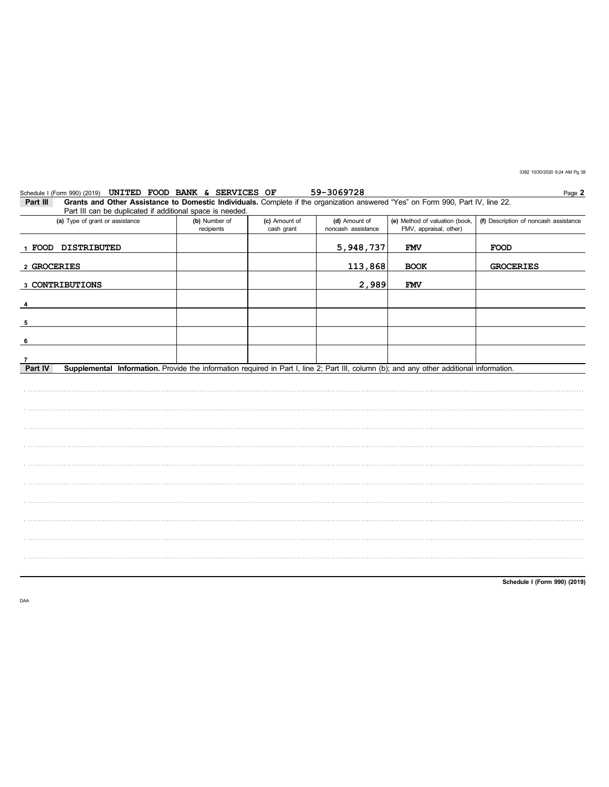| Schedule I (Form 990) (2019) UNITED FOOD BANK & SERVICES OF<br>Grants and Other Assistance to Domestic Individuals. Complete if the organization answered "Yes" on Form 990, Part IV, line 22.<br>Part III |                             |                             | 59-3069728                          |                                                          | Page 2                                |
|------------------------------------------------------------------------------------------------------------------------------------------------------------------------------------------------------------|-----------------------------|-----------------------------|-------------------------------------|----------------------------------------------------------|---------------------------------------|
| Part III can be duplicated if additional space is needed.                                                                                                                                                  |                             |                             |                                     |                                                          |                                       |
| (a) Type of grant or assistance                                                                                                                                                                            | (b) Number of<br>recipients | (c) Amount of<br>cash grant | (d) Amount of<br>noncash assistance | (e) Method of valuation (book,<br>FMV, appraisal, other) | (f) Description of noncash assistance |
| 1 FOOD DISTRIBUTED                                                                                                                                                                                         |                             |                             | 5,948,737                           | <b>FMV</b>                                               | FOOD                                  |
| 2 GROCERIES                                                                                                                                                                                                |                             |                             | 113,868                             | <b>BOOK</b>                                              | <b>GROCERIES</b>                      |
| 3 CONTRIBUTIONS                                                                                                                                                                                            |                             |                             | 2,989                               | <b>FMV</b>                                               |                                       |
| 4                                                                                                                                                                                                          |                             |                             |                                     |                                                          |                                       |
| 5                                                                                                                                                                                                          |                             |                             |                                     |                                                          |                                       |
| 6                                                                                                                                                                                                          |                             |                             |                                     |                                                          |                                       |
|                                                                                                                                                                                                            |                             |                             |                                     |                                                          |                                       |
| Supplemental Information. Provide the information required in Part I, line 2; Part III, column (b); and any other additional information.<br>Part IV                                                       |                             |                             |                                     |                                                          |                                       |
|                                                                                                                                                                                                            |                             |                             |                                     |                                                          |                                       |
|                                                                                                                                                                                                            |                             |                             |                                     |                                                          |                                       |
|                                                                                                                                                                                                            |                             |                             |                                     |                                                          |                                       |
|                                                                                                                                                                                                            |                             |                             |                                     |                                                          |                                       |
|                                                                                                                                                                                                            |                             |                             |                                     |                                                          |                                       |
|                                                                                                                                                                                                            |                             |                             |                                     |                                                          |                                       |
|                                                                                                                                                                                                            |                             |                             |                                     |                                                          |                                       |
|                                                                                                                                                                                                            |                             |                             |                                     |                                                          |                                       |
|                                                                                                                                                                                                            |                             |                             |                                     |                                                          |                                       |
|                                                                                                                                                                                                            |                             |                             |                                     |                                                          |                                       |

Schedule I (Form 990) (2019)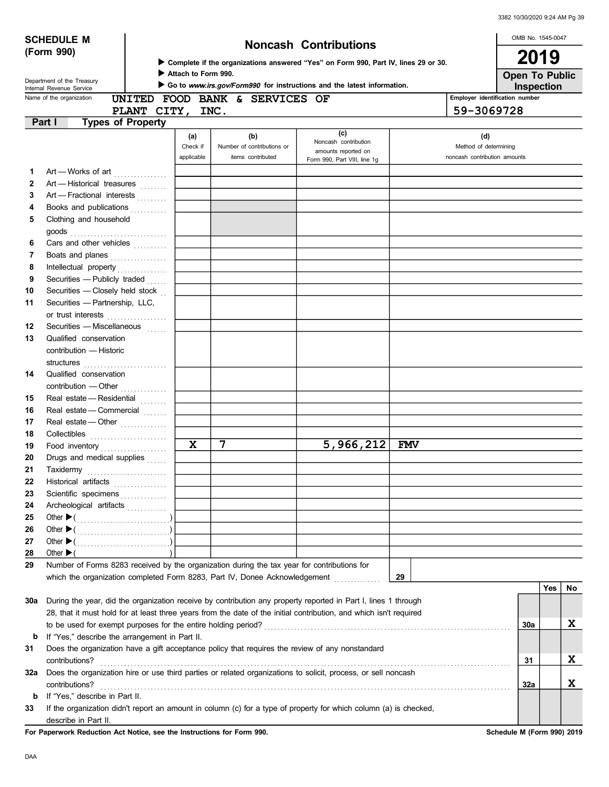| 3382 10/30/2020 9:24 AM Pg 39 |  |  |
|-------------------------------|--|--|

| Attach to Form 990.<br><b>Open To Public</b><br>Department of the Treasury<br>Go to www.irs.gov/Form990 for instructions and the latest information.<br>Inspection<br>Internal Revenue Service<br>Employer identification number<br>Name of the organization<br>UNITED FOOD BANK & SERVICES OF<br>PLANT CITY, INC.<br>59-3069728<br>Part I<br><b>Types of Property</b><br>(c)<br>(a)<br>(b)<br>(d)<br>Noncash contribution<br>Check if<br>Number of contributions or<br>Method of determining<br>amounts reported on<br>applicable<br>items contributed<br>noncash contribution amounts<br>Form 990, Part VIII, line 1g<br>Art — Works of art<br>.<br>Art - Historical treasures<br>Art - Fractional interests<br>3<br>Books and publications<br>4<br>Clothing and household<br>5<br>goods<br>Cars and other vehicles<br>6<br>Boats and planes<br>7<br>Intellectual property<br>8<br>Securities - Publicly traded<br>9<br>Securities - Closely held stock<br>10<br>Securities - Partnership, LLC,<br>11<br>or trust interests<br>.<br>Securities - Miscellaneous<br>12<br>1.1.1.1.1<br>Qualified conservation<br>13<br>contribution - Historic<br>Qualified conservation<br>14<br>contribution - Other<br>.<br>Real estate - Residential<br>15<br>Real estate - Commercial<br>16<br>Real estate - Other<br>17<br>Collectibles <b>Collectibles</b><br>18<br>$\overline{\mathbf{x}}$<br>7<br>5,966,212<br><b>FMV</b><br>19<br>Food inventory<br>Drugs and medical supplies<br>20<br>21<br>Taxidermy<br>22<br>Historical artifacts<br>Scientific specimens<br>23<br>Archeological artifacts<br>24<br>25<br>26<br>27<br>28<br>Other $\blacktriangleright$ (<br>Number of Forms 8283 received by the organization during the tax year for contributions for<br>29<br>which the organization completed Form 8283, Part IV, Donee Acknowledgement<br>29<br>Yes<br>No<br>30a During the year, did the organization receive by contribution any property reported in Part I, lines 1 through<br>28, that it must hold for at least three years from the date of the initial contribution, and which isn't required<br>X<br>30a<br><b>b</b> If "Yes," describe the arrangement in Part II.<br>Does the organization have a gift acceptance policy that requires the review of any nonstandard<br>31<br>X<br>contributions?<br>31<br>32a Does the organization hire or use third parties or related organizations to solicit, process, or sell noncash<br>X<br>32a<br><b>b</b> If "Yes." describe in Part II.<br>If the organization didn't report an amount in column (c) for a type of property for which column (a) is checked,<br>33 | <b>SCHEDULE M</b><br>(Form 990) |  | <b>Noncash Contributions</b><br>Complete if the organizations answered "Yes" on Form 990, Part IV, lines 29 or 30. | OMB No. 1545-0047<br>2019 |
|-------------------------------------------------------------------------------------------------------------------------------------------------------------------------------------------------------------------------------------------------------------------------------------------------------------------------------------------------------------------------------------------------------------------------------------------------------------------------------------------------------------------------------------------------------------------------------------------------------------------------------------------------------------------------------------------------------------------------------------------------------------------------------------------------------------------------------------------------------------------------------------------------------------------------------------------------------------------------------------------------------------------------------------------------------------------------------------------------------------------------------------------------------------------------------------------------------------------------------------------------------------------------------------------------------------------------------------------------------------------------------------------------------------------------------------------------------------------------------------------------------------------------------------------------------------------------------------------------------------------------------------------------------------------------------------------------------------------------------------------------------------------------------------------------------------------------------------------------------------------------------------------------------------------------------------------------------------------------------------------------------------------------------------------------------------------------------------------------------------------------------------------------------------------------------------------------------------------------------------------------------------------------------------------------------------------------------------------------------------------------------------------------------------------------------------------------------------------------------------------------------------------------------------------------------------------------------------------------------------------------------|---------------------------------|--|--------------------------------------------------------------------------------------------------------------------|---------------------------|
|                                                                                                                                                                                                                                                                                                                                                                                                                                                                                                                                                                                                                                                                                                                                                                                                                                                                                                                                                                                                                                                                                                                                                                                                                                                                                                                                                                                                                                                                                                                                                                                                                                                                                                                                                                                                                                                                                                                                                                                                                                                                                                                                                                                                                                                                                                                                                                                                                                                                                                                                                                                                                               |                                 |  |                                                                                                                    |                           |
|                                                                                                                                                                                                                                                                                                                                                                                                                                                                                                                                                                                                                                                                                                                                                                                                                                                                                                                                                                                                                                                                                                                                                                                                                                                                                                                                                                                                                                                                                                                                                                                                                                                                                                                                                                                                                                                                                                                                                                                                                                                                                                                                                                                                                                                                                                                                                                                                                                                                                                                                                                                                                               |                                 |  |                                                                                                                    |                           |
|                                                                                                                                                                                                                                                                                                                                                                                                                                                                                                                                                                                                                                                                                                                                                                                                                                                                                                                                                                                                                                                                                                                                                                                                                                                                                                                                                                                                                                                                                                                                                                                                                                                                                                                                                                                                                                                                                                                                                                                                                                                                                                                                                                                                                                                                                                                                                                                                                                                                                                                                                                                                                               |                                 |  |                                                                                                                    |                           |
|                                                                                                                                                                                                                                                                                                                                                                                                                                                                                                                                                                                                                                                                                                                                                                                                                                                                                                                                                                                                                                                                                                                                                                                                                                                                                                                                                                                                                                                                                                                                                                                                                                                                                                                                                                                                                                                                                                                                                                                                                                                                                                                                                                                                                                                                                                                                                                                                                                                                                                                                                                                                                               |                                 |  |                                                                                                                    |                           |
|                                                                                                                                                                                                                                                                                                                                                                                                                                                                                                                                                                                                                                                                                                                                                                                                                                                                                                                                                                                                                                                                                                                                                                                                                                                                                                                                                                                                                                                                                                                                                                                                                                                                                                                                                                                                                                                                                                                                                                                                                                                                                                                                                                                                                                                                                                                                                                                                                                                                                                                                                                                                                               |                                 |  |                                                                                                                    |                           |
|                                                                                                                                                                                                                                                                                                                                                                                                                                                                                                                                                                                                                                                                                                                                                                                                                                                                                                                                                                                                                                                                                                                                                                                                                                                                                                                                                                                                                                                                                                                                                                                                                                                                                                                                                                                                                                                                                                                                                                                                                                                                                                                                                                                                                                                                                                                                                                                                                                                                                                                                                                                                                               |                                 |  |                                                                                                                    |                           |
|                                                                                                                                                                                                                                                                                                                                                                                                                                                                                                                                                                                                                                                                                                                                                                                                                                                                                                                                                                                                                                                                                                                                                                                                                                                                                                                                                                                                                                                                                                                                                                                                                                                                                                                                                                                                                                                                                                                                                                                                                                                                                                                                                                                                                                                                                                                                                                                                                                                                                                                                                                                                                               |                                 |  |                                                                                                                    |                           |
|                                                                                                                                                                                                                                                                                                                                                                                                                                                                                                                                                                                                                                                                                                                                                                                                                                                                                                                                                                                                                                                                                                                                                                                                                                                                                                                                                                                                                                                                                                                                                                                                                                                                                                                                                                                                                                                                                                                                                                                                                                                                                                                                                                                                                                                                                                                                                                                                                                                                                                                                                                                                                               |                                 |  |                                                                                                                    |                           |
|                                                                                                                                                                                                                                                                                                                                                                                                                                                                                                                                                                                                                                                                                                                                                                                                                                                                                                                                                                                                                                                                                                                                                                                                                                                                                                                                                                                                                                                                                                                                                                                                                                                                                                                                                                                                                                                                                                                                                                                                                                                                                                                                                                                                                                                                                                                                                                                                                                                                                                                                                                                                                               |                                 |  |                                                                                                                    |                           |
|                                                                                                                                                                                                                                                                                                                                                                                                                                                                                                                                                                                                                                                                                                                                                                                                                                                                                                                                                                                                                                                                                                                                                                                                                                                                                                                                                                                                                                                                                                                                                                                                                                                                                                                                                                                                                                                                                                                                                                                                                                                                                                                                                                                                                                                                                                                                                                                                                                                                                                                                                                                                                               |                                 |  |                                                                                                                    |                           |
|                                                                                                                                                                                                                                                                                                                                                                                                                                                                                                                                                                                                                                                                                                                                                                                                                                                                                                                                                                                                                                                                                                                                                                                                                                                                                                                                                                                                                                                                                                                                                                                                                                                                                                                                                                                                                                                                                                                                                                                                                                                                                                                                                                                                                                                                                                                                                                                                                                                                                                                                                                                                                               |                                 |  |                                                                                                                    |                           |
|                                                                                                                                                                                                                                                                                                                                                                                                                                                                                                                                                                                                                                                                                                                                                                                                                                                                                                                                                                                                                                                                                                                                                                                                                                                                                                                                                                                                                                                                                                                                                                                                                                                                                                                                                                                                                                                                                                                                                                                                                                                                                                                                                                                                                                                                                                                                                                                                                                                                                                                                                                                                                               |                                 |  |                                                                                                                    |                           |
|                                                                                                                                                                                                                                                                                                                                                                                                                                                                                                                                                                                                                                                                                                                                                                                                                                                                                                                                                                                                                                                                                                                                                                                                                                                                                                                                                                                                                                                                                                                                                                                                                                                                                                                                                                                                                                                                                                                                                                                                                                                                                                                                                                                                                                                                                                                                                                                                                                                                                                                                                                                                                               |                                 |  |                                                                                                                    |                           |
|                                                                                                                                                                                                                                                                                                                                                                                                                                                                                                                                                                                                                                                                                                                                                                                                                                                                                                                                                                                                                                                                                                                                                                                                                                                                                                                                                                                                                                                                                                                                                                                                                                                                                                                                                                                                                                                                                                                                                                                                                                                                                                                                                                                                                                                                                                                                                                                                                                                                                                                                                                                                                               |                                 |  |                                                                                                                    |                           |
|                                                                                                                                                                                                                                                                                                                                                                                                                                                                                                                                                                                                                                                                                                                                                                                                                                                                                                                                                                                                                                                                                                                                                                                                                                                                                                                                                                                                                                                                                                                                                                                                                                                                                                                                                                                                                                                                                                                                                                                                                                                                                                                                                                                                                                                                                                                                                                                                                                                                                                                                                                                                                               |                                 |  |                                                                                                                    |                           |
|                                                                                                                                                                                                                                                                                                                                                                                                                                                                                                                                                                                                                                                                                                                                                                                                                                                                                                                                                                                                                                                                                                                                                                                                                                                                                                                                                                                                                                                                                                                                                                                                                                                                                                                                                                                                                                                                                                                                                                                                                                                                                                                                                                                                                                                                                                                                                                                                                                                                                                                                                                                                                               |                                 |  |                                                                                                                    |                           |
|                                                                                                                                                                                                                                                                                                                                                                                                                                                                                                                                                                                                                                                                                                                                                                                                                                                                                                                                                                                                                                                                                                                                                                                                                                                                                                                                                                                                                                                                                                                                                                                                                                                                                                                                                                                                                                                                                                                                                                                                                                                                                                                                                                                                                                                                                                                                                                                                                                                                                                                                                                                                                               |                                 |  |                                                                                                                    |                           |
|                                                                                                                                                                                                                                                                                                                                                                                                                                                                                                                                                                                                                                                                                                                                                                                                                                                                                                                                                                                                                                                                                                                                                                                                                                                                                                                                                                                                                                                                                                                                                                                                                                                                                                                                                                                                                                                                                                                                                                                                                                                                                                                                                                                                                                                                                                                                                                                                                                                                                                                                                                                                                               |                                 |  |                                                                                                                    |                           |
|                                                                                                                                                                                                                                                                                                                                                                                                                                                                                                                                                                                                                                                                                                                                                                                                                                                                                                                                                                                                                                                                                                                                                                                                                                                                                                                                                                                                                                                                                                                                                                                                                                                                                                                                                                                                                                                                                                                                                                                                                                                                                                                                                                                                                                                                                                                                                                                                                                                                                                                                                                                                                               |                                 |  |                                                                                                                    |                           |
|                                                                                                                                                                                                                                                                                                                                                                                                                                                                                                                                                                                                                                                                                                                                                                                                                                                                                                                                                                                                                                                                                                                                                                                                                                                                                                                                                                                                                                                                                                                                                                                                                                                                                                                                                                                                                                                                                                                                                                                                                                                                                                                                                                                                                                                                                                                                                                                                                                                                                                                                                                                                                               |                                 |  |                                                                                                                    |                           |
|                                                                                                                                                                                                                                                                                                                                                                                                                                                                                                                                                                                                                                                                                                                                                                                                                                                                                                                                                                                                                                                                                                                                                                                                                                                                                                                                                                                                                                                                                                                                                                                                                                                                                                                                                                                                                                                                                                                                                                                                                                                                                                                                                                                                                                                                                                                                                                                                                                                                                                                                                                                                                               |                                 |  |                                                                                                                    |                           |
|                                                                                                                                                                                                                                                                                                                                                                                                                                                                                                                                                                                                                                                                                                                                                                                                                                                                                                                                                                                                                                                                                                                                                                                                                                                                                                                                                                                                                                                                                                                                                                                                                                                                                                                                                                                                                                                                                                                                                                                                                                                                                                                                                                                                                                                                                                                                                                                                                                                                                                                                                                                                                               |                                 |  |                                                                                                                    |                           |
|                                                                                                                                                                                                                                                                                                                                                                                                                                                                                                                                                                                                                                                                                                                                                                                                                                                                                                                                                                                                                                                                                                                                                                                                                                                                                                                                                                                                                                                                                                                                                                                                                                                                                                                                                                                                                                                                                                                                                                                                                                                                                                                                                                                                                                                                                                                                                                                                                                                                                                                                                                                                                               |                                 |  |                                                                                                                    |                           |
|                                                                                                                                                                                                                                                                                                                                                                                                                                                                                                                                                                                                                                                                                                                                                                                                                                                                                                                                                                                                                                                                                                                                                                                                                                                                                                                                                                                                                                                                                                                                                                                                                                                                                                                                                                                                                                                                                                                                                                                                                                                                                                                                                                                                                                                                                                                                                                                                                                                                                                                                                                                                                               |                                 |  |                                                                                                                    |                           |
|                                                                                                                                                                                                                                                                                                                                                                                                                                                                                                                                                                                                                                                                                                                                                                                                                                                                                                                                                                                                                                                                                                                                                                                                                                                                                                                                                                                                                                                                                                                                                                                                                                                                                                                                                                                                                                                                                                                                                                                                                                                                                                                                                                                                                                                                                                                                                                                                                                                                                                                                                                                                                               |                                 |  |                                                                                                                    |                           |
|                                                                                                                                                                                                                                                                                                                                                                                                                                                                                                                                                                                                                                                                                                                                                                                                                                                                                                                                                                                                                                                                                                                                                                                                                                                                                                                                                                                                                                                                                                                                                                                                                                                                                                                                                                                                                                                                                                                                                                                                                                                                                                                                                                                                                                                                                                                                                                                                                                                                                                                                                                                                                               |                                 |  |                                                                                                                    |                           |
|                                                                                                                                                                                                                                                                                                                                                                                                                                                                                                                                                                                                                                                                                                                                                                                                                                                                                                                                                                                                                                                                                                                                                                                                                                                                                                                                                                                                                                                                                                                                                                                                                                                                                                                                                                                                                                                                                                                                                                                                                                                                                                                                                                                                                                                                                                                                                                                                                                                                                                                                                                                                                               |                                 |  |                                                                                                                    |                           |
|                                                                                                                                                                                                                                                                                                                                                                                                                                                                                                                                                                                                                                                                                                                                                                                                                                                                                                                                                                                                                                                                                                                                                                                                                                                                                                                                                                                                                                                                                                                                                                                                                                                                                                                                                                                                                                                                                                                                                                                                                                                                                                                                                                                                                                                                                                                                                                                                                                                                                                                                                                                                                               |                                 |  |                                                                                                                    |                           |
|                                                                                                                                                                                                                                                                                                                                                                                                                                                                                                                                                                                                                                                                                                                                                                                                                                                                                                                                                                                                                                                                                                                                                                                                                                                                                                                                                                                                                                                                                                                                                                                                                                                                                                                                                                                                                                                                                                                                                                                                                                                                                                                                                                                                                                                                                                                                                                                                                                                                                                                                                                                                                               |                                 |  |                                                                                                                    |                           |
|                                                                                                                                                                                                                                                                                                                                                                                                                                                                                                                                                                                                                                                                                                                                                                                                                                                                                                                                                                                                                                                                                                                                                                                                                                                                                                                                                                                                                                                                                                                                                                                                                                                                                                                                                                                                                                                                                                                                                                                                                                                                                                                                                                                                                                                                                                                                                                                                                                                                                                                                                                                                                               |                                 |  |                                                                                                                    |                           |
|                                                                                                                                                                                                                                                                                                                                                                                                                                                                                                                                                                                                                                                                                                                                                                                                                                                                                                                                                                                                                                                                                                                                                                                                                                                                                                                                                                                                                                                                                                                                                                                                                                                                                                                                                                                                                                                                                                                                                                                                                                                                                                                                                                                                                                                                                                                                                                                                                                                                                                                                                                                                                               |                                 |  |                                                                                                                    |                           |
|                                                                                                                                                                                                                                                                                                                                                                                                                                                                                                                                                                                                                                                                                                                                                                                                                                                                                                                                                                                                                                                                                                                                                                                                                                                                                                                                                                                                                                                                                                                                                                                                                                                                                                                                                                                                                                                                                                                                                                                                                                                                                                                                                                                                                                                                                                                                                                                                                                                                                                                                                                                                                               |                                 |  |                                                                                                                    |                           |
|                                                                                                                                                                                                                                                                                                                                                                                                                                                                                                                                                                                                                                                                                                                                                                                                                                                                                                                                                                                                                                                                                                                                                                                                                                                                                                                                                                                                                                                                                                                                                                                                                                                                                                                                                                                                                                                                                                                                                                                                                                                                                                                                                                                                                                                                                                                                                                                                                                                                                                                                                                                                                               |                                 |  |                                                                                                                    |                           |
|                                                                                                                                                                                                                                                                                                                                                                                                                                                                                                                                                                                                                                                                                                                                                                                                                                                                                                                                                                                                                                                                                                                                                                                                                                                                                                                                                                                                                                                                                                                                                                                                                                                                                                                                                                                                                                                                                                                                                                                                                                                                                                                                                                                                                                                                                                                                                                                                                                                                                                                                                                                                                               |                                 |  |                                                                                                                    |                           |
|                                                                                                                                                                                                                                                                                                                                                                                                                                                                                                                                                                                                                                                                                                                                                                                                                                                                                                                                                                                                                                                                                                                                                                                                                                                                                                                                                                                                                                                                                                                                                                                                                                                                                                                                                                                                                                                                                                                                                                                                                                                                                                                                                                                                                                                                                                                                                                                                                                                                                                                                                                                                                               |                                 |  |                                                                                                                    |                           |
| describe in Part II.                                                                                                                                                                                                                                                                                                                                                                                                                                                                                                                                                                                                                                                                                                                                                                                                                                                                                                                                                                                                                                                                                                                                                                                                                                                                                                                                                                                                                                                                                                                                                                                                                                                                                                                                                                                                                                                                                                                                                                                                                                                                                                                                                                                                                                                                                                                                                                                                                                                                                                                                                                                                          |                                 |  |                                                                                                                    |                           |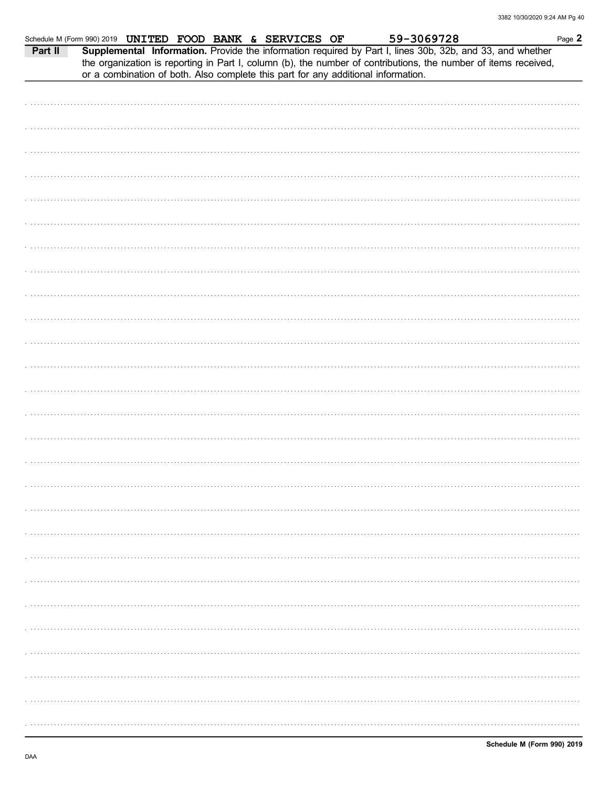|         |  |  | Schedule M (Form 990) 2019 UNITED FOOD BANK & SERVICES OF                         | 59-3069728                                                                                                                                                                                                                   | Page 2 |
|---------|--|--|-----------------------------------------------------------------------------------|------------------------------------------------------------------------------------------------------------------------------------------------------------------------------------------------------------------------------|--------|
| Part II |  |  | or a combination of both. Also complete this part for any additional information. | Supplemental Information. Provide the information required by Part I, lines 30b, 32b, and 33, and whether<br>the organization is reporting in Part I, column (b), the number of contributions, the number of items received, |        |
|         |  |  |                                                                                   |                                                                                                                                                                                                                              |        |
|         |  |  |                                                                                   |                                                                                                                                                                                                                              |        |
|         |  |  |                                                                                   |                                                                                                                                                                                                                              |        |
|         |  |  |                                                                                   |                                                                                                                                                                                                                              |        |
|         |  |  |                                                                                   |                                                                                                                                                                                                                              |        |
|         |  |  |                                                                                   |                                                                                                                                                                                                                              |        |
|         |  |  |                                                                                   |                                                                                                                                                                                                                              |        |
|         |  |  |                                                                                   |                                                                                                                                                                                                                              |        |
|         |  |  |                                                                                   |                                                                                                                                                                                                                              |        |
|         |  |  |                                                                                   |                                                                                                                                                                                                                              |        |
|         |  |  |                                                                                   |                                                                                                                                                                                                                              |        |
|         |  |  |                                                                                   |                                                                                                                                                                                                                              |        |
|         |  |  |                                                                                   |                                                                                                                                                                                                                              |        |
|         |  |  |                                                                                   |                                                                                                                                                                                                                              |        |
|         |  |  |                                                                                   |                                                                                                                                                                                                                              |        |
|         |  |  |                                                                                   |                                                                                                                                                                                                                              |        |
|         |  |  |                                                                                   |                                                                                                                                                                                                                              |        |
|         |  |  |                                                                                   |                                                                                                                                                                                                                              |        |
|         |  |  |                                                                                   |                                                                                                                                                                                                                              |        |
|         |  |  |                                                                                   |                                                                                                                                                                                                                              |        |
|         |  |  |                                                                                   |                                                                                                                                                                                                                              |        |
|         |  |  |                                                                                   |                                                                                                                                                                                                                              |        |
|         |  |  |                                                                                   |                                                                                                                                                                                                                              |        |
|         |  |  |                                                                                   |                                                                                                                                                                                                                              |        |
|         |  |  |                                                                                   |                                                                                                                                                                                                                              |        |
|         |  |  |                                                                                   |                                                                                                                                                                                                                              |        |
|         |  |  |                                                                                   |                                                                                                                                                                                                                              |        |
|         |  |  |                                                                                   |                                                                                                                                                                                                                              |        |
|         |  |  |                                                                                   |                                                                                                                                                                                                                              |        |
|         |  |  |                                                                                   |                                                                                                                                                                                                                              |        |
|         |  |  |                                                                                   |                                                                                                                                                                                                                              |        |
|         |  |  |                                                                                   |                                                                                                                                                                                                                              |        |
|         |  |  |                                                                                   |                                                                                                                                                                                                                              |        |
|         |  |  |                                                                                   |                                                                                                                                                                                                                              |        |
|         |  |  |                                                                                   |                                                                                                                                                                                                                              |        |
|         |  |  |                                                                                   |                                                                                                                                                                                                                              |        |
|         |  |  |                                                                                   |                                                                                                                                                                                                                              |        |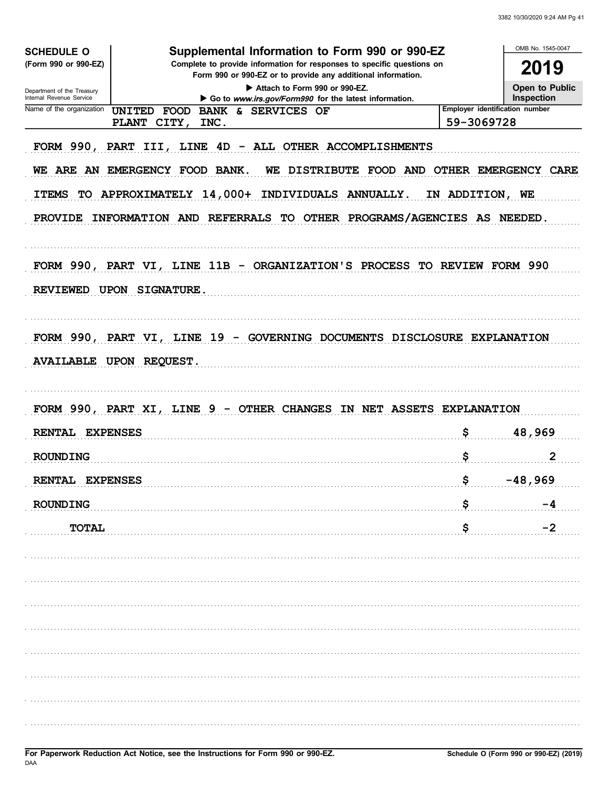| <b>SCHEDULE O</b>                                      |                                                                                                                                                    | Supplemental Information to Form 990 or 990-EZ                                                                                         |                                             |                                              | OMB No. 1545-0047            |
|--------------------------------------------------------|----------------------------------------------------------------------------------------------------------------------------------------------------|----------------------------------------------------------------------------------------------------------------------------------------|---------------------------------------------|----------------------------------------------|------------------------------|
| (Form 990 or 990-EZ)                                   |                                                                                                                                                    | Complete to provide information for responses to specific questions on<br>Form 990 or 990-EZ or to provide any additional information. |                                             |                                              | 2019                         |
| Department of the Treasury<br>Internal Revenue Service |                                                                                                                                                    | Attach to Form 990 or 990-EZ.<br>Go to www.irs.gov/Form990 for the latest information.                                                 |                                             |                                              | Open to Public<br>Inspection |
| Name of the organization                               | UNITED FOOD<br>CITY,<br>INC.<br><b>PLANT</b>                                                                                                       | BANK & SERVICES OF                                                                                                                     |                                             | Employer identification number<br>59-3069728 |                              |
| FORM 990, PART<br><b>ITEMS</b>                         | 4D<br>III,<br>LINE<br>WE ARE AN EMERGENCY FOOD BANK.<br>TO APPROXIMATELY 14,000+ INDIVIDUALS ANNUALLY.                                             | - ALL OTHER ACCOMPLISHMENTS                                                                                                            | WE DISTRIBUTE FOOD AND OTHER EMERGENCY CARE | IN ADDITION, WE                              |                              |
| REVIEWED UPON SIGNATURE.                               | PROVIDE INFORMATION AND REFERRALS TO OTHER PROGRAMS/AGENCIES AS NEEDED.<br>FORM 990, PART VI, LINE 11B - ORGANIZATION'S PROCESS TO REVIEW FORM 990 |                                                                                                                                        |                                             |                                              |                              |
| FORM 990, PART VI, LINE<br>AVAILABLE UPON REQUEST.     | 19                                                                                                                                                 | - GOVERNING DOCUMENTS DISCLOSURE EXPLANATION                                                                                           |                                             |                                              |                              |
| FORM 990, PART XI,                                     |                                                                                                                                                    | LINE 9 - OTHER CHANGES IN NET ASSETS EXPLANATION                                                                                       |                                             |                                              |                              |
| RENTAL EXPENSES                                        |                                                                                                                                                    |                                                                                                                                        |                                             | \$                                           | 48,969                       |
| <b>ROUNDING</b>                                        |                                                                                                                                                    |                                                                                                                                        |                                             | \$                                           | 2                            |
| RENTAL EXPENSES                                        |                                                                                                                                                    |                                                                                                                                        |                                             | \$                                           | $-48,969$                    |
| ROUNDING                                               |                                                                                                                                                    |                                                                                                                                        |                                             |                                              |                              |
| <b>TOTAL</b>                                           |                                                                                                                                                    |                                                                                                                                        |                                             | \$                                           | -2                           |
|                                                        |                                                                                                                                                    |                                                                                                                                        |                                             |                                              |                              |
|                                                        |                                                                                                                                                    |                                                                                                                                        |                                             |                                              |                              |
|                                                        |                                                                                                                                                    |                                                                                                                                        |                                             |                                              |                              |
|                                                        |                                                                                                                                                    |                                                                                                                                        |                                             |                                              |                              |
|                                                        |                                                                                                                                                    |                                                                                                                                        |                                             |                                              |                              |
|                                                        |                                                                                                                                                    |                                                                                                                                        |                                             |                                              |                              |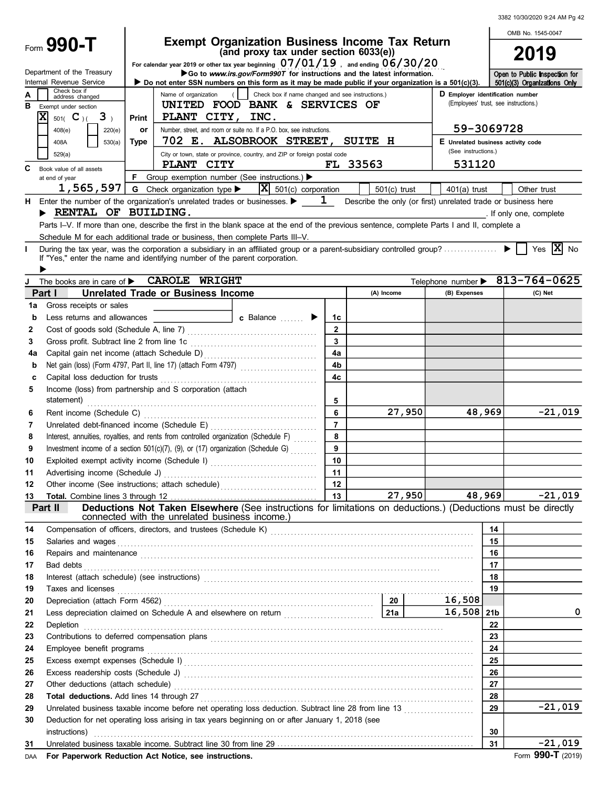|  | 3382 10/30/2020 9:24 AM Pg 42 |  |  |
|--|-------------------------------|--|--|
|  |                               |  |  |

|                                                                                                                        |            |                                           |                                                                                                                                                                                                                                |                      |                                                               |                                                  |          | 3382 10/30/2020 9:24 AM Pg 42   |
|------------------------------------------------------------------------------------------------------------------------|------------|-------------------------------------------|--------------------------------------------------------------------------------------------------------------------------------------------------------------------------------------------------------------------------------|----------------------|---------------------------------------------------------------|--------------------------------------------------|----------|---------------------------------|
| Form $990 - T$                                                                                                         |            |                                           | <b>Exempt Organization Business Income Tax Return</b><br>(and proxy tax under section 6033(e))                                                                                                                                 |                      |                                                               |                                                  |          | OMB No. 1545-0047<br>2019       |
| Department of the Treasury                                                                                             |            |                                           | For calendar year 2019 or other tax year beginning $07/01/19$ , and ending $06/30/20$<br>Go to www.irs.gov/Form990T for instructions and the latest information.                                                               |                      |                                                               |                                                  |          | Open to Public Inspection for   |
| Internal Revenue Service<br>Check box if<br>A<br>address changed                                                       |            | Name of organization                      | ▶ Do not enter SSN numbers on this form as it may be made public if your organization is a 501(c)(3).<br>Check box if name changed and see instructions.)                                                                      |                      |                                                               | D Employer identification number                 |          | 501(c)(3) Organizations Only    |
| в<br>Exempt under section<br>X<br>3<br>501( $C$ )(                                                                     | Print      | PLANT CITY, INC.                          | UNITED FOOD BANK & SERVICES OF                                                                                                                                                                                                 |                      |                                                               | (Employees' trust, see instructions.)            |          |                                 |
| 408(e)<br>220(e)<br>408A<br>530(a)                                                                                     | or<br>Type |                                           | Number, street, and room or suite no. If a P.O. box, see instructions.<br>702 E. ALSOBROOK STREET,                                                                                                                             |                      | <b>SUITE H</b>                                                | 59-3069728<br>E Unrelated business activity code |          |                                 |
| 529(a)<br>C Book value of all assets                                                                                   |            | PLANT CITY                                | City or town, state or province, country, and ZIP or foreign postal code                                                                                                                                                       |                      | FL 33563                                                      | (See instructions.)<br>531120                    |          |                                 |
| at end of year<br>1,565,597   G Check organization type $\blacktriangleright$                                          |            |                                           | <b>F</b> Group exemption number (See instructions.) ▶<br>$ \mathbf{X} $ 501(c) corporation                                                                                                                                     |                      | $501(c)$ trust                                                | $401(a)$ trust                                   |          | Other trust                     |
| H Enter the number of the organization's unrelated trades or businesses. $\blacktriangleright$<br>> RENTAL OF BUILDING |            |                                           |                                                                                                                                                                                                                                | $\mathbf{I}$         | Describe the only (or first) unrelated trade or business here |                                                  |          | If only one, complete           |
|                                                                                                                        |            |                                           | Parts I-V. If more than one, describe the first in the blank space at the end of the previous sentence, complete Parts I and II, complete a                                                                                    |                      |                                                               |                                                  |          |                                 |
| If "Yes," enter the name and identifying number of the parent corporation.                                             |            |                                           | Schedule M for each additional trade or business, then complete Parts III-V.<br>During the tax year, was the corporation a subsidiary in an affiliated group or a parent-subsidiary controlled group?                          |                      |                                                               |                                                  |          | $ X $ No<br>Yes                 |
| The books are in care of CAROLE WRIGHT                                                                                 |            |                                           |                                                                                                                                                                                                                                |                      |                                                               |                                                  |          | Telephone number > 813-764-0625 |
| Part I<br>Gross receipts or sales<br>1a                                                                                |            | <b>Unrelated Trade or Business Income</b> |                                                                                                                                                                                                                                |                      | (A) Income                                                    | (B) Expenses                                     |          | (C) Net                         |
| Less returns and allowances                                                                                            |            |                                           | c Balance $\ldots$ $\blacktriangleright$                                                                                                                                                                                       | 1с<br>$\mathbf{2}$   |                                                               |                                                  |          |                                 |
|                                                                                                                        |            |                                           |                                                                                                                                                                                                                                | $\mathbf{3}$         |                                                               |                                                  |          |                                 |
|                                                                                                                        |            |                                           |                                                                                                                                                                                                                                | 4a<br>4 <sub>b</sub> |                                                               |                                                  |          |                                 |
| Income (loss) from partnership and S corporation (attach                                                               |            |                                           |                                                                                                                                                                                                                                | 4 <sub>c</sub>       |                                                               |                                                  |          |                                 |
| statement)                                                                                                             |            |                                           |                                                                                                                                                                                                                                | 5 <sub>1</sub>       |                                                               |                                                  |          |                                 |
|                                                                                                                        |            |                                           |                                                                                                                                                                                                                                |                      | 27,950                                                        | 48,969                                           |          | $-21,019$                       |
|                                                                                                                        |            |                                           | Interest, annuities, royalties, and rents from controlled organization (Schedule F)<br>Investment income of a section $501(c)(7)$ , (9), or (17) organization (Schedule G)                                                     | 8<br>$9^{\circ}$     |                                                               |                                                  |          |                                 |
| 10<br>-11                                                                                                              |            |                                           | Exploited exempt activity income (Schedule I)                                                                                                                                                                                  | 10<br>11             |                                                               |                                                  |          |                                 |
| 12                                                                                                                     |            |                                           | Other income (See instructions; attach schedule)                                                                                                                                                                               | 12                   |                                                               |                                                  |          |                                 |
|                                                                                                                        |            |                                           |                                                                                                                                                                                                                                |                      | 27,950                                                        | 48,969                                           |          | $-21,019$                       |
| 13<br>Part II                                                                                                          |            |                                           | Deductions Not Taken Elsewhere (See instructions for limitations on deductions.) (Deductions must be directly                                                                                                                  | 13                   |                                                               |                                                  |          |                                 |
| 14                                                                                                                     |            |                                           | connected with the unrelated business income.)                                                                                                                                                                                 |                      |                                                               |                                                  | 14       |                                 |
| 15<br>16                                                                                                               |            |                                           |                                                                                                                                                                                                                                |                      |                                                               |                                                  | 15<br>16 |                                 |
| Bad debts<br>17                                                                                                        |            |                                           | Repairs and maintenance <b>construction and construction</b> and maintenance construction and maintenance <b>construction</b>                                                                                                  |                      |                                                               |                                                  | 17       |                                 |
| 18<br>Taxes and licenses<br>19                                                                                         |            |                                           | Interest (attach schedule) (see instructions) (2000) (2000) (2000) (2000) (2000) (2000) (2000) (2000) (2000) (2000) (2000) (2000) (2000) (2000) (2000) (2000) (2000) (2000) (2000) (2000) (2000) (2000) (2000) (2000) (2000) ( |                      |                                                               |                                                  | 18<br>19 |                                 |
| 20<br>21                                                                                                               |            |                                           |                                                                                                                                                                                                                                |                      |                                                               | 16,508                                           |          |                                 |
| Depletion<br>22                                                                                                        |            |                                           |                                                                                                                                                                                                                                |                      |                                                               | $16,508$ 21b                                     | 22       |                                 |
| 23<br>Employee benefit programs<br>24                                                                                  |            |                                           |                                                                                                                                                                                                                                |                      |                                                               |                                                  | 23<br>24 |                                 |
| 25                                                                                                                     |            |                                           |                                                                                                                                                                                                                                |                      |                                                               |                                                  | 25       |                                 |
| 26<br>27                                                                                                               |            |                                           | Other deductions (attach schedule) (attach schedule) (b) and the contract of the schedule of the schedule of the schedule of the schedule of the schedule of the schedule of the schedule of the schedule of the schedule of t |                      |                                                               |                                                  | 26<br>27 |                                 |
| Total deductions. Add lines 14 through 27<br>28<br>-29                                                                 |            |                                           |                                                                                                                                                                                                                                |                      |                                                               |                                                  | 28<br>29 | $-21,019$                       |
| 30.<br>instructions)                                                                                                   |            |                                           | Unrelated business taxable income before net operating loss deduction. Subtract line 28 from line 13<br>Deduction for net operating loss arising in tax years beginning on or after January 1, 2018 (see                       |                      |                                                               |                                                  | 30       |                                 |

DAA For Paperwork Reduction Act Notice, see instructions. The material experiment of the state of the SO Form 990-T (2019)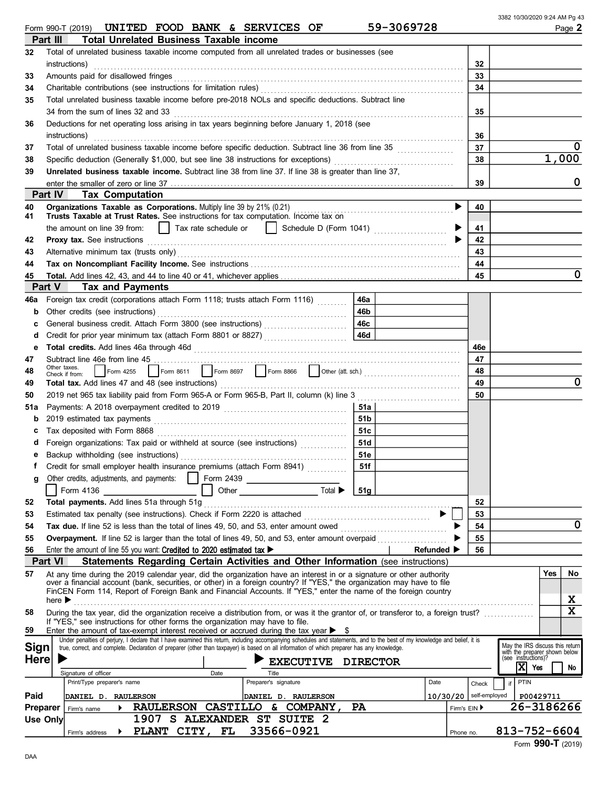|  |  |  | $\sim$ 990-T (2019) UNITED FOOD BANK & SERVICES OF | 59-3069 |
|--|--|--|----------------------------------------------------|---------|
|  |  |  |                                                    |         |

|                 | 59-3069728<br>UNITED FOOD BANK & SERVICES OF<br>Form 990-T (2019)                                                                                                                                                                                                                                                                                                                                 |                       | 3382 10/30/2020 9:24 AM Pg 43<br>Page 2                                          |
|-----------------|---------------------------------------------------------------------------------------------------------------------------------------------------------------------------------------------------------------------------------------------------------------------------------------------------------------------------------------------------------------------------------------------------|-----------------------|----------------------------------------------------------------------------------|
| 32              | <b>Total Unrelated Business Taxable income</b><br>Part III<br>Total of unrelated business taxable income computed from all unrelated trades or businesses (see                                                                                                                                                                                                                                    |                       |                                                                                  |
|                 | instructions)                                                                                                                                                                                                                                                                                                                                                                                     | 32                    |                                                                                  |
| 33<br>34        | Amounts paid for disallowed fringes                                                                                                                                                                                                                                                                                                                                                               | 33<br>34              |                                                                                  |
| 35              | Total unrelated business taxable income before pre-2018 NOLs and specific deductions. Subtract line<br>34 from the sum of lines 32 and 33                                                                                                                                                                                                                                                         | 35                    |                                                                                  |
| 36              | Deductions for net operating loss arising in tax years beginning before January 1, 2018 (see                                                                                                                                                                                                                                                                                                      | 36                    |                                                                                  |
| 37              | instructions)<br>Total of unrelated business taxable income before specific deduction. Subtract line 36 from line 35                                                                                                                                                                                                                                                                              | 37                    |                                                                                  |
| 38<br>39        | Specific deduction (Generally \$1,000, but see line 38 instructions for exceptions) [[[[[[[[[[[[[[[[[[[[[[[[[[<br>Unrelated business taxable income. Subtract line 38 from line 37. If line 38 is greater than line 37,                                                                                                                                                                           | 38                    | 1,000                                                                            |
|                 | Part IV<br><b>Tax Computation</b>                                                                                                                                                                                                                                                                                                                                                                 | 39                    |                                                                                  |
| 40<br>41        | <b>Organizations Taxable as Corporations.</b> Multiply line 39 by 21% (0.21)<br><b>Trusts Taxable at Trust Rates.</b> See instructions for tax computation. Income tax on                                                                                                                                                                                                                         | 40                    |                                                                                  |
| 42              | the amount on line 39 from: Tax rate schedule or Schedule D (Form 1041)<br><b>Proxy tax.</b> See instructions                                                                                                                                                                                                                                                                                     | 41<br>42              |                                                                                  |
| 43              |                                                                                                                                                                                                                                                                                                                                                                                                   | 43<br>44              |                                                                                  |
| 44<br>45        |                                                                                                                                                                                                                                                                                                                                                                                                   | 45                    |                                                                                  |
|                 | Part V<br><b>Tax and Payments</b><br>46a                                                                                                                                                                                                                                                                                                                                                          |                       |                                                                                  |
| b               | l 46b<br>Other credits (see instructions)                                                                                                                                                                                                                                                                                                                                                         |                       |                                                                                  |
|                 |                                                                                                                                                                                                                                                                                                                                                                                                   |                       |                                                                                  |
| 47              | Total credits. Add lines 46a through 46d <b>Construction Construction</b> Construction Construction Construction Const                                                                                                                                                                                                                                                                            | <b>46e</b><br>47      |                                                                                  |
| 49              | Other taxes.<br>Check if from:<br>Total tax. Add lines 47 and 48 (see instructions) Material Construction Construction Construction Construction                                                                                                                                                                                                                                                  | 48<br>49              | 0                                                                                |
| 50              |                                                                                                                                                                                                                                                                                                                                                                                                   | 50                    |                                                                                  |
| 51a             | 51b<br>2019 estimated tax payments [[2010] contract and a set of the symmetry contract and a set of the symmetry contract and set of the symmetry contract and set of the symmetry contract and set of the symmetry contract and set                                                                                                                                                              |                       |                                                                                  |
|                 | 51c<br>51d<br>d Foreign organizations: Tax paid or withheld at source (see instructions)                                                                                                                                                                                                                                                                                                          |                       |                                                                                  |
|                 | 51e<br>51f<br>Credit for small employer health insurance premiums (attach Form 8941)                                                                                                                                                                                                                                                                                                              |                       |                                                                                  |
|                 | Other credits, adjustments, and payments:<br>Form 2439<br>Other Communication Total Definition<br>51g                                                                                                                                                                                                                                                                                             |                       |                                                                                  |
| 52              | Total payments. Add lines 51a through 51g                                                                                                                                                                                                                                                                                                                                                         | 52                    |                                                                                  |
| 53<br>54        | Tax due. If line 52 is less than the total of lines 49, 50, and 53, enter amount owed <i>compare the set of lines</i>                                                                                                                                                                                                                                                                             | 53<br>54              |                                                                                  |
| 55<br>56        | Overpayment. If line 52 is larger than the total of lines 49, 50, and 53, enter amount overpaid<br>Enter the amount of line 55 you want: Credited to 2020 estimated tax $\blacktriangleright$<br><b>Refunded</b> ▶                                                                                                                                                                                | $\overline{55}$<br>56 |                                                                                  |
|                 | Statements Regarding Certain Activities and Other Information (see instructions)<br>Part VI                                                                                                                                                                                                                                                                                                       |                       |                                                                                  |
| 57              | At any time during the 2019 calendar year, did the organization have an interest in or a signature or other authority<br>over a financial account (bank, securities, or other) in a foreign country? If "YES," the organization may have to file<br>FinCEN Form 114, Report of Foreign Bank and Financial Accounts. If "YES," enter the name of the foreign country<br>here $\blacktriangleright$ |                       | <b>Yes</b><br><b>No</b><br>$\mathbf{x}$                                          |
| 58              | During the tax year, did the organization receive a distribution from, or was it the grantor of, or transferor to, a foreign trust?<br>If "YES," see instructions for other forms the organization may have to file.                                                                                                                                                                              |                       | $\overline{\mathbf{x}}$                                                          |
| 59              | Enter the amount of tax-exempt interest received or accrued during the tax year $\triangleright$ \$<br>Under penalties of perjury, I declare that I have examined this return, including accompanying schedules and statements, and to the best of my knowledge and belief, it is                                                                                                                 |                       | May the IRS discuss this return                                                  |
|                 | Sign true, correct, and complete. Declaration of preparer (other than taxpayer) is based on all information of which preparer has any knowledge.<br>Here <br>  EXECUTIVE DIRECTOR                                                                                                                                                                                                                 |                       | with the preparer shown below<br>(see instructions)?<br>$ \mathbf{X} $ Yes<br>No |
|                 | Signature of officer<br>Title<br>Date<br>Print/Type preparer's name<br>Preparer's signature<br>Date                                                                                                                                                                                                                                                                                               | Check                 | PTIN                                                                             |
| Paid            | $10/30/20$ self-employed<br>DANIEL D. RAULERSON<br>DANIEL D. RAULERSON<br>> RAULERSON CASTILLO & COMPANY,<br>PA<br><b>Preparer</b> Firm's name                                                                                                                                                                                                                                                    | Firm's EIN ▶          | P00429711<br>26-3186266                                                          |
| <b>Use Only</b> | 1907 S ALEXANDER ST SUITE 2                                                                                                                                                                                                                                                                                                                                                                       |                       |                                                                                  |
|                 | PLANT CITY, FL 33566-0921<br>$\mathbf{F}$<br>Firm's address                                                                                                                                                                                                                                                                                                                                       | Phone no.             | 813-752-6604<br>Form 990-T (2019)                                                |
| DAA             |                                                                                                                                                                                                                                                                                                                                                                                                   |                       |                                                                                  |
|                 |                                                                                                                                                                                                                                                                                                                                                                                                   |                       |                                                                                  |
|                 |                                                                                                                                                                                                                                                                                                                                                                                                   |                       |                                                                                  |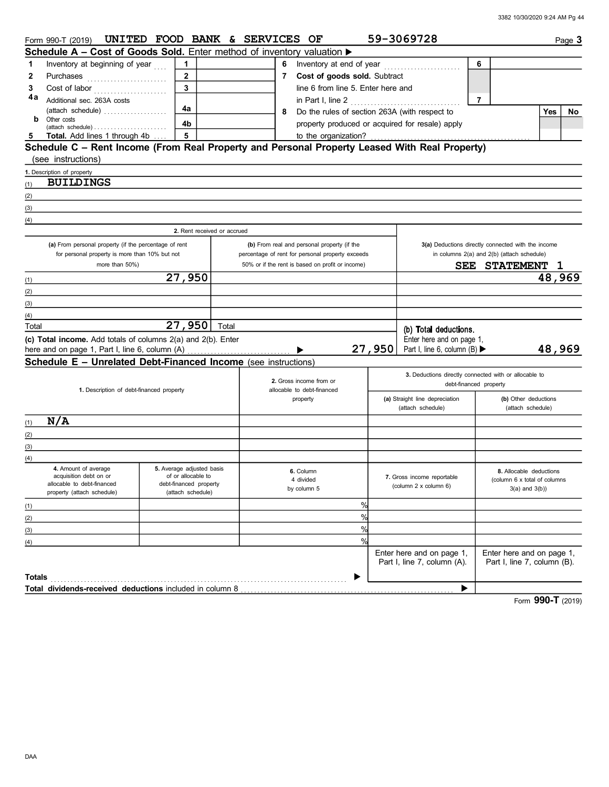|                                                                                                                      |                                              |                                                                                                 |               |                                                                                 | 3382 10/30/2020 9:24 AM Pg 44                                                                    |
|----------------------------------------------------------------------------------------------------------------------|----------------------------------------------|-------------------------------------------------------------------------------------------------|---------------|---------------------------------------------------------------------------------|--------------------------------------------------------------------------------------------------|
| Form 990-T (2019)<br>Schedule A - Cost of Goods Sold. Enter method of inventory valuation >                          | UNITED FOOD BANK & SERVICES OF               |                                                                                                 |               | 59-3069728                                                                      | Page 3                                                                                           |
| Inventory at beginning of year<br>$\mathbf{1}$                                                                       | $\mathbf{1}$                                 | 6 Inventory at end of year                                                                      |               |                                                                                 | 6                                                                                                |
| Purchases<br>$\overline{2}$<br>3                                                                                     | $\mathbf{2}$<br>$\mathbf{3}$                 | 7 Cost of goods sold. Subtract<br>line 6 from line 5. Enter here and                            |               |                                                                                 |                                                                                                  |
| Cost of labor<br>4a<br>Additional sec. 263A costs                                                                    |                                              | in Part I, line 2                                                                               |               |                                                                                 | $\overline{7}$                                                                                   |
| (attach schedule)<br><b>b</b> Other costs                                                                            | 4a                                           | 8                                                                                               |               | Do the rules of section 263A (with respect to                                   | Yes<br>No                                                                                        |
| $(\text{attack} \cdot \text{schedule}) \dots \dots \dots \dots \dots \dots \dots$<br>5 Total. Add lines 1 through 4b | 4b<br>$5^{\circ}$                            | to the organization?                                                                            |               | property produced or acquired for resale) apply                                 |                                                                                                  |
| Schedule C - Rent Income (From Real Property and Personal Property Leased With Real Property)                        |                                              |                                                                                                 |               |                                                                                 |                                                                                                  |
| (see instructions)<br>1. Description of property                                                                     |                                              |                                                                                                 |               |                                                                                 |                                                                                                  |
| <b>BUILDINGS</b><br>(1)                                                                                              |                                              |                                                                                                 |               |                                                                                 |                                                                                                  |
| (2)                                                                                                                  |                                              |                                                                                                 |               |                                                                                 |                                                                                                  |
| (3)<br>(4)                                                                                                           |                                              |                                                                                                 |               |                                                                                 |                                                                                                  |
|                                                                                                                      | 2. Rent received or accrued                  |                                                                                                 |               |                                                                                 |                                                                                                  |
| (a) From personal property (if the percentage of rent<br>for personal property is more than 10% but not              |                                              | (b) From real and personal property (if the<br>percentage of rent for personal property exceeds |               |                                                                                 | 3(a) Deductions directly connected with the income<br>in columns 2(a) and 2(b) (attach schedule) |
| more than 50%)                                                                                                       |                                              | 50% or if the rent is based on profit or income)                                                |               |                                                                                 | SEE STATEMENT<br>-1                                                                              |
| (1)                                                                                                                  | $\overline{27,950}$                          |                                                                                                 |               |                                                                                 | 48,969                                                                                           |
| (2)<br>(3)                                                                                                           |                                              |                                                                                                 |               |                                                                                 |                                                                                                  |
| (4)                                                                                                                  |                                              |                                                                                                 |               |                                                                                 |                                                                                                  |
| Total                                                                                                                | $\boxed{27,950}$ Total                       |                                                                                                 |               | (b) Total deductions.                                                           |                                                                                                  |
| (c) Total income. Add totals of columns 2(a) and 2(b). Enter<br>here and on page 1, Part I, line 6, column (A)       |                                              |                                                                                                 | 27,950        | Enter here and on page 1,<br>Part I, line 6, column (B) $\blacktriangleright$   | 48,969                                                                                           |
| Schedule E - Unrelated Debt-Financed Income (see instructions)                                                       |                                              |                                                                                                 |               |                                                                                 |                                                                                                  |
|                                                                                                                      |                                              | 2. Gross income from or                                                                         |               | 3. Deductions directly connected with or allocable to<br>debt-financed property |                                                                                                  |
| 1. Description of debt-financed property                                                                             |                                              | allocable to debt-financed<br>property                                                          |               | (a) Straight line depreciation                                                  | (b) Other deductions                                                                             |
| N/A<br>(1)                                                                                                           |                                              |                                                                                                 |               | (attach schedule)                                                               | (attach schedule)                                                                                |
| (2)                                                                                                                  |                                              |                                                                                                 |               |                                                                                 |                                                                                                  |
| (3)                                                                                                                  |                                              |                                                                                                 |               |                                                                                 |                                                                                                  |
| (4)<br>4. Amount of average                                                                                          | 5. Average adjusted basis                    | 6. Column                                                                                       |               |                                                                                 | 8. Allocable deductions                                                                          |
| acquisition debt on or<br>allocable to debt-financed                                                                 | of or allocable to<br>debt-financed property | 4 divided<br>by column 5                                                                        |               | 7. Gross income reportable<br>(column 2 x column 6)                             | (column 6 x total of columns<br>$3(a)$ and $3(b)$ )                                              |
| property (attach schedule)<br>(1)                                                                                    | (attach schedule)                            |                                                                                                 | $\frac{0}{6}$ |                                                                                 |                                                                                                  |
| (2)                                                                                                                  |                                              |                                                                                                 | $\frac{0}{6}$ |                                                                                 |                                                                                                  |
|                                                                                                                      |                                              |                                                                                                 | $\frac{0}{6}$ |                                                                                 |                                                                                                  |
| (3)                                                                                                                  |                                              |                                                                                                 | $\frac{0}{6}$ | Enter here and on page 1,                                                       | Enter here and on page 1,                                                                        |
| (4)                                                                                                                  |                                              |                                                                                                 |               |                                                                                 |                                                                                                  |
|                                                                                                                      |                                              |                                                                                                 |               | Part I, line 7, column (A).                                                     | Part I, line 7, column (B).                                                                      |
| <b>Totals</b>                                                                                                        |                                              | $\blacksquare$                                                                                  |               | $\blacktriangleright$                                                           |                                                                                                  |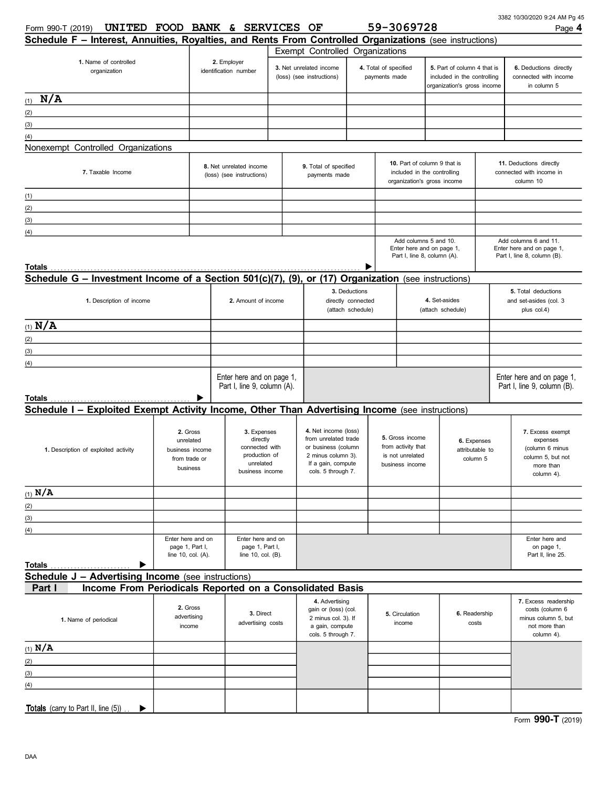| Form 990-T (2019)                                                                                                        |                                                                       | UNITED FOOD BANK & SERVICES OF                                                             |                                                                                                                                       | 59-3069728                                                                   |                                                                                            | 3382 10/30/2020 9:24 AM Pq 45<br>Page 4                                                         |
|--------------------------------------------------------------------------------------------------------------------------|-----------------------------------------------------------------------|--------------------------------------------------------------------------------------------|---------------------------------------------------------------------------------------------------------------------------------------|------------------------------------------------------------------------------|--------------------------------------------------------------------------------------------|-------------------------------------------------------------------------------------------------|
| Schedule F - Interest, Annuities, Royalties, and Rents From Controlled Organizations (see instructions)                  |                                                                       |                                                                                            | Exempt Controlled Organizations                                                                                                       |                                                                              |                                                                                            |                                                                                                 |
| 1. Name of controlled<br>organization                                                                                    |                                                                       | 2. Employer<br>identification number                                                       | 3. Net unrelated income<br>(loss) (see instructions)                                                                                  | 4. Total of specified<br>payments made                                       | 5. Part of column 4 that is<br>included in the controlling<br>organization's gross income  | 6. Deductions directly<br>connected with income<br>in column 5                                  |
| $(1)$ N/A                                                                                                                |                                                                       |                                                                                            |                                                                                                                                       |                                                                              |                                                                                            |                                                                                                 |
| (2)<br>(3)                                                                                                               |                                                                       |                                                                                            |                                                                                                                                       |                                                                              |                                                                                            |                                                                                                 |
| (4)<br>Nonexempt Controlled Organizations                                                                                |                                                                       |                                                                                            |                                                                                                                                       |                                                                              |                                                                                            |                                                                                                 |
| 7. Taxable Income                                                                                                        |                                                                       | 8. Net unrelated income<br>(loss) (see instructions)                                       | 9. Total of specified<br>payments made                                                                                                |                                                                              | 10. Part of column 9 that is<br>included in the controlling<br>organization's gross income | 11. Deductions directly<br>connected with income in<br>column 10                                |
| (1)                                                                                                                      |                                                                       |                                                                                            |                                                                                                                                       |                                                                              |                                                                                            |                                                                                                 |
| (2)<br>(3)                                                                                                               |                                                                       |                                                                                            |                                                                                                                                       |                                                                              |                                                                                            |                                                                                                 |
| (4)                                                                                                                      |                                                                       |                                                                                            |                                                                                                                                       |                                                                              | Add columns 5 and 10.<br>Enter here and on page 1,                                         | Add columns 6 and 11.<br>Enter here and on page 1,                                              |
|                                                                                                                          |                                                                       |                                                                                            |                                                                                                                                       | Part I, line 8, column (A).                                                  |                                                                                            | Part I, line 8, column (B).                                                                     |
| 1. Description of income                                                                                                 |                                                                       | 2. Amount of income                                                                        | 3. Deductions<br>directly connected<br>(attach schedule)                                                                              |                                                                              | 4. Set-asides<br>(attach schedule)                                                         | 5. Total deductions<br>and set-asides (col. 3<br>plus col.4)                                    |
| $(1)$ N/A                                                                                                                |                                                                       |                                                                                            |                                                                                                                                       |                                                                              |                                                                                            |                                                                                                 |
| $\frac{(2)}{(3)}$                                                                                                        |                                                                       |                                                                                            |                                                                                                                                       |                                                                              |                                                                                            |                                                                                                 |
| $\frac{(4)}{2}$                                                                                                          |                                                                       | Enter here and on page 1,<br>Part I, line 9, column (A).                                   |                                                                                                                                       |                                                                              |                                                                                            | Enter here and on page 1,<br>Part I, line 9, column (B).                                        |
| Schedule I - Exploited Exempt Activity Income, Other Than Advertising Income (see instructions)                          | $\blacktriangleright$                                                 |                                                                                            |                                                                                                                                       |                                                                              |                                                                                            |                                                                                                 |
| 1. Description of exploited activity                                                                                     | 2. Gross<br>unrelated<br>business income<br>from trade or<br>business | 3. Expenses<br>directly<br>connected with<br>production of<br>unrelated<br>business income | 4. Net income (loss)<br>from unrelated trade<br>or business (column<br>2 minus column 3).<br>If a gain, compute<br>cols. 5 through 7. | 5. Gross income<br>from activity that<br>is not unrelated<br>business income | 6. Expenses<br>attributable to<br>column 5                                                 | 7. Excess exempt<br>expenses<br>(column 6 minus<br>column 5, but not<br>more than<br>column 4). |
| $(1)$ N/A                                                                                                                |                                                                       |                                                                                            |                                                                                                                                       |                                                                              |                                                                                            |                                                                                                 |
| $\frac{(2)}{(3)}$<br><u> 1989 - Johann Barbara, martxa a</u>                                                             |                                                                       |                                                                                            |                                                                                                                                       |                                                                              |                                                                                            |                                                                                                 |
| (4)                                                                                                                      |                                                                       |                                                                                            |                                                                                                                                       |                                                                              |                                                                                            |                                                                                                 |
| $\blacktriangleright$<br><b>Totals</b>                                                                                   | Enter here and on<br>page 1, Part I,<br>line 10, col. (A).            | Enter here and on<br>page 1, Part I,<br>line 10, col. (B).                                 |                                                                                                                                       |                                                                              |                                                                                            | Enter here and<br>on page 1,<br>Part II, line 25.                                               |
| Schedule J - Advertising Income (see instructions)<br>Income From Periodicals Reported on a Consolidated Basis<br>Part I |                                                                       |                                                                                            |                                                                                                                                       |                                                                              |                                                                                            |                                                                                                 |
|                                                                                                                          | 2. Gross                                                              |                                                                                            | 4. Advertising<br>gain or (loss) (col.                                                                                                |                                                                              |                                                                                            | 7. Excess readership<br>costs (column 6                                                         |
| 1. Name of periodical                                                                                                    | advertising<br>income                                                 | 3. Direct<br>advertising costs                                                             | 2 minus col. 3). If<br>a gain, compute<br>cols. 5 through 7.                                                                          | 5. Circulation<br>income                                                     | 6. Readership<br>costs                                                                     | minus column 5, but<br>not more than<br>column 4).                                              |
| $(1)$ N/A<br>(2)                                                                                                         |                                                                       |                                                                                            |                                                                                                                                       |                                                                              |                                                                                            |                                                                                                 |
| (3)                                                                                                                      |                                                                       |                                                                                            |                                                                                                                                       |                                                                              |                                                                                            |                                                                                                 |
| (4)                                                                                                                      |                                                                       |                                                                                            |                                                                                                                                       |                                                                              |                                                                                            |                                                                                                 |

Totals (carry to Part II, line  $(5)$ ) .  $\blacktriangleright$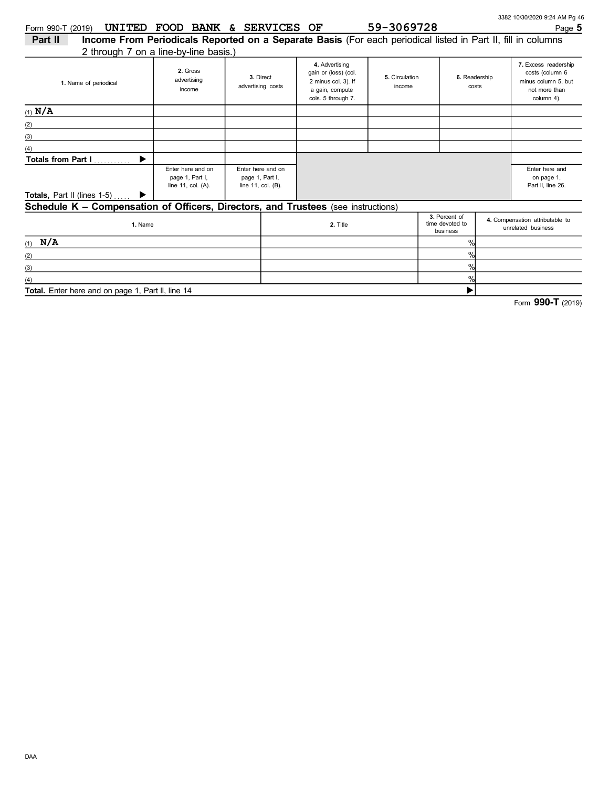# 2 through 7 on a line-by-line basis.) Part II Income From Periodicals Reported on a Separate Basis (For each periodical listed in Part II, fill in columns

|                                                                                   |                                       |                                      |                                        |                |                             | 3382 10/30/2020 9:24 AM Pg 46                                                                                |
|-----------------------------------------------------------------------------------|---------------------------------------|--------------------------------------|----------------------------------------|----------------|-----------------------------|--------------------------------------------------------------------------------------------------------------|
| Form 990-T (2019)                                                                 | UNITED FOOD BANK & SERVICES OF        |                                      |                                        | 59-3069728     |                             | Page 5                                                                                                       |
| Part II                                                                           |                                       |                                      |                                        |                |                             | Income From Periodicals Reported on a Separate Basis (For each periodical listed in Part II, fill in columns |
|                                                                                   | 2 through 7 on a line-by-line basis.) |                                      | 4. Advertising                         |                |                             | 7. Excess readership                                                                                         |
|                                                                                   | 2. Gross<br>advertising               | 3. Direct                            | gain or (loss) (col.                   | 5. Circulation | 6. Readership               | costs (column 6                                                                                              |
| 1. Name of periodical                                                             | income                                | advertising costs                    | 2 minus col. 3). If<br>a gain, compute | income         | costs                       | minus column 5, but<br>not more than                                                                         |
|                                                                                   |                                       |                                      | cols. 5 through 7.                     |                |                             | column 4).                                                                                                   |
| $\frac{1}{(1)}$ N/A                                                               |                                       |                                      |                                        |                |                             |                                                                                                              |
| (2)<br>(3)                                                                        |                                       |                                      |                                        |                |                             |                                                                                                              |
| (4)                                                                               |                                       |                                      |                                        |                |                             |                                                                                                              |
| Totals from Part I<br>▶                                                           |                                       |                                      |                                        |                |                             |                                                                                                              |
|                                                                                   |                                       |                                      |                                        |                |                             |                                                                                                              |
|                                                                                   | Enter here and on<br>page 1, Part I,  | Enter here and on<br>page 1, Part I, |                                        |                |                             | Enter here and<br>on page 1,                                                                                 |
|                                                                                   | line 11, col. (A).                    | line 11, col. (B).                   |                                        |                |                             | Part II, line 26.                                                                                            |
| Totals, Part II (lines 1-5)<br>▶                                                  |                                       |                                      |                                        |                |                             |                                                                                                              |
| Schedule K - Compensation of Officers, Directors, and Trustees (see instructions) |                                       |                                      |                                        |                | 3. Percent of               | 4. Compensation attributable to                                                                              |
| 1. Name                                                                           |                                       |                                      | 2. Title                               |                | time devoted to<br>business | unrelated business                                                                                           |
| $(1)$ N/A<br>(2)                                                                  |                                       |                                      |                                        |                | %<br>$\frac{0}{0}$          |                                                                                                              |

Form 990-T (2019)

 $\blacktriangleright$ 

% %

(3) (4)

Total. Enter here and on page 1, Part II, line 14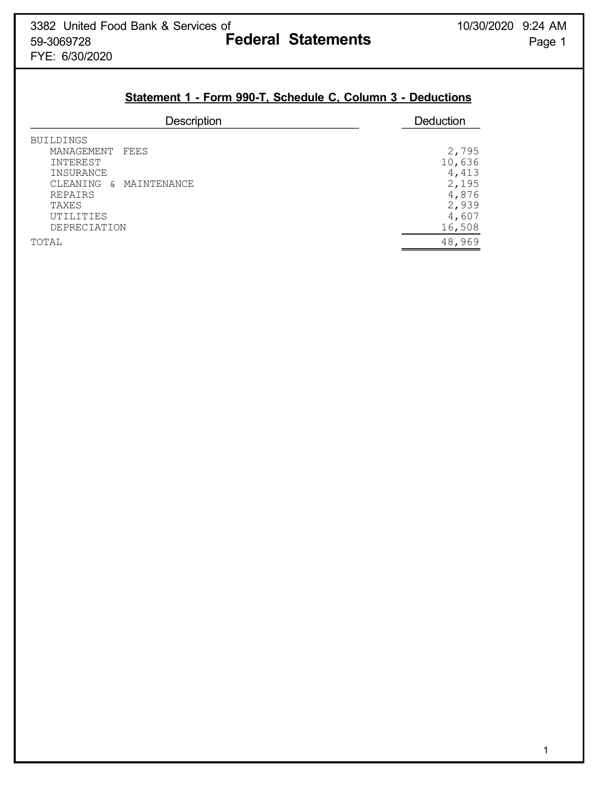| 3382 United Food Bank & Services of<br><b>Federal Statements</b><br>59-3069728                                                          | 10/30/2020 9:24 AM<br>Page 1                                           |
|-----------------------------------------------------------------------------------------------------------------------------------------|------------------------------------------------------------------------|
| FYE: 6/30/2020                                                                                                                          |                                                                        |
| Statement 1 - Form 990-T. Schedule C. Column 3 - Deductions                                                                             |                                                                        |
|                                                                                                                                         |                                                                        |
| Description                                                                                                                             | Deduction                                                              |
| <b>BUILDINGS</b><br>MANAGEMENT FEES<br>INTEREST<br>INSURANCE<br>CLEANING & MAINTENANCE<br>REPAIRS<br>TAXES<br>UTILITIES<br>DEPRECIATION | 2,795<br>10,636<br>4,413<br>2,195<br>4,876<br>2,939<br>4,607<br>16,508 |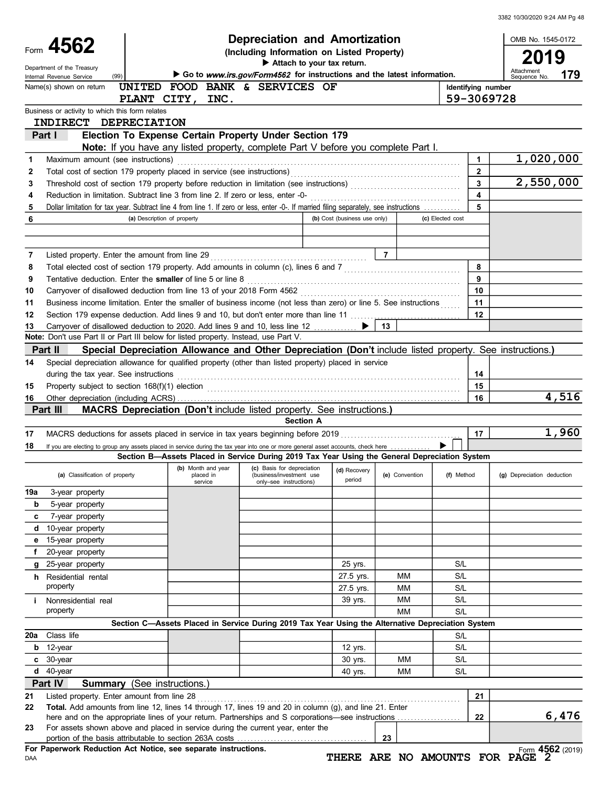| 3382 10/30/2020 9:24 AM Pg 48 |  |  |
|-------------------------------|--|--|

| Form 4562<br>Department of the Treasury<br>(99)<br>Internal Revenue Service                        |                                    |                      | <b>Depreciation and Amortization</b><br>(Including Information on Listed Property)<br>Attach to your tax return.<br>Go to www.irs.gov/Form4562 for instructions and the latest information. |                              |                |                                         | OMB No. 1545-0172<br>Attachmen<br>179<br>Sequence No. |
|----------------------------------------------------------------------------------------------------|------------------------------------|----------------------|---------------------------------------------------------------------------------------------------------------------------------------------------------------------------------------------|------------------------------|----------------|-----------------------------------------|-------------------------------------------------------|
| Name(s) shown on return                                                                            | UNITED                             |                      | FOOD BANK & SERVICES OF                                                                                                                                                                     |                              |                | Identifying number<br>59-3069728        |                                                       |
| Business or activity to which this form relates                                                    | PLANT CITY,                        | INC.                 |                                                                                                                                                                                             |                              |                |                                         |                                                       |
| INDIRECT DEPRECIATION                                                                              |                                    |                      |                                                                                                                                                                                             |                              |                |                                         |                                                       |
| Part I                                                                                             |                                    |                      | Election To Expense Certain Property Under Section 179                                                                                                                                      |                              |                |                                         |                                                       |
|                                                                                                    |                                    |                      | Note: If you have any listed property, complete Part V before you complete Part I.                                                                                                          |                              |                |                                         |                                                       |
| Maximum amount (see instructions)                                                                  |                                    |                      |                                                                                                                                                                                             |                              |                | $\mathbf 1$                             | 1,020,000                                             |
| 2                                                                                                  |                                    |                      |                                                                                                                                                                                             |                              |                | $\overline{2}$                          |                                                       |
| 3                                                                                                  |                                    |                      |                                                                                                                                                                                             |                              |                | $\mathbf{3}$<br>$\overline{\mathbf{4}}$ | 2,550,000                                             |
| Reduction in limitation. Subtract line 3 from line 2. If zero or less, enter -0-<br>5              |                                    |                      | Dollar limitation for tax year. Subtract line 4 from line 1. If zero or less, enter -0-. If married filing separately, see instructions                                                     |                              |                | 5                                       |                                                       |
|                                                                                                    | (a) Description of property        |                      |                                                                                                                                                                                             | (b) Cost (business use only) |                | (c) Elected cost                        |                                                       |
|                                                                                                    |                                    |                      |                                                                                                                                                                                             |                              |                |                                         |                                                       |
|                                                                                                    |                                    |                      |                                                                                                                                                                                             |                              |                |                                         |                                                       |
| Listed property. Enter the amount from line 29                                                     |                                    |                      |                                                                                                                                                                                             |                              | $\overline{7}$ |                                         |                                                       |
| 8                                                                                                  |                                    |                      | Total elected cost of section 179 property. Add amounts in column (c), lines 6 and 7 [[[[[[[[[[[[[[[[[[[[[[[[[                                                                              |                              |                | 8                                       |                                                       |
| Tentative deduction. Enter the smaller of line 5 or line 8<br>9                                    |                                    |                      |                                                                                                                                                                                             |                              |                | 9                                       |                                                       |
| Carryover of disallowed deduction from line 13 of your 2018 Form 4562<br>10                        |                                    |                      |                                                                                                                                                                                             |                              |                | 10                                      |                                                       |
| 11                                                                                                 |                                    |                      | Business income limitation. Enter the smaller of business income (not less than zero) or line 5. See instructions                                                                           |                              |                | 11                                      |                                                       |
| 12<br>13                                                                                           |                                    |                      | Section 179 expense deduction. Add lines 9 and 10, but don't enter more than line 11<br>Carryover of disallowed deduction to 2020. Add lines 9 and 10, less line 12                         | $\blacktriangleright$        | 13             | 12 <sup>12</sup>                        |                                                       |
| Note: Don't use Part II or Part III below for listed property. Instead, use Part V.                |                                    |                      |                                                                                                                                                                                             |                              |                |                                         |                                                       |
| Part II                                                                                            |                                    |                      | Special Depreciation Allowance and Other Depreciation (Don't include listed property. See instructions.)                                                                                    |                              |                |                                         |                                                       |
| 14                                                                                                 |                                    |                      | Special depreciation allowance for qualified property (other than listed property) placed in service                                                                                        |                              |                |                                         |                                                       |
| during the tax year. See instructions                                                              |                                    |                      |                                                                                                                                                                                             |                              |                | 14                                      |                                                       |
| 15                                                                                                 |                                    |                      | Property subject to section 168(f)(1) election <i>manufacture content content and section</i> 168(f)(1) election                                                                            |                              |                | 15                                      |                                                       |
| 16                                                                                                 |                                    |                      |                                                                                                                                                                                             |                              |                | 16                                      | 4,516                                                 |
| Part III                                                                                           |                                    |                      | MACRS Depreciation (Don't include listed property. See instructions.)                                                                                                                       |                              |                |                                         |                                                       |
| 17                                                                                                 |                                    |                      | <b>Section A</b>                                                                                                                                                                            |                              |                | 17                                      | 1,960                                                 |
| 18                                                                                                 |                                    |                      | If you are electing to group any assets placed in service during the tax year into one or more general asset accounts, check here                                                           |                              |                | ▶                                       |                                                       |
|                                                                                                    |                                    |                      |                                                                                                                                                                                             |                              |                |                                         |                                                       |
|                                                                                                    |                                    |                      | Section B-Assets Placed in Service During 2019 Tax Year Using the General Depreciation System                                                                                               |                              |                |                                         |                                                       |
|                                                                                                    |                                    | (b) Month and year   | (c) Basis for depreciation                                                                                                                                                                  | (d) Recovery                 |                |                                         |                                                       |
| (a) Classification of property                                                                     |                                    | placed in<br>service | (business/investment use<br>only-see instructions)                                                                                                                                          | period                       | (e) Convention | (f) Method                              | (g) Depreciation deduction                            |
| 3-year property                                                                                    |                                    |                      |                                                                                                                                                                                             |                              |                |                                         |                                                       |
| 5-year property<br>b                                                                               |                                    |                      |                                                                                                                                                                                             |                              |                |                                         |                                                       |
| 7-year property<br>C                                                                               |                                    |                      |                                                                                                                                                                                             |                              |                |                                         |                                                       |
| d 10-year property                                                                                 |                                    |                      |                                                                                                                                                                                             |                              |                |                                         |                                                       |
| e 15-year property                                                                                 |                                    |                      |                                                                                                                                                                                             |                              |                |                                         |                                                       |
| f 20-year property                                                                                 |                                    |                      |                                                                                                                                                                                             |                              |                |                                         |                                                       |
| 19a<br>g 25-year property<br><b>h</b> Residential rental                                           |                                    |                      |                                                                                                                                                                                             | 25 yrs.                      | MМ             | S/L<br>S/L                              |                                                       |
| property                                                                                           |                                    |                      |                                                                                                                                                                                             | 27.5 yrs.<br>27.5 yrs.       | ΜМ             | S/L                                     |                                                       |
| Nonresidential real                                                                                |                                    |                      |                                                                                                                                                                                             | 39 yrs.                      | МM             | S/L                                     |                                                       |
| property                                                                                           |                                    |                      |                                                                                                                                                                                             |                              | <b>MM</b>      | S/L                                     |                                                       |
|                                                                                                    |                                    |                      | Section C-Assets Placed in Service During 2019 Tax Year Using the Alternative Depreciation System                                                                                           |                              |                |                                         |                                                       |
|                                                                                                    |                                    |                      |                                                                                                                                                                                             |                              |                | S/L                                     |                                                       |
| $b$ 12-year                                                                                        |                                    |                      |                                                                                                                                                                                             | 12 yrs.                      |                | S/L                                     |                                                       |
| c 30-year                                                                                          |                                    |                      |                                                                                                                                                                                             | 30 yrs.                      | МM             | S/L                                     |                                                       |
| $d$ 40-year                                                                                        |                                    |                      |                                                                                                                                                                                             | 40 yrs.                      | <b>MM</b>      | S/L                                     |                                                       |
| Part IV                                                                                            | <b>Summary</b> (See instructions.) |                      |                                                                                                                                                                                             |                              |                |                                         |                                                       |
| Listed property. Enter amount from line 28                                                         |                                    |                      |                                                                                                                                                                                             |                              |                | 21                                      |                                                       |
|                                                                                                    |                                    |                      | Total. Add amounts from line 12, lines 14 through 17, lines 19 and 20 in column (g), and line 21. Enter                                                                                     |                              |                | 22                                      | 6,476                                                 |
|                                                                                                    |                                    |                      | For assets shown above and placed in service during the current year, enter the                                                                                                             |                              |                |                                         |                                                       |
| 20a Class life<br>21<br>22<br>23<br>For Paperwork Reduction Act Notice, see separate instructions. |                                    |                      |                                                                                                                                                                                             |                              | 23             |                                         | Form 4562 (2019)                                      |